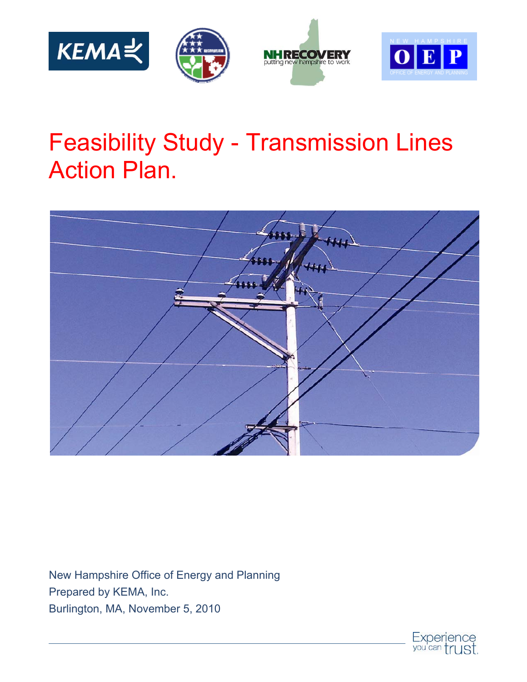

# Feasibility Study - Transmission Lines Action Plan.



New Hampshire Office of Energy and Planning Prepared by KEMA, Inc. Burlington, MA, November 5, 2010

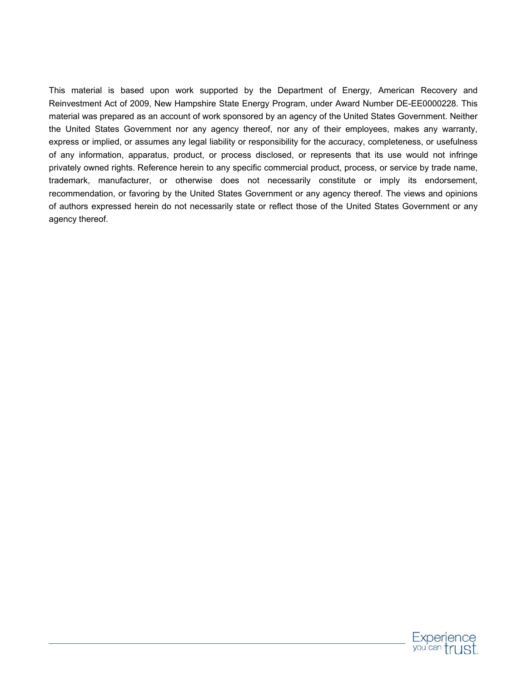This material is based upon work supported by the Department of Energy, American Recovery and Reinvestment Act of 2009, New Hampshire State Energy Program, under Award Number DE-EE0000228. This material was prepared as an account of work sponsored by an agency of the United States Government. Neither the United States Government nor any agency thereof, nor any of their employees, makes any warranty, express or implied, or assumes any legal liability or responsibility for the accuracy, completeness, or usefulness of any information, apparatus, product, or process disclosed, or represents that its use would not infringe privately owned rights. Reference herein to any specific commercial product, process, or service by trade name, trademark, manufacturer, or otherwise does not necessarily constitute or imply its endorsement, recommendation, or favoring by the United States Government or any agency thereof. The views and opinions of authors expressed herein do not necessarily state or reflect those of the United States Government or any agency thereof.

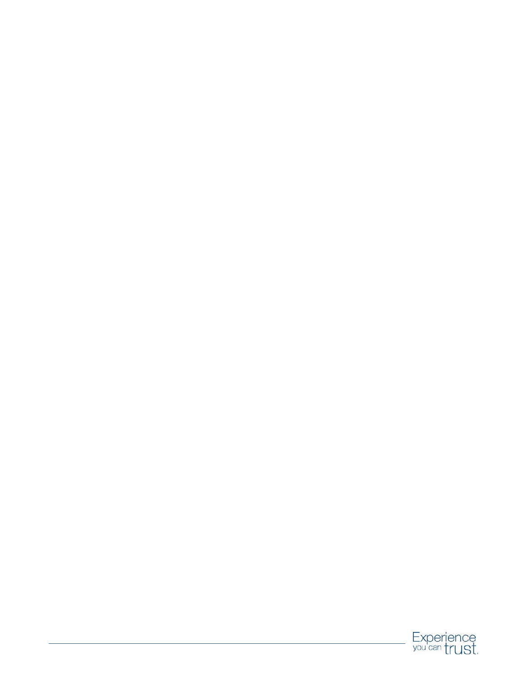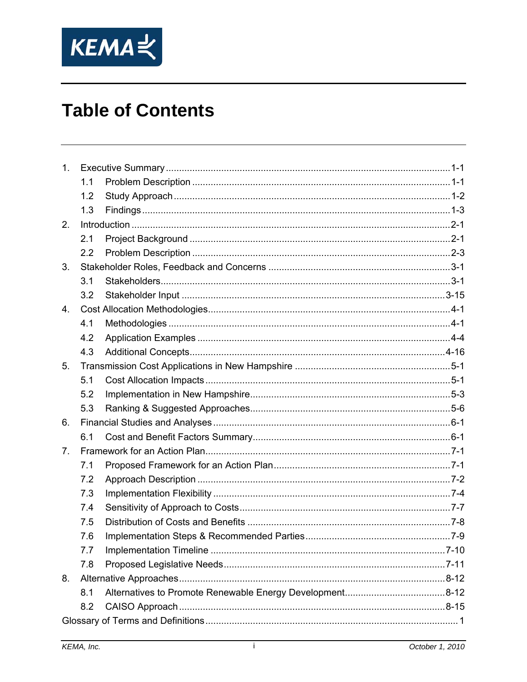

# **Table of Contents**

| 1 <sub>1</sub> |     |  |  |
|----------------|-----|--|--|
|                | 1.1 |  |  |
|                | 1.2 |  |  |
|                | 1.3 |  |  |
| 2.             |     |  |  |
|                | 2.1 |  |  |
|                | 2.2 |  |  |
| 3.             |     |  |  |
|                | 3.1 |  |  |
|                | 3.2 |  |  |
| 4.             |     |  |  |
|                | 4.1 |  |  |
|                | 4.2 |  |  |
|                | 4.3 |  |  |
| 5.             |     |  |  |
|                | 5.1 |  |  |
|                | 5.2 |  |  |
|                | 5.3 |  |  |
| 6.             |     |  |  |
|                | 6.1 |  |  |
| 7.             |     |  |  |
|                | 7.1 |  |  |
|                | 7.2 |  |  |
|                | 7.3 |  |  |
|                | 7.4 |  |  |
|                | 7.5 |  |  |
|                | 7.6 |  |  |
|                | 7.7 |  |  |
|                | 7.8 |  |  |
| 8.             |     |  |  |
|                | 8.1 |  |  |
|                | 8.2 |  |  |
|                |     |  |  |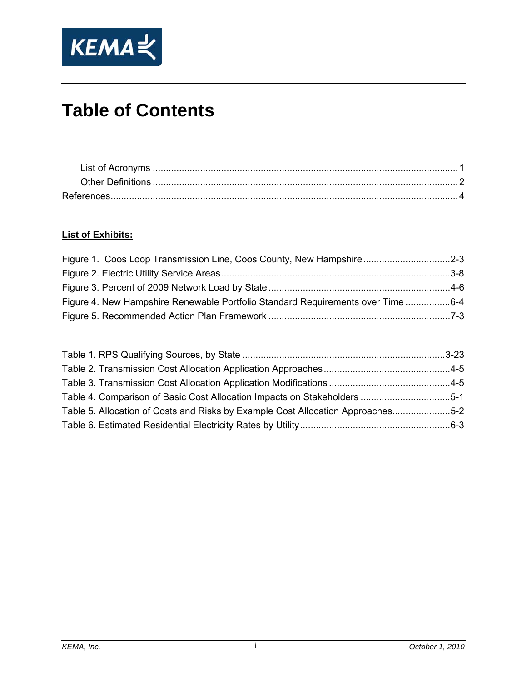

# **Table of Contents**

#### **List of Exhibits:**

| Figure 1. Coos Loop Transmission Line, Coos County, New Hampshire2-3            |  |
|---------------------------------------------------------------------------------|--|
|                                                                                 |  |
|                                                                                 |  |
| Figure 4. New Hampshire Renewable Portfolio Standard Requirements over Time 6-4 |  |
|                                                                                 |  |

| Table 4. Comparison of Basic Cost Allocation Impacts on Stakeholders 5-1        |  |
|---------------------------------------------------------------------------------|--|
| Table 5. Allocation of Costs and Risks by Example Cost Allocation Approaches5-2 |  |
|                                                                                 |  |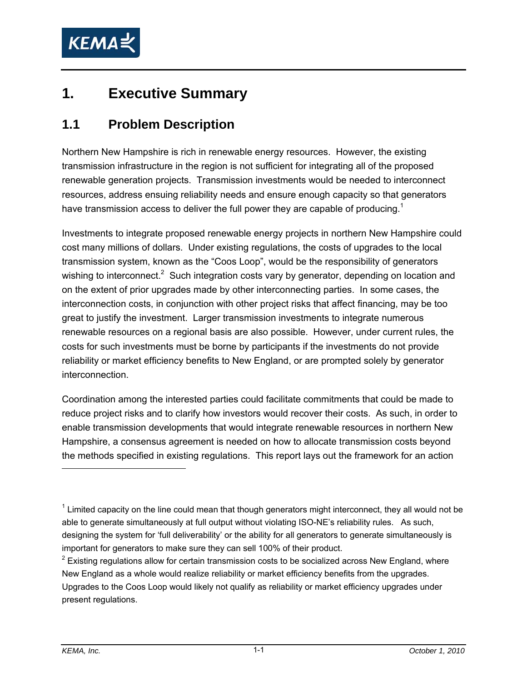

# **1. Executive Summary**

## **1.1 Problem Description**

Northern New Hampshire is rich in renewable energy resources. However, the existing transmission infrastructure in the region is not sufficient for integrating all of the proposed renewable generation projects. Transmission investments would be needed to interconnect resources, address ensuing reliability needs and ensure enough capacity so that generators have transmission access to deliver the full power they are capable of producing.<sup>1</sup>

Investments to integrate proposed renewable energy projects in northern New Hampshire could cost many millions of dollars. Under existing regulations, the costs of upgrades to the local transmission system, known as the "Coos Loop", would be the responsibility of generators wishing to interconnect.<sup>2</sup> Such integration costs vary by generator, depending on location and on the extent of prior upgrades made by other interconnecting parties. In some cases, the interconnection costs, in conjunction with other project risks that affect financing, may be too great to justify the investment. Larger transmission investments to integrate numerous renewable resources on a regional basis are also possible. However, under current rules, the costs for such investments must be borne by participants if the investments do not provide reliability or market efficiency benefits to New England, or are prompted solely by generator interconnection.

Coordination among the interested parties could facilitate commitments that could be made to reduce project risks and to clarify how investors would recover their costs. As such, in order to enable transmission developments that would integrate renewable resources in northern New Hampshire, a consensus agreement is needed on how to allocate transmission costs beyond the methods specified in existing regulations. This report lays out the framework for an action

 $1$  Limited capacity on the line could mean that though generators might interconnect, they all would not be able to generate simultaneously at full output without violating ISO-NE's reliability rules. As such, designing the system for 'full deliverability' or the ability for all generators to generate simultaneously is important for generators to make sure they can sell 100% of their product.

 $2$  Existing regulations allow for certain transmission costs to be socialized across New England, where New England as a whole would realize reliability or market efficiency benefits from the upgrades. Upgrades to the Coos Loop would likely not qualify as reliability or market efficiency upgrades under present regulations.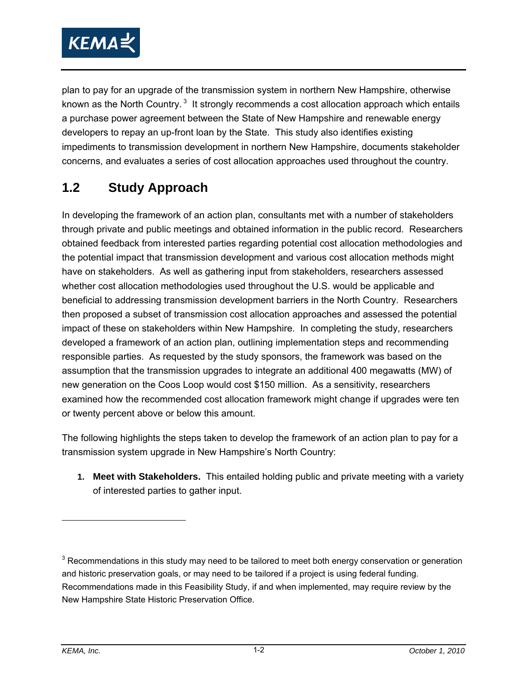

plan to pay for an upgrade of the transmission system in northern New Hampshire, otherwise known as the North Country.<sup>3</sup> It strongly recommends a cost allocation approach which entails a purchase power agreement between the State of New Hampshire and renewable energy developers to repay an up-front loan by the State. This study also identifies existing impediments to transmission development in northern New Hampshire, documents stakeholder concerns, and evaluates a series of cost allocation approaches used throughout the country.

## **1.2 Study Approach**

In developing the framework of an action plan, consultants met with a number of stakeholders through private and public meetings and obtained information in the public record. Researchers obtained feedback from interested parties regarding potential cost allocation methodologies and the potential impact that transmission development and various cost allocation methods might have on stakeholders. As well as gathering input from stakeholders, researchers assessed whether cost allocation methodologies used throughout the U.S. would be applicable and beneficial to addressing transmission development barriers in the North Country. Researchers then proposed a subset of transmission cost allocation approaches and assessed the potential impact of these on stakeholders within New Hampshire. In completing the study, researchers developed a framework of an action plan, outlining implementation steps and recommending responsible parties. As requested by the study sponsors, the framework was based on the assumption that the transmission upgrades to integrate an additional 400 megawatts (MW) of new generation on the Coos Loop would cost \$150 million. As a sensitivity, researchers examined how the recommended cost allocation framework might change if upgrades were ten or twenty percent above or below this amount.

The following highlights the steps taken to develop the framework of an action plan to pay for a transmission system upgrade in New Hampshire's North Country:

**1. Meet with Stakeholders.** This entailed holding public and private meeting with a variety of interested parties to gather input.

 $3$  Recommendations in this study may need to be tailored to meet both energy conservation or generation and historic preservation goals, or may need to be tailored if a project is using federal funding. Recommendations made in this Feasibility Study, if and when implemented, may require review by the New Hampshire State Historic Preservation Office.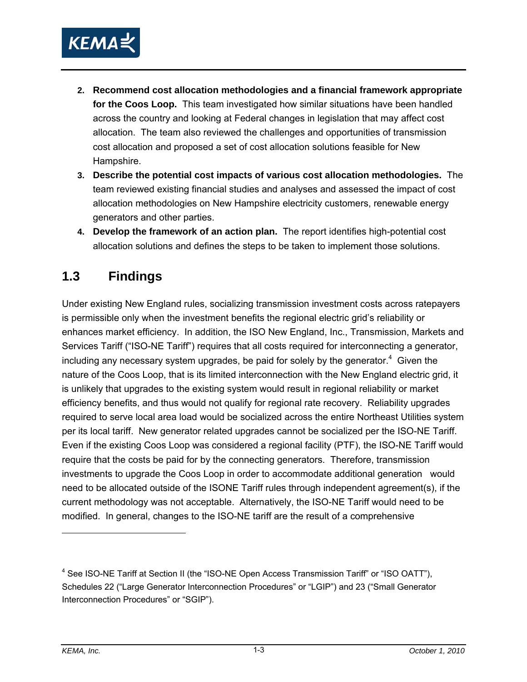

- **2. Recommend cost allocation methodologies and a financial framework appropriate for the Coos Loop.** This team investigated how similar situations have been handled across the country and looking at Federal changes in legislation that may affect cost allocation. The team also reviewed the challenges and opportunities of transmission cost allocation and proposed a set of cost allocation solutions feasible for New Hampshire.
- **3. Describe the potential cost impacts of various cost allocation methodologies.** The team reviewed existing financial studies and analyses and assessed the impact of cost allocation methodologies on New Hampshire electricity customers, renewable energy generators and other parties.
- **4. Develop the framework of an action plan.** The report identifies high-potential cost allocation solutions and defines the steps to be taken to implement those solutions.

## **1.3 Findings**

Under existing New England rules, socializing transmission investment costs across ratepayers is permissible only when the investment benefits the regional electric grid's reliability or enhances market efficiency. In addition, the ISO New England, Inc., Transmission, Markets and Services Tariff ("ISO-NE Tariff") requires that all costs required for interconnecting a generator, including any necessary system upgrades, be paid for solely by the generator.<sup>4</sup> Given the nature of the Coos Loop, that is its limited interconnection with the New England electric grid, it is unlikely that upgrades to the existing system would result in regional reliability or market efficiency benefits, and thus would not qualify for regional rate recovery. Reliability upgrades required to serve local area load would be socialized across the entire Northeast Utilities system per its local tariff. New generator related upgrades cannot be socialized per the ISO-NE Tariff. Even if the existing Coos Loop was considered a regional facility (PTF), the ISO-NE Tariff would require that the costs be paid for by the connecting generators. Therefore, transmission investments to upgrade the Coos Loop in order to accommodate additional generation would need to be allocated outside of the ISONE Tariff rules through independent agreement(s), if the current methodology was not acceptable. Alternatively, the ISO-NE Tariff would need to be modified. In general, changes to the ISO-NE tariff are the result of a comprehensive

<sup>&</sup>lt;sup>4</sup> See ISO-NE Tariff at Section II (the "ISO-NE Open Access Transmission Tariff" or "ISO OATT"), Schedules 22 ("Large Generator Interconnection Procedures" or "LGIP") and 23 ("Small Generator Interconnection Procedures" or "SGIP").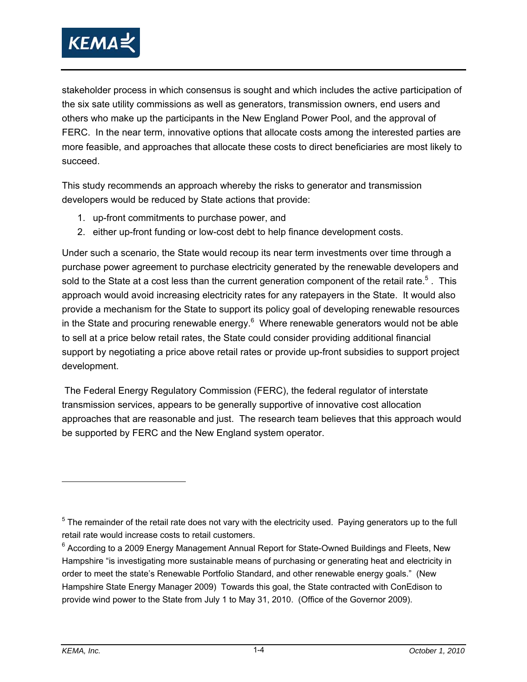

stakeholder process in which consensus is sought and which includes the active participation of the six sate utility commissions as well as generators, transmission owners, end users and others who make up the participants in the New England Power Pool, and the approval of FERC. In the near term, innovative options that allocate costs among the interested parties are more feasible, and approaches that allocate these costs to direct beneficiaries are most likely to succeed.

This study recommends an approach whereby the risks to generator and transmission developers would be reduced by State actions that provide:

- 1. up-front commitments to purchase power, and
- 2. either up-front funding or low-cost debt to help finance development costs.

Under such a scenario, the State would recoup its near term investments over time through a purchase power agreement to purchase electricity generated by the renewable developers and sold to the State at a cost less than the current generation component of the retail rate.<sup>5</sup>. This approach would avoid increasing electricity rates for any ratepayers in the State. It would also provide a mechanism for the State to support its policy goal of developing renewable resources in the State and procuring renewable energy. $6$  Where renewable generators would not be able to sell at a price below retail rates, the State could consider providing additional financial support by negotiating a price above retail rates or provide up-front subsidies to support project development.

 The Federal Energy Regulatory Commission (FERC), the federal regulator of interstate transmission services, appears to be generally supportive of innovative cost allocation approaches that are reasonable and just. The research team believes that this approach would be supported by FERC and the New England system operator.

 $5$  The remainder of the retail rate does not vary with the electricity used. Paying generators up to the full retail rate would increase costs to retail customers.

<sup>&</sup>lt;sup>6</sup> According to a 2009 Energy Management Annual Report for State-Owned Buildings and Fleets, New Hampshire "is investigating more sustainable means of purchasing or generating heat and electricity in order to meet the state's Renewable Portfolio Standard, and other renewable energy goals." (New Hampshire State Energy Manager 2009) Towards this goal, the State contracted with ConEdison to provide wind power to the State from July 1 to May 31, 2010. (Office of the Governor 2009).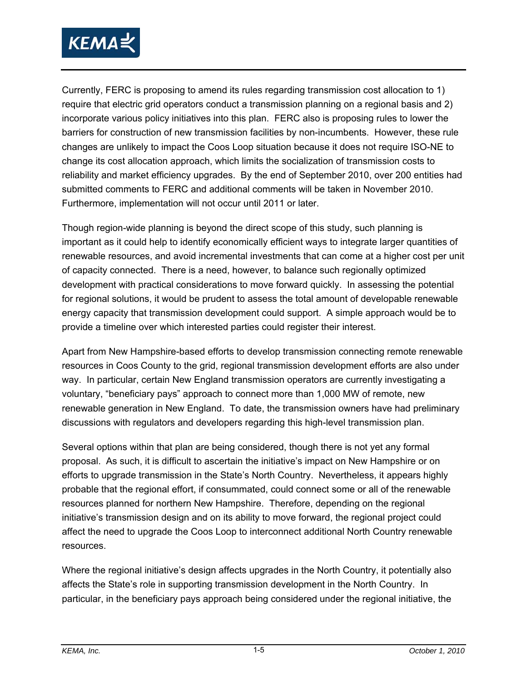

Currently, FERC is proposing to amend its rules regarding transmission cost allocation to 1) require that electric grid operators conduct a transmission planning on a regional basis and 2) incorporate various policy initiatives into this plan. FERC also is proposing rules to lower the barriers for construction of new transmission facilities by non-incumbents. However, these rule changes are unlikely to impact the Coos Loop situation because it does not require ISO-NE to change its cost allocation approach, which limits the socialization of transmission costs to reliability and market efficiency upgrades. By the end of September 2010, over 200 entities had submitted comments to FERC and additional comments will be taken in November 2010. Furthermore, implementation will not occur until 2011 or later.

Though region-wide planning is beyond the direct scope of this study, such planning is important as it could help to identify economically efficient ways to integrate larger quantities of renewable resources, and avoid incremental investments that can come at a higher cost per unit of capacity connected. There is a need, however, to balance such regionally optimized development with practical considerations to move forward quickly. In assessing the potential for regional solutions, it would be prudent to assess the total amount of developable renewable energy capacity that transmission development could support. A simple approach would be to provide a timeline over which interested parties could register their interest.

Apart from New Hampshire-based efforts to develop transmission connecting remote renewable resources in Coos County to the grid, regional transmission development efforts are also under way. In particular, certain New England transmission operators are currently investigating a voluntary, "beneficiary pays" approach to connect more than 1,000 MW of remote, new renewable generation in New England. To date, the transmission owners have had preliminary discussions with regulators and developers regarding this high-level transmission plan.

Several options within that plan are being considered, though there is not yet any formal proposal. As such, it is difficult to ascertain the initiative's impact on New Hampshire or on efforts to upgrade transmission in the State's North Country. Nevertheless, it appears highly probable that the regional effort, if consummated, could connect some or all of the renewable resources planned for northern New Hampshire. Therefore, depending on the regional initiative's transmission design and on its ability to move forward, the regional project could affect the need to upgrade the Coos Loop to interconnect additional North Country renewable resources.

Where the regional initiative's design affects upgrades in the North Country, it potentially also affects the State's role in supporting transmission development in the North Country. In particular, in the beneficiary pays approach being considered under the regional initiative, the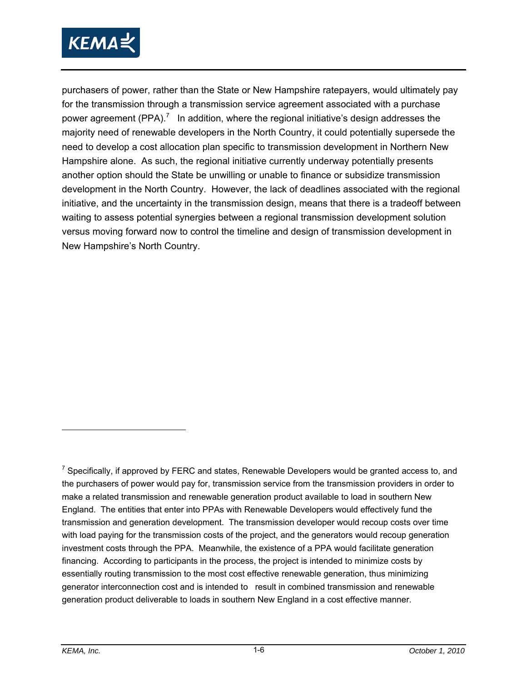

purchasers of power, rather than the State or New Hampshire ratepayers, would ultimately pay for the transmission through a transmission service agreement associated with a purchase power agreement (PPA).<sup>7</sup> In addition, where the regional initiative's design addresses the majority need of renewable developers in the North Country, it could potentially supersede the need to develop a cost allocation plan specific to transmission development in Northern New Hampshire alone. As such, the regional initiative currently underway potentially presents another option should the State be unwilling or unable to finance or subsidize transmission development in the North Country. However, the lack of deadlines associated with the regional initiative, and the uncertainty in the transmission design, means that there is a tradeoff between waiting to assess potential synergies between a regional transmission development solution versus moving forward now to control the timeline and design of transmission development in New Hampshire's North Country.

 $\overline{a}$ 

 $^7$  Specifically, if approved by FERC and states, Renewable Developers would be granted access to, and the purchasers of power would pay for, transmission service from the transmission providers in order to make a related transmission and renewable generation product available to load in southern New England. The entities that enter into PPAs with Renewable Developers would effectively fund the transmission and generation development. The transmission developer would recoup costs over time with load paying for the transmission costs of the project, and the generators would recoup generation investment costs through the PPA. Meanwhile, the existence of a PPA would facilitate generation financing. According to participants in the process, the project is intended to minimize costs by essentially routing transmission to the most cost effective renewable generation, thus minimizing generator interconnection cost and is intended to result in combined transmission and renewable generation product deliverable to loads in southern New England in a cost effective manner.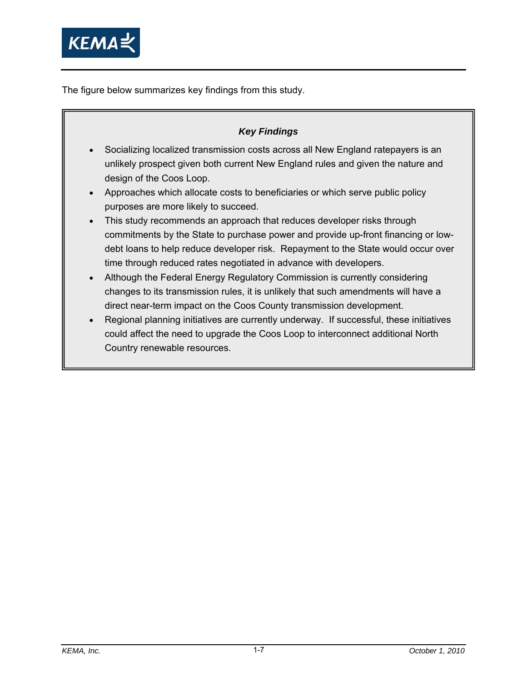

The figure below summarizes key findings from this study.

#### *Key Findings*

- Socializing localized transmission costs across all New England ratepayers is an unlikely prospect given both current New England rules and given the nature and design of the Coos Loop.
- Approaches which allocate costs to beneficiaries or which serve public policy purposes are more likely to succeed.
- This study recommends an approach that reduces developer risks through commitments by the State to purchase power and provide up-front financing or lowdebt loans to help reduce developer risk. Repayment to the State would occur over time through reduced rates negotiated in advance with developers.
- Although the Federal Energy Regulatory Commission is currently considering changes to its transmission rules, it is unlikely that such amendments will have a direct near-term impact on the Coos County transmission development.
- Regional planning initiatives are currently underway. If successful, these initiatives could affect the need to upgrade the Coos Loop to interconnect additional North Country renewable resources.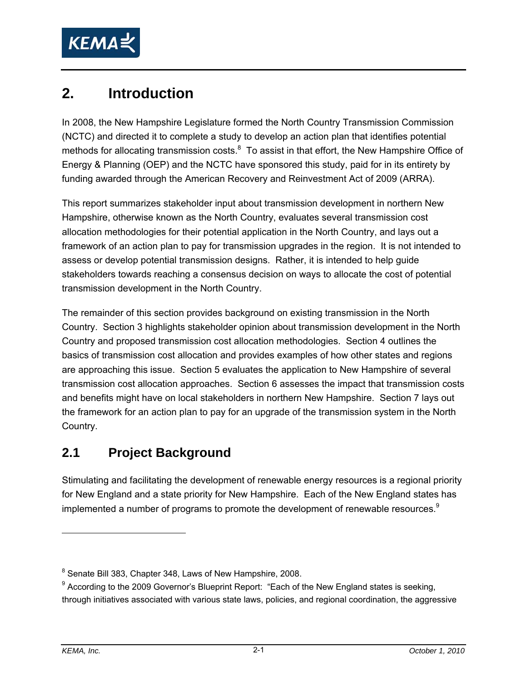

## **2. Introduction**

In 2008, the New Hampshire Legislature formed the North Country Transmission Commission (NCTC) and directed it to complete a study to develop an action plan that identifies potential methods for allocating transmission costs.<sup>8</sup> To assist in that effort, the New Hampshire Office of Energy & Planning (OEP) and the NCTC have sponsored this study, paid for in its entirety by funding awarded through the American Recovery and Reinvestment Act of 2009 (ARRA).

This report summarizes stakeholder input about transmission development in northern New Hampshire, otherwise known as the North Country, evaluates several transmission cost allocation methodologies for their potential application in the North Country, and lays out a framework of an action plan to pay for transmission upgrades in the region. It is not intended to assess or develop potential transmission designs. Rather, it is intended to help guide stakeholders towards reaching a consensus decision on ways to allocate the cost of potential transmission development in the North Country.

The remainder of this section provides background on existing transmission in the North Country. Section 3 highlights stakeholder opinion about transmission development in the North Country and proposed transmission cost allocation methodologies. Section 4 outlines the basics of transmission cost allocation and provides examples of how other states and regions are approaching this issue. Section 5 evaluates the application to New Hampshire of several transmission cost allocation approaches. Section 6 assesses the impact that transmission costs and benefits might have on local stakeholders in northern New Hampshire. Section 7 lays out the framework for an action plan to pay for an upgrade of the transmission system in the North Country.

## **2.1 Project Background**

Stimulating and facilitating the development of renewable energy resources is a regional priority for New England and a state priority for New Hampshire. Each of the New England states has implemented a number of programs to promote the development of renewable resources. $9$ 

 $^8$  Senate Bill 383, Chapter 348, Laws of New Hampshire, 2008.

 $9$  According to the 2009 Governor's Blueprint Report: "Each of the New England states is seeking, through initiatives associated with various state laws, policies, and regional coordination, the aggressive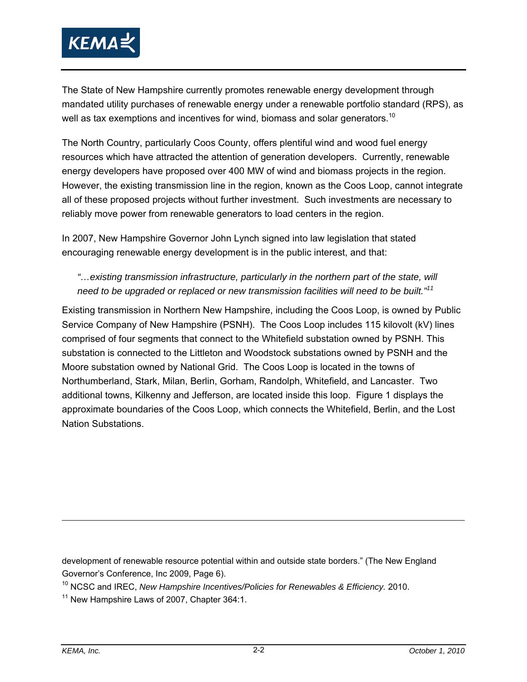

The State of New Hampshire currently promotes renewable energy development through mandated utility purchases of renewable energy under a renewable portfolio standard (RPS), as well as tax exemptions and incentives for wind, biomass and solar generators.<sup>10</sup>

The North Country, particularly Coos County, offers plentiful wind and wood fuel energy resources which have attracted the attention of generation developers. Currently, renewable energy developers have proposed over 400 MW of wind and biomass projects in the region. However, the existing transmission line in the region, known as the Coos Loop, cannot integrate all of these proposed projects without further investment. Such investments are necessary to reliably move power from renewable generators to load centers in the region.

In 2007, New Hampshire Governor John Lynch signed into law legislation that stated encouraging renewable energy development is in the public interest, and that:

*"…existing transmission infrastructure, particularly in the northern part of the state, will need to be upgraded or replaced or new transmission facilities will need to be built."<sup>11</sup>*

Existing transmission in Northern New Hampshire, including the Coos Loop, is owned by Public Service Company of New Hampshire (PSNH). The Coos Loop includes 115 kilovolt (kV) lines comprised of four segments that connect to the Whitefield substation owned by PSNH. This substation is connected to the Littleton and Woodstock substations owned by PSNH and the Moore substation owned by National Grid. The Coos Loop is located in the towns of Northumberland, Stark, Milan, Berlin, Gorham, Randolph, Whitefield, and Lancaster. Two additional towns, Kilkenny and Jefferson, are located inside this loop. Figure 1 displays the approximate boundaries of the Coos Loop, which connects the Whitefield, Berlin, and the Lost Nation Substations.

development of renewable resource potential within and outside state borders." (The New England Governor's Conference, Inc 2009, Page 6).

10 NCSC and IREC, *New Hampshire Incentives/Policies for Renewables & Efficiency.* 2010.

<sup>11</sup> New Hampshire Laws of 2007, Chapter 364:1.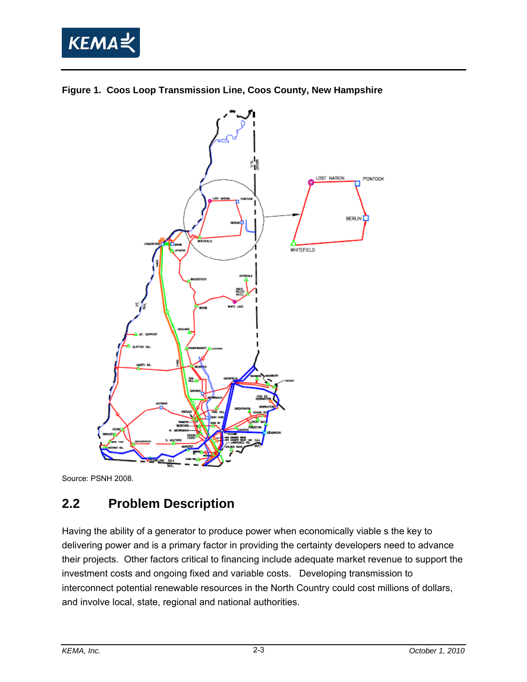





Source: PSNH 2008.

## **2.2 Problem Description**

Having the ability of a generator to produce power when economically viable s the key to delivering power and is a primary factor in providing the certainty developers need to advance their projects. Other factors critical to financing include adequate market revenue to support the investment costs and ongoing fixed and variable costs. Developing transmission to interconnect potential renewable resources in the North Country could cost millions of dollars, and involve local, state, regional and national authorities.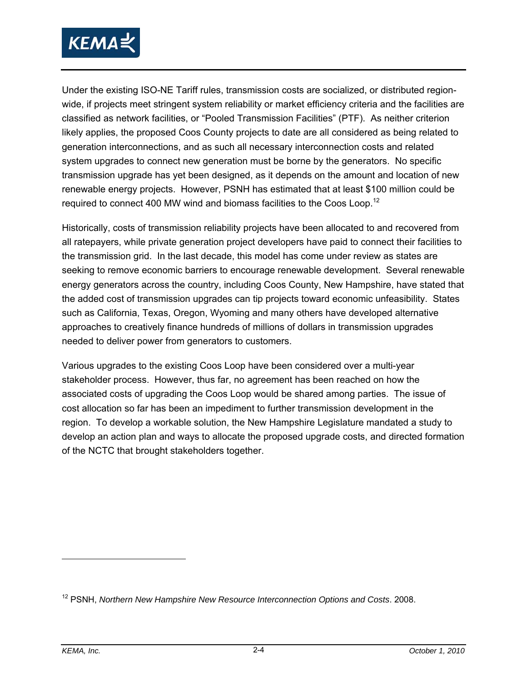

Under the existing ISO-NE Tariff rules, transmission costs are socialized, or distributed regionwide, if projects meet stringent system reliability or market efficiency criteria and the facilities are classified as network facilities, or "Pooled Transmission Facilities" (PTF). As neither criterion likely applies, the proposed Coos County projects to date are all considered as being related to generation interconnections, and as such all necessary interconnection costs and related system upgrades to connect new generation must be borne by the generators. No specific transmission upgrade has yet been designed, as it depends on the amount and location of new renewable energy projects. However, PSNH has estimated that at least \$100 million could be required to connect 400 MW wind and biomass facilities to the Coos Loop.<sup>12</sup>

Historically, costs of transmission reliability projects have been allocated to and recovered from all ratepayers, while private generation project developers have paid to connect their facilities to the transmission grid. In the last decade, this model has come under review as states are seeking to remove economic barriers to encourage renewable development. Several renewable energy generators across the country, including Coos County, New Hampshire, have stated that the added cost of transmission upgrades can tip projects toward economic unfeasibility. States such as California, Texas, Oregon, Wyoming and many others have developed alternative approaches to creatively finance hundreds of millions of dollars in transmission upgrades needed to deliver power from generators to customers.

Various upgrades to the existing Coos Loop have been considered over a multi-year stakeholder process. However, thus far, no agreement has been reached on how the associated costs of upgrading the Coos Loop would be shared among parties. The issue of cost allocation so far has been an impediment to further transmission development in the region. To develop a workable solution, the New Hampshire Legislature mandated a study to develop an action plan and ways to allocate the proposed upgrade costs, and directed formation of the NCTC that brought stakeholders together.

 $\overline{a}$ 

<sup>12</sup> PSNH, *Northern New Hampshire New Resource Interconnection Options and Costs*. 2008.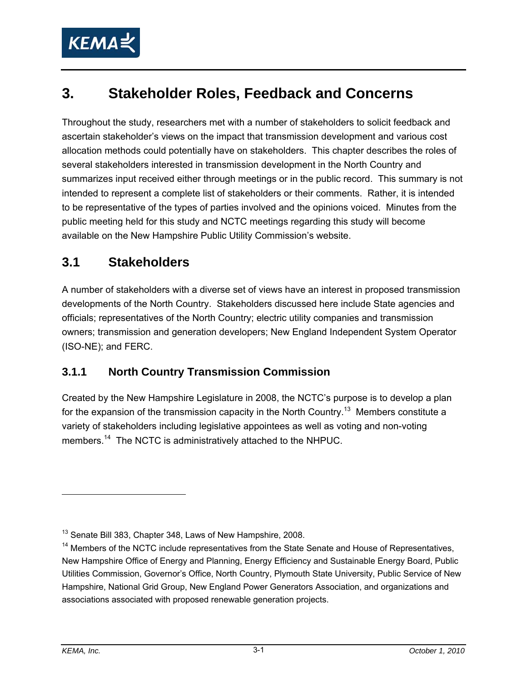

# **3. Stakeholder Roles, Feedback and Concerns**

Throughout the study, researchers met with a number of stakeholders to solicit feedback and ascertain stakeholder's views on the impact that transmission development and various cost allocation methods could potentially have on stakeholders. This chapter describes the roles of several stakeholders interested in transmission development in the North Country and summarizes input received either through meetings or in the public record. This summary is not intended to represent a complete list of stakeholders or their comments. Rather, it is intended to be representative of the types of parties involved and the opinions voiced. Minutes from the public meeting held for this study and NCTC meetings regarding this study will become available on the New Hampshire Public Utility Commission's website.

## **3.1 Stakeholders**

A number of stakeholders with a diverse set of views have an interest in proposed transmission developments of the North Country. Stakeholders discussed here include State agencies and officials; representatives of the North Country; electric utility companies and transmission owners; transmission and generation developers; New England Independent System Operator (ISO-NE); and FERC.

## **3.1.1 North Country Transmission Commission**

Created by the New Hampshire Legislature in 2008, the NCTC's purpose is to develop a plan for the expansion of the transmission capacity in the North Country.<sup>13</sup> Members constitute a variety of stakeholders including legislative appointees as well as voting and non-voting members.<sup>14</sup> The NCTC is administratively attached to the NHPUC.

<sup>&</sup>lt;sup>13</sup> Senate Bill 383, Chapter 348, Laws of New Hampshire, 2008.

<sup>&</sup>lt;sup>14</sup> Members of the NCTC include representatives from the State Senate and House of Representatives, New Hampshire Office of Energy and Planning, Energy Efficiency and Sustainable Energy Board, Public Utilities Commission, Governor's Office, North Country, Plymouth State University, Public Service of New Hampshire, National Grid Group, New England Power Generators Association, and organizations and associations associated with proposed renewable generation projects.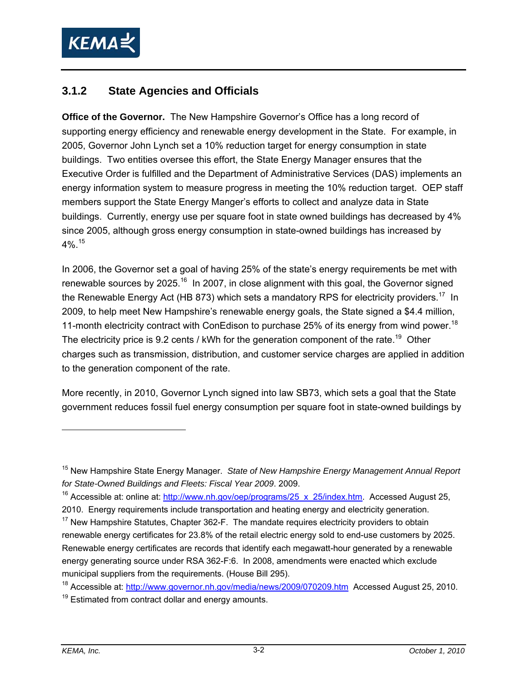

### **3.1.2 State Agencies and Officials**

**Office of the Governor.** The New Hampshire Governor's Office has a long record of supporting energy efficiency and renewable energy development in the State. For example, in 2005, Governor John Lynch set a 10% reduction target for energy consumption in state buildings. Two entities oversee this effort, the State Energy Manager ensures that the Executive Order is fulfilled and the Department of Administrative Services (DAS) implements an energy information system to measure progress in meeting the 10% reduction target. OEP staff members support the State Energy Manger's efforts to collect and analyze data in State buildings. Currently, energy use per square foot in state owned buildings has decreased by 4% since 2005, although gross energy consumption in state-owned buildings has increased by 4%.15

In 2006, the Governor set a goal of having 25% of the state's energy requirements be met with renewable sources by 2025.<sup>16</sup> In 2007, in close alignment with this goal, the Governor signed the Renewable Energy Act (HB 873) which sets a mandatory RPS for electricity providers.<sup>17</sup> In 2009, to help meet New Hampshire's renewable energy goals, the State signed a \$4.4 million, 11-month electricity contract with ConEdison to purchase 25% of its energy from wind power.<sup>18</sup> The electricity price is 9.2 cents / kWh for the generation component of the rate.<sup>19</sup> Other charges such as transmission, distribution, and customer service charges are applied in addition to the generation component of the rate.

More recently, in 2010, Governor Lynch signed into law SB73, which sets a goal that the State government reduces fossil fuel energy consumption per square foot in state-owned buildings by

<sup>15</sup> New Hampshire State Energy Manager. *State of New Hampshire Energy Management Annual Report for State-Owned Buildings and Fleets: Fiscal Year 2009*. 2009.

<sup>&</sup>lt;sup>16</sup> Accessible at: online at: http://www.nh.gov/oep/programs/25\_x\_25/index.htm. Accessed August 25, 2010. Energy requirements include transportation and heating energy and electricity generation.

<sup>&</sup>lt;sup>17</sup> New Hampshire Statutes, Chapter 362-F. The mandate requires electricity providers to obtain renewable energy certificates for 23.8% of the retail electric energy sold to end-use customers by 2025. Renewable energy certificates are records that identify each megawatt-hour generated by a renewable energy generating source under RSA 362-F:6. In 2008, amendments were enacted which exclude municipal suppliers from the requirements. (House Bill 295).

<sup>&</sup>lt;sup>18</sup> Accessible at: http://www.governor.nh.gov/media/news/2009/070209.htm Accessed August 25, 2010.

 $19$  Estimated from contract dollar and energy amounts.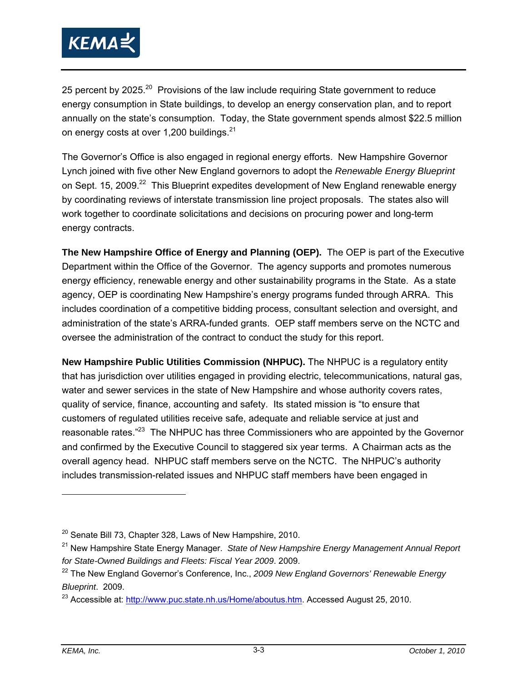

25 percent by 2025.<sup>20</sup> Provisions of the law include requiring State government to reduce energy consumption in State buildings, to develop an energy conservation plan, and to report annually on the state's consumption. Today, the State government spends almost \$22.5 million on energy costs at over 1,200 buildings.<sup>21</sup>

The Governor's Office is also engaged in regional energy efforts. New Hampshire Governor Lynch joined with five other New England governors to adopt the *Renewable Energy Blueprint*  on Sept. 15, 2009.<sup>22</sup> This Blueprint expedites development of New England renewable energy by coordinating reviews of interstate transmission line project proposals. The states also will work together to coordinate solicitations and decisions on procuring power and long-term energy contracts.

**The New Hampshire Office of Energy and Planning (OEP).** The OEP is part of the Executive Department within the Office of the Governor. The agency supports and promotes numerous energy efficiency, renewable energy and other sustainability programs in the State. As a state agency, OEP is coordinating New Hampshire's energy programs funded through ARRA. This includes coordination of a competitive bidding process, consultant selection and oversight, and administration of the state's ARRA-funded grants. OEP staff members serve on the NCTC and oversee the administration of the contract to conduct the study for this report.

**New Hampshire Public Utilities Commission (NHPUC).** The NHPUC is a regulatory entity that has jurisdiction over utilities engaged in providing electric, telecommunications, natural gas, water and sewer services in the state of New Hampshire and whose authority covers rates, quality of service, finance, accounting and safety. Its stated mission is "to ensure that customers of regulated utilities receive safe, adequate and reliable service at just and reasonable rates."23 The NHPUC has three Commissioners who are appointed by the Governor and confirmed by the Executive Council to staggered six year terms. A Chairman acts as the overall agency head. NHPUC staff members serve on the NCTC. The NHPUC's authority includes transmission-related issues and NHPUC staff members have been engaged in

<sup>&</sup>lt;sup>20</sup> Senate Bill 73, Chapter 328, Laws of New Hampshire, 2010.

<sup>21</sup> New Hampshire State Energy Manager. *State of New Hampshire Energy Management Annual Report for State-Owned Buildings and Fleets: Fiscal Year 2009*. 2009.

<sup>22</sup> The New England Governor's Conference, Inc., *2009 New England Governors' Renewable Energy Blueprint*. 2009.

<sup>&</sup>lt;sup>23</sup> Accessible at: http://www.puc.state.nh.us/Home/aboutus.htm. Accessed August 25, 2010.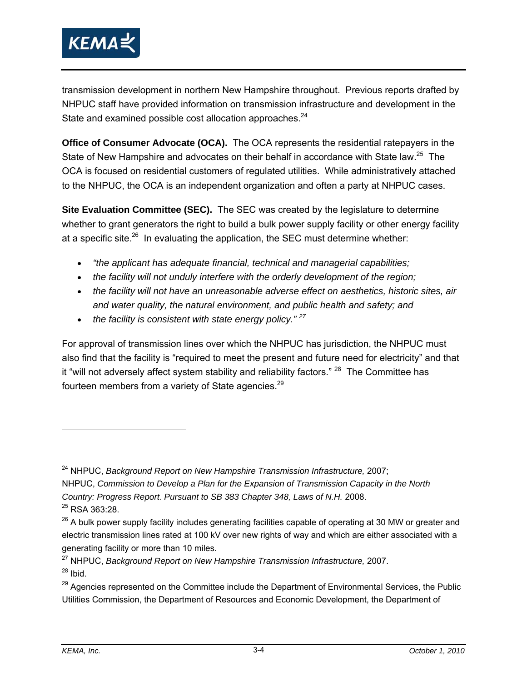

transmission development in northern New Hampshire throughout. Previous reports drafted by NHPUC staff have provided information on transmission infrastructure and development in the State and examined possible cost allocation approaches.<sup>24</sup>

**Office of Consumer Advocate (OCA).** The OCA represents the residential ratepayers in the State of New Hampshire and advocates on their behalf in accordance with State law.<sup>25</sup> The OCA is focused on residential customers of regulated utilities. While administratively attached to the NHPUC, the OCA is an independent organization and often a party at NHPUC cases.

**Site Evaluation Committee (SEC).** The SEC was created by the legislature to determine whether to grant generators the right to build a bulk power supply facility or other energy facility at a specific site.<sup>26</sup> In evaluating the application, the SEC must determine whether:

- *"the applicant has adequate financial, technical and managerial capabilities;*
- *the facility will not unduly interfere with the orderly development of the region;*
- *the facility will not have an unreasonable adverse effect on aesthetics, historic sites, air and water quality, the natural environment, and public health and safety; and*
- *the facility is consistent with state energy policy." <sup>27</sup>*

For approval of transmission lines over which the NHPUC has jurisdiction, the NHPUC must also find that the facility is "required to meet the present and future need for electricity" and that it "will not adversely affect system stability and reliability factors."  $^{28}$  The Committee has fourteen members from a variety of State agencies. $29$ 

 $\overline{a}$ 

<sup>24</sup> NHPUC, *Background Report on New Hampshire Transmission Infrastructure,* 2007; NHPUC, *Commission to Develop a Plan for the Expansion of Transmission Capacity in the North Country: Progress Report. Pursuant to SB 383 Chapter 348, Laws of N.H.* 2008. 25 RSA 363:28.

<sup>&</sup>lt;sup>26</sup> A bulk power supply facility includes generating facilities capable of operating at 30 MW or greater and electric transmission lines rated at 100 kV over new rights of way and which are either associated with a generating facility or more than 10 miles.

<sup>27</sup> NHPUC, *Background Report on New Hampshire Transmission Infrastructure,* 2007.  $28$  Ibid.

<sup>&</sup>lt;sup>29</sup> Agencies represented on the Committee include the Department of Environmental Services, the Public Utilities Commission, the Department of Resources and Economic Development, the Department of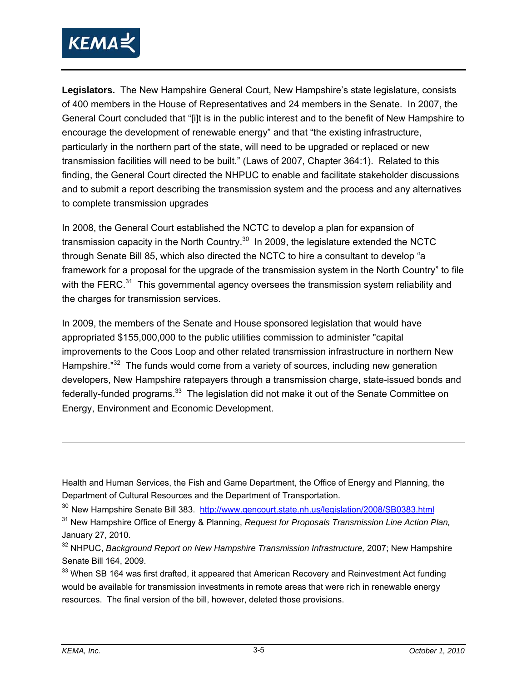

**Legislators.** The New Hampshire General Court, New Hampshire's state legislature, consists of 400 members in the House of Representatives and 24 members in the Senate. In 2007, the General Court concluded that "[i]t is in the public interest and to the benefit of New Hampshire to encourage the development of renewable energy" and that "the existing infrastructure, particularly in the northern part of the state, will need to be upgraded or replaced or new transmission facilities will need to be built." (Laws of 2007, Chapter 364:1). Related to this finding, the General Court directed the NHPUC to enable and facilitate stakeholder discussions and to submit a report describing the transmission system and the process and any alternatives to complete transmission upgrades

In 2008, the General Court established the NCTC to develop a plan for expansion of transmission capacity in the North Country.<sup>30</sup> In 2009, the legislature extended the NCTC through Senate Bill 85, which also directed the NCTC to hire a consultant to develop "a framework for a proposal for the upgrade of the transmission system in the North Country" to file with the FERC. $31$  This governmental agency oversees the transmission system reliability and the charges for transmission services.

In 2009, the members of the Senate and House sponsored legislation that would have appropriated \$155,000,000 to the public utilities commission to administer "capital improvements to the Coos Loop and other related transmission infrastructure in northern New Hampshire.<sup>"32</sup> The funds would come from a variety of sources, including new generation developers, New Hampshire ratepayers through a transmission charge, state-issued bonds and federally-funded programs.<sup>33</sup> The legislation did not make it out of the Senate Committee on Energy, Environment and Economic Development.

Health and Human Services, the Fish and Game Department, the Office of Energy and Planning, the Department of Cultural Resources and the Department of Transportation.

<sup>&</sup>lt;sup>30</sup> New Hampshire Senate Bill 383. http://www.gencourt.state.nh.us/legislation/2008/SB0383.html

<sup>31</sup> New Hampshire Office of Energy & Planning, *Request for Proposals Transmission Line Action Plan,*  January 27, 2010.

<sup>32</sup> NHPUC, *Background Report on New Hampshire Transmission Infrastructure,* 2007; New Hampshire Senate Bill 164, 2009.

 $33$  When SB 164 was first drafted, it appeared that American Recovery and Reinvestment Act funding would be available for transmission investments in remote areas that were rich in renewable energy resources. The final version of the bill, however, deleted those provisions.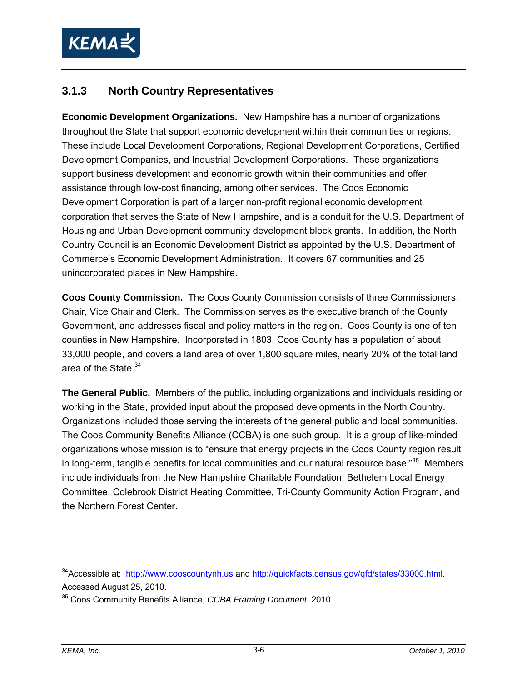

#### **3.1.3 North Country Representatives**

**Economic Development Organizations.** New Hampshire has a number of organizations throughout the State that support economic development within their communities or regions. These include Local Development Corporations, Regional Development Corporations, Certified Development Companies, and Industrial Development Corporations. These organizations support business development and economic growth within their communities and offer assistance through low-cost financing, among other services. The Coos Economic Development Corporation is part of a larger non-profit regional economic development corporation that serves the State of New Hampshire, and is a conduit for the U.S. Department of Housing and Urban Development community development block grants. In addition, the North Country Council is an Economic Development District as appointed by the U.S. Department of Commerce's Economic Development Administration. It covers 67 communities and 25 unincorporated places in New Hampshire.

**Coos County Commission.** The Coos County Commission consists of three Commissioners, Chair, Vice Chair and Clerk. The Commission serves as the executive branch of the County Government, and addresses fiscal and policy matters in the region. Coos County is one of ten counties in New Hampshire. Incorporated in 1803, Coos County has a population of about 33,000 people, and covers a land area of over 1,800 square miles, nearly 20% of the total land area of the State. $34$ 

**The General Public.** Members of the public, including organizations and individuals residing or working in the State, provided input about the proposed developments in the North Country. Organizations included those serving the interests of the general public and local communities. The Coos Community Benefits Alliance (CCBA) is one such group. It is a group of like-minded organizations whose mission is to "ensure that energy projects in the Coos County region result in long-term, tangible benefits for local communities and our natural resource base."<sup>35</sup> Members include individuals from the New Hampshire Charitable Foundation, Bethelem Local Energy Committee, Colebrook District Heating Committee, Tri-County Community Action Program, and the Northern Forest Center.

<sup>&</sup>lt;sup>34</sup> Accessible at: http://www.cooscountynh.us and http://quickfacts.census.gov/gfd/states/33000.html. Accessed August 25, 2010.

<sup>35</sup> Coos Community Benefits Alliance, *CCBA Framing Document.* 2010.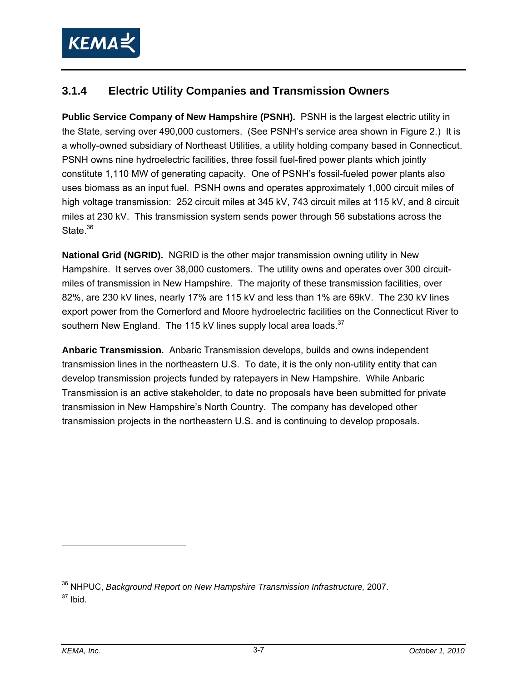

### **3.1.4 Electric Utility Companies and Transmission Owners**

**Public Service Company of New Hampshire (PSNH).** PSNH is the largest electric utility in the State, serving over 490,000 customers. (See PSNH's service area shown in Figure 2.) It is a wholly-owned subsidiary of Northeast Utilities, a utility holding company based in Connecticut. PSNH owns nine hydroelectric facilities, three fossil fuel-fired power plants which jointly constitute 1,110 MW of generating capacity. One of PSNH's fossil-fueled power plants also uses biomass as an input fuel. PSNH owns and operates approximately 1,000 circuit miles of high voltage transmission: 252 circuit miles at 345 kV, 743 circuit miles at 115 kV, and 8 circuit miles at 230 kV. This transmission system sends power through 56 substations across the State.<sup>36</sup>

**National Grid (NGRID).** NGRID is the other major transmission owning utility in New Hampshire. It serves over 38,000 customers. The utility owns and operates over 300 circuitmiles of transmission in New Hampshire. The majority of these transmission facilities, over 82%, are 230 kV lines, nearly 17% are 115 kV and less than 1% are 69kV. The 230 kV lines export power from the Comerford and Moore hydroelectric facilities on the Connecticut River to southern New England. The 115 kV lines supply local area loads.<sup>37</sup>

**Anbaric Transmission.** Anbaric Transmission develops, builds and owns independent transmission lines in the northeastern U.S. To date, it is the only non-utility entity that can develop transmission projects funded by ratepayers in New Hampshire. While Anbaric Transmission is an active stakeholder, to date no proposals have been submitted for private transmission in New Hampshire's North Country. The company has developed other transmission projects in the northeastern U.S. and is continuing to develop proposals.

 $\overline{a}$ 

<sup>36</sup> NHPUC, *Background Report on New Hampshire Transmission Infrastructure,* 2007.  $37$  Ibid.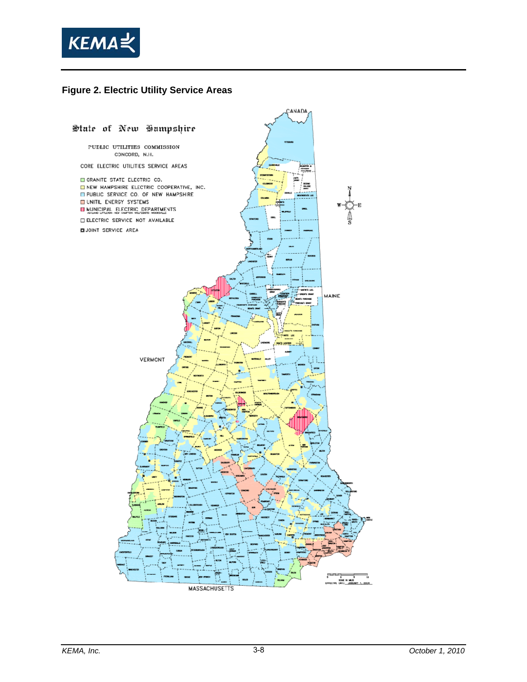

#### **Figure 2. Electric Utility Service Areas**

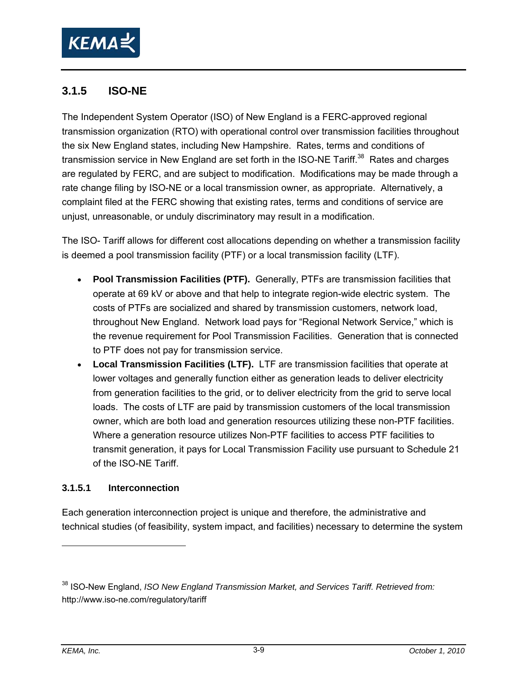

### **3.1.5 ISO-NE**

The Independent System Operator (ISO) of New England is a FERC-approved regional transmission organization (RTO) with operational control over transmission facilities throughout the six New England states, including New Hampshire. Rates, terms and conditions of transmission service in New England are set forth in the ISO-NE Tariff.<sup>38</sup> Rates and charges are regulated by FERC, and are subject to modification. Modifications may be made through a rate change filing by ISO-NE or a local transmission owner, as appropriate. Alternatively, a complaint filed at the FERC showing that existing rates, terms and conditions of service are unjust, unreasonable, or unduly discriminatory may result in a modification.

The ISO- Tariff allows for different cost allocations depending on whether a transmission facility is deemed a pool transmission facility (PTF) or a local transmission facility (LTF).

- **Pool Transmission Facilities (PTF).** Generally, PTFs are transmission facilities that operate at 69 kV or above and that help to integrate region-wide electric system. The costs of PTFs are socialized and shared by transmission customers, network load, throughout New England. Network load pays for "Regional Network Service," which is the revenue requirement for Pool Transmission Facilities. Generation that is connected to PTF does not pay for transmission service.
- **Local Transmission Facilities (LTF).** LTF are transmission facilities that operate at lower voltages and generally function either as generation leads to deliver electricity from generation facilities to the grid, or to deliver electricity from the grid to serve local loads. The costs of LTF are paid by transmission customers of the local transmission owner, which are both load and generation resources utilizing these non-PTF facilities. Where a generation resource utilizes Non-PTF facilities to access PTF facilities to transmit generation, it pays for Local Transmission Facility use pursuant to Schedule 21 of the ISO-NE Tariff.

#### **3.1.5.1 Interconnection**

Each generation interconnection project is unique and therefore, the administrative and technical studies (of feasibility, system impact, and facilities) necessary to determine the system

<sup>38</sup> ISO-New England, *ISO New England Transmission Market, and Services Tariff. Retrieved from:*  http://www.iso-ne.com/regulatory/tariff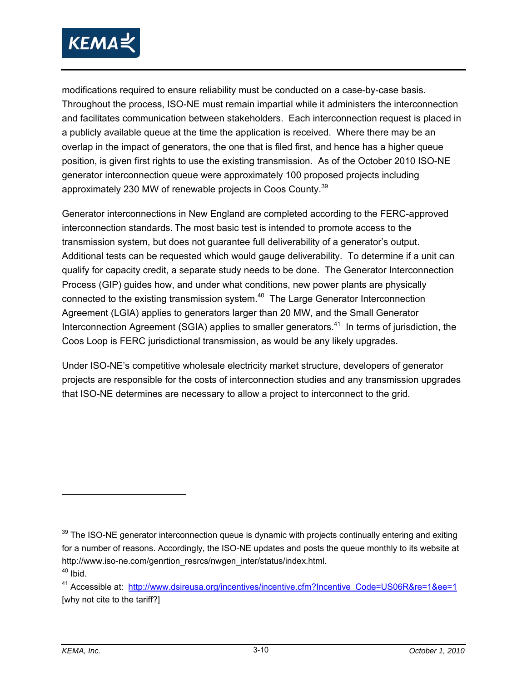

modifications required to ensure reliability must be conducted on a case-by-case basis. Throughout the process, ISO-NE must remain impartial while it administers the interconnection and facilitates communication between stakeholders. Each interconnection request is placed in a publicly available queue at the time the application is received. Where there may be an overlap in the impact of generators, the one that is filed first, and hence has a higher queue position, is given first rights to use the existing transmission. As of the October 2010 ISO-NE generator interconnection queue were approximately 100 proposed projects including approximately 230 MW of renewable projects in Coos County.<sup>39</sup>

Generator interconnections in New England are completed according to the FERC-approved interconnection standards. The most basic test is intended to promote access to the transmission system, but does not guarantee full deliverability of a generator's output. Additional tests can be requested which would gauge deliverability. To determine if a unit can qualify for capacity credit, a separate study needs to be done. The Generator Interconnection Process (GIP) guides how, and under what conditions, new power plants are physically connected to the existing transmission system.<sup>40</sup> The Large Generator Interconnection Agreement (LGIA) applies to generators larger than 20 MW, and the Small Generator Interconnection Agreement (SGIA) applies to smaller generators.<sup>41</sup> In terms of jurisdiction, the Coos Loop is FERC jurisdictional transmission, as would be any likely upgrades.

Under ISO-NE's competitive wholesale electricity market structure, developers of generator projects are responsible for the costs of interconnection studies and any transmission upgrades that ISO-NE determines are necessary to allow a project to interconnect to the grid.

<sup>&</sup>lt;sup>39</sup> The ISO-NE generator interconnection queue is dynamic with projects continually entering and exiting for a number of reasons. Accordingly, the ISO-NE updates and posts the queue monthly to its website at http://www.iso-ne.com/genrtion\_resrcs/nwgen\_inter/status/index.html.  $40$  Ibid.

<sup>&</sup>lt;sup>41</sup> Accessible at: http://www.dsireusa.org/incentives/incentive.cfm?Incentive\_Code=US06R&re=1&ee=1 [why not cite to the tariff?]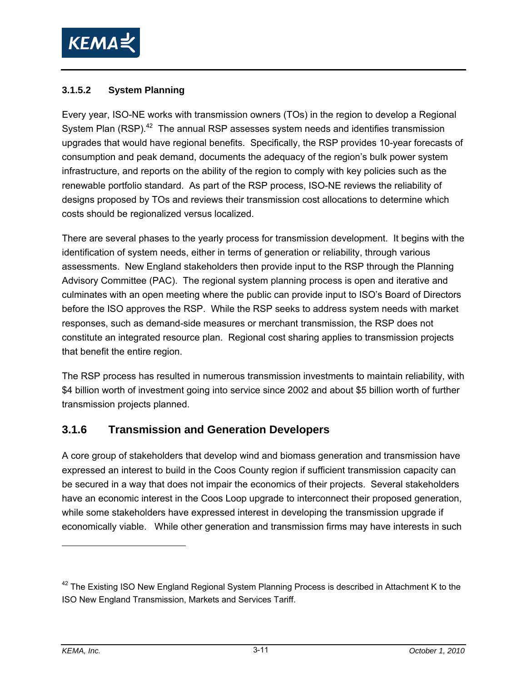

#### **3.1.5.2 System Planning**

Every year, ISO-NE works with transmission owners (TOs) in the region to develop a Regional System Plan (RSP).<sup>42</sup> The annual RSP assesses system needs and identifies transmission upgrades that would have regional benefits. Specifically, the RSP provides 10-year forecasts of consumption and peak demand, documents the adequacy of the region's bulk power system infrastructure, and reports on the ability of the region to comply with key policies such as the renewable portfolio standard. As part of the RSP process, ISO-NE reviews the reliability of designs proposed by TOs and reviews their transmission cost allocations to determine which costs should be regionalized versus localized.

There are several phases to the yearly process for transmission development. It begins with the identification of system needs, either in terms of generation or reliability, through various assessments. New England stakeholders then provide input to the RSP through the Planning Advisory Committee (PAC). The regional system planning process is open and iterative and culminates with an open meeting where the public can provide input to ISO's Board of Directors before the ISO approves the RSP. While the RSP seeks to address system needs with market responses, such as demand-side measures or merchant transmission, the RSP does not constitute an integrated resource plan. Regional cost sharing applies to transmission projects that benefit the entire region.

The RSP process has resulted in numerous transmission investments to maintain reliability, with \$4 billion worth of investment going into service since 2002 and about \$5 billion worth of further transmission projects planned.

#### **3.1.6 Transmission and Generation Developers**

A core group of stakeholders that develop wind and biomass generation and transmission have expressed an interest to build in the Coos County region if sufficient transmission capacity can be secured in a way that does not impair the economics of their projects. Several stakeholders have an economic interest in the Coos Loop upgrade to interconnect their proposed generation, while some stakeholders have expressed interest in developing the transmission upgrade if economically viable. While other generation and transmission firms may have interests in such

 $\overline{a}$ 

 $42$  The Existing ISO New England Regional System Planning Process is described in Attachment K to the ISO New England Transmission, Markets and Services Tariff.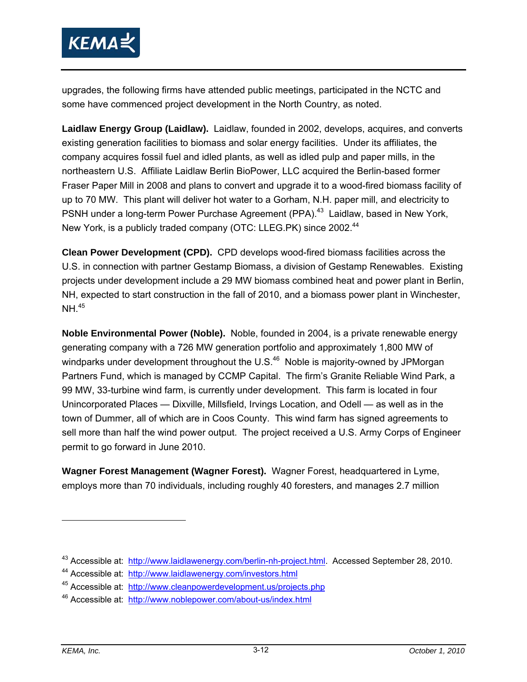

upgrades, the following firms have attended public meetings, participated in the NCTC and some have commenced project development in the North Country, as noted.

**Laidlaw Energy Group (Laidlaw).** Laidlaw, founded in 2002, develops, acquires, and converts existing generation facilities to biomass and solar energy facilities. Under its affiliates, the company acquires fossil fuel and idled plants, as well as idled pulp and paper mills, in the northeastern U.S. Affiliate Laidlaw Berlin BioPower, LLC acquired the Berlin-based former Fraser Paper Mill in 2008 and plans to convert and upgrade it to a wood-fired biomass facility of up to 70 MW. This plant will deliver hot water to a Gorham, N.H. paper mill, and electricity to PSNH under a long-term Power Purchase Agreement (PPA).<sup>43</sup> Laidlaw, based in New York, New York, is a publicly traded company (OTC: LLEG.PK) since 2002.<sup>44</sup>

**Clean Power Development (CPD).** CPD develops wood-fired biomass facilities across the U.S. in connection with partner Gestamp Biomass, a division of Gestamp Renewables. Existing projects under development include a 29 MW biomass combined heat and power plant in Berlin, NH, expected to start construction in the fall of 2010, and a biomass power plant in Winchester, NH.45

**Noble Environmental Power (Noble).** Noble, founded in 2004, is a private renewable energy generating company with a 726 MW generation portfolio and approximately 1,800 MW of windparks under development throughout the U.S. $46$  Noble is majority-owned by JPMorgan Partners Fund, which is managed by CCMP Capital. The firm's Granite Reliable Wind Park, a 99 MW, 33-turbine wind farm, is currently under development. This farm is located in four Unincorporated Places — Dixville, Millsfield, Irvings Location, and Odell — as well as in the town of Dummer, all of which are in Coos County. This wind farm has signed agreements to sell more than half the wind power output. The project received a U.S. Army Corps of Engineer permit to go forward in June 2010.

**Wagner Forest Management (Wagner Forest).** Wagner Forest, headquartered in Lyme, employs more than 70 individuals, including roughly 40 foresters, and manages 2.7 million

<sup>&</sup>lt;sup>43</sup> Accessible at: http://www.laidlawenergy.com/berlin-nh-project.html. Accessed September 28, 2010.

<sup>&</sup>lt;sup>44</sup> Accessible at: http://www.laidlawenergy.com/investors.html<br><sup>45</sup> Accessible at: http://www.cleanpowerdevelopment.us/projects.php<br><sup>46</sup> Accessible at: http://www.noblepower.com/about-us/index.html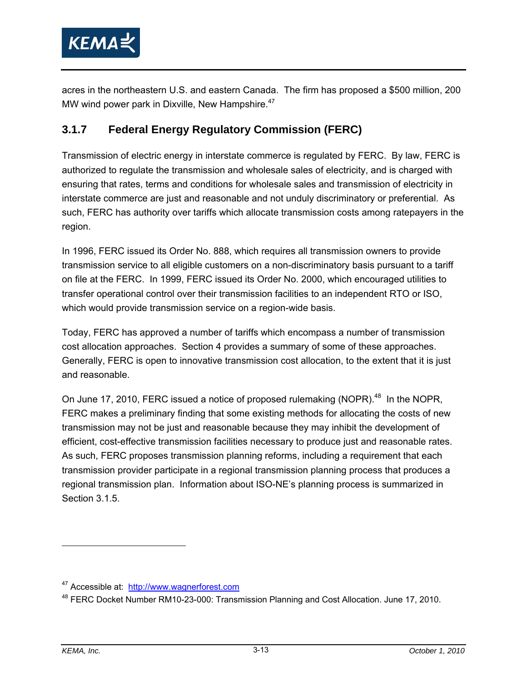

acres in the northeastern U.S. and eastern Canada. The firm has proposed a \$500 million, 200 MW wind power park in Dixville, New Hampshire.<sup>47</sup>

### **3.1.7 Federal Energy Regulatory Commission (FERC)**

Transmission of electric energy in interstate commerce is regulated by FERC. By law, FERC is authorized to regulate the transmission and wholesale sales of electricity, and is charged with ensuring that rates, terms and conditions for wholesale sales and transmission of electricity in interstate commerce are just and reasonable and not unduly discriminatory or preferential. As such, FERC has authority over tariffs which allocate transmission costs among ratepayers in the region.

In 1996, FERC issued its Order No. 888, which requires all transmission owners to provide transmission service to all eligible customers on a non-discriminatory basis pursuant to a tariff on file at the FERC. In 1999, FERC issued its Order No. 2000, which encouraged utilities to transfer operational control over their transmission facilities to an independent RTO or ISO, which would provide transmission service on a region-wide basis.

Today, FERC has approved a number of tariffs which encompass a number of transmission cost allocation approaches. Section 4 provides a summary of some of these approaches. Generally, FERC is open to innovative transmission cost allocation, to the extent that it is just and reasonable.

On June 17, 2010, FERC issued a notice of proposed rulemaking (NOPR).<sup>48</sup> In the NOPR, FERC makes a preliminary finding that some existing methods for allocating the costs of new transmission may not be just and reasonable because they may inhibit the development of efficient, cost-effective transmission facilities necessary to produce just and reasonable rates. As such, FERC proposes transmission planning reforms, including a requirement that each transmission provider participate in a regional transmission planning process that produces a regional transmission plan. Information about ISO-NE's planning process is summarized in Section 3.1.5.

<sup>&</sup>lt;sup>47</sup> Accessible at: http://www.wagnerforest.com<br><sup>48</sup> FERC Docket Number RM10-23-000: Transmission Planning and Cost Allocation. June 17, 2010.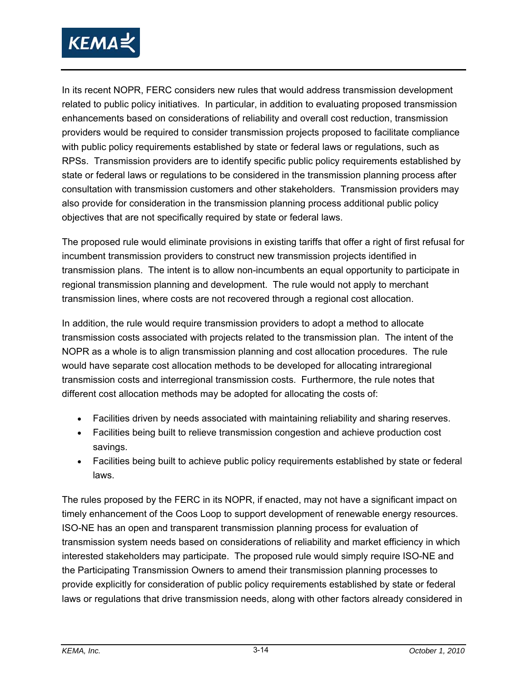

In its recent NOPR, FERC considers new rules that would address transmission development related to public policy initiatives. In particular, in addition to evaluating proposed transmission enhancements based on considerations of reliability and overall cost reduction, transmission providers would be required to consider transmission projects proposed to facilitate compliance with public policy requirements established by state or federal laws or regulations, such as RPSs. Transmission providers are to identify specific public policy requirements established by state or federal laws or regulations to be considered in the transmission planning process after consultation with transmission customers and other stakeholders. Transmission providers may also provide for consideration in the transmission planning process additional public policy objectives that are not specifically required by state or federal laws.

The proposed rule would eliminate provisions in existing tariffs that offer a right of first refusal for incumbent transmission providers to construct new transmission projects identified in transmission plans. The intent is to allow non-incumbents an equal opportunity to participate in regional transmission planning and development. The rule would not apply to merchant transmission lines, where costs are not recovered through a regional cost allocation.

In addition, the rule would require transmission providers to adopt a method to allocate transmission costs associated with projects related to the transmission plan. The intent of the NOPR as a whole is to align transmission planning and cost allocation procedures. The rule would have separate cost allocation methods to be developed for allocating intraregional transmission costs and interregional transmission costs. Furthermore, the rule notes that different cost allocation methods may be adopted for allocating the costs of:

- Facilities driven by needs associated with maintaining reliability and sharing reserves.
- Facilities being built to relieve transmission congestion and achieve production cost savings.
- Facilities being built to achieve public policy requirements established by state or federal laws.

The rules proposed by the FERC in its NOPR, if enacted, may not have a significant impact on timely enhancement of the Coos Loop to support development of renewable energy resources. ISO-NE has an open and transparent transmission planning process for evaluation of transmission system needs based on considerations of reliability and market efficiency in which interested stakeholders may participate. The proposed rule would simply require ISO-NE and the Participating Transmission Owners to amend their transmission planning processes to provide explicitly for consideration of public policy requirements established by state or federal laws or regulations that drive transmission needs, along with other factors already considered in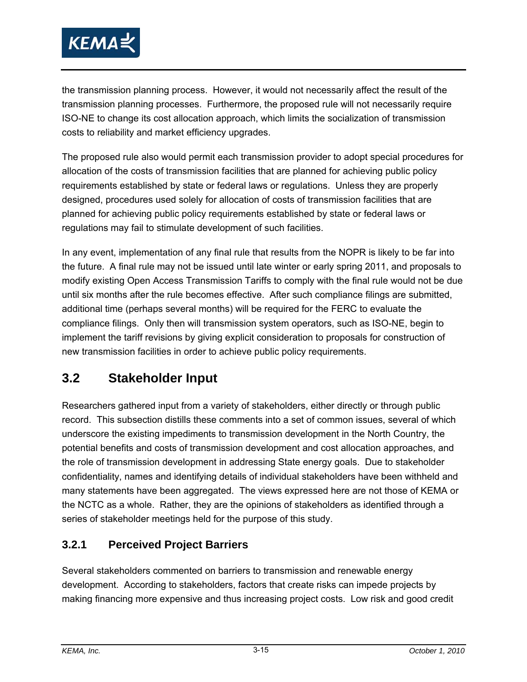

the transmission planning process. However, it would not necessarily affect the result of the transmission planning processes. Furthermore, the proposed rule will not necessarily require ISO-NE to change its cost allocation approach, which limits the socialization of transmission costs to reliability and market efficiency upgrades.

The proposed rule also would permit each transmission provider to adopt special procedures for allocation of the costs of transmission facilities that are planned for achieving public policy requirements established by state or federal laws or regulations. Unless they are properly designed, procedures used solely for allocation of costs of transmission facilities that are planned for achieving public policy requirements established by state or federal laws or regulations may fail to stimulate development of such facilities.

In any event, implementation of any final rule that results from the NOPR is likely to be far into the future. A final rule may not be issued until late winter or early spring 2011, and proposals to modify existing Open Access Transmission Tariffs to comply with the final rule would not be due until six months after the rule becomes effective. After such compliance filings are submitted, additional time (perhaps several months) will be required for the FERC to evaluate the compliance filings. Only then will transmission system operators, such as ISO-NE, begin to implement the tariff revisions by giving explicit consideration to proposals for construction of new transmission facilities in order to achieve public policy requirements.

## **3.2 Stakeholder Input**

Researchers gathered input from a variety of stakeholders, either directly or through public record. This subsection distills these comments into a set of common issues, several of which underscore the existing impediments to transmission development in the North Country, the potential benefits and costs of transmission development and cost allocation approaches, and the role of transmission development in addressing State energy goals. Due to stakeholder confidentiality, names and identifying details of individual stakeholders have been withheld and many statements have been aggregated. The views expressed here are not those of KEMA or the NCTC as a whole. Rather, they are the opinions of stakeholders as identified through a series of stakeholder meetings held for the purpose of this study.

## **3.2.1 Perceived Project Barriers**

Several stakeholders commented on barriers to transmission and renewable energy development. According to stakeholders, factors that create risks can impede projects by making financing more expensive and thus increasing project costs. Low risk and good credit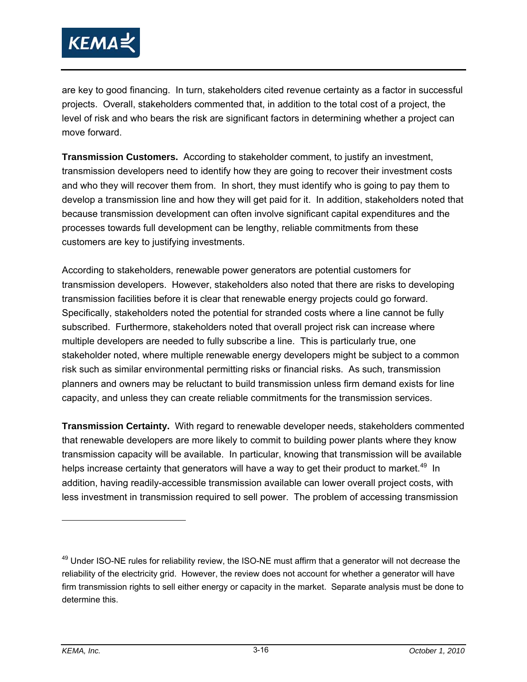

are key to good financing. In turn, stakeholders cited revenue certainty as a factor in successful projects. Overall, stakeholders commented that, in addition to the total cost of a project, the level of risk and who bears the risk are significant factors in determining whether a project can move forward.

**Transmission Customers.** According to stakeholder comment, to justify an investment, transmission developers need to identify how they are going to recover their investment costs and who they will recover them from. In short, they must identify who is going to pay them to develop a transmission line and how they will get paid for it. In addition, stakeholders noted that because transmission development can often involve significant capital expenditures and the processes towards full development can be lengthy, reliable commitments from these customers are key to justifying investments.

According to stakeholders, renewable power generators are potential customers for transmission developers. However, stakeholders also noted that there are risks to developing transmission facilities before it is clear that renewable energy projects could go forward. Specifically, stakeholders noted the potential for stranded costs where a line cannot be fully subscribed. Furthermore, stakeholders noted that overall project risk can increase where multiple developers are needed to fully subscribe a line. This is particularly true, one stakeholder noted, where multiple renewable energy developers might be subject to a common risk such as similar environmental permitting risks or financial risks. As such, transmission planners and owners may be reluctant to build transmission unless firm demand exists for line capacity, and unless they can create reliable commitments for the transmission services.

**Transmission Certainty.** With regard to renewable developer needs, stakeholders commented that renewable developers are more likely to commit to building power plants where they know transmission capacity will be available. In particular, knowing that transmission will be available helps increase certainty that generators will have a way to get their product to market.<sup>49</sup> In addition, having readily-accessible transmission available can lower overall project costs, with less investment in transmission required to sell power. The problem of accessing transmission

<sup>&</sup>lt;sup>49</sup> Under ISO-NE rules for reliability review, the ISO-NE must affirm that a generator will not decrease the reliability of the electricity grid. However, the review does not account for whether a generator will have firm transmission rights to sell either energy or capacity in the market. Separate analysis must be done to determine this.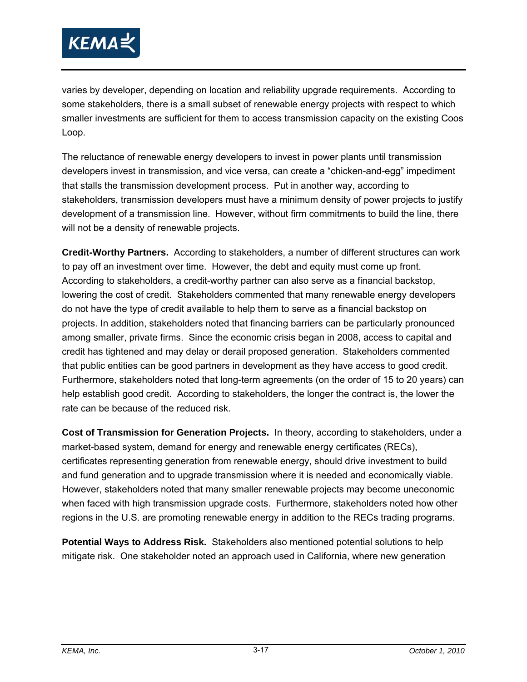

varies by developer, depending on location and reliability upgrade requirements. According to some stakeholders, there is a small subset of renewable energy projects with respect to which smaller investments are sufficient for them to access transmission capacity on the existing Coos Loop.

The reluctance of renewable energy developers to invest in power plants until transmission developers invest in transmission, and vice versa, can create a "chicken-and-egg" impediment that stalls the transmission development process. Put in another way, according to stakeholders, transmission developers must have a minimum density of power projects to justify development of a transmission line. However, without firm commitments to build the line, there will not be a density of renewable projects.

**Credit-Worthy Partners.** According to stakeholders, a number of different structures can work to pay off an investment over time. However, the debt and equity must come up front. According to stakeholders, a credit-worthy partner can also serve as a financial backstop, lowering the cost of credit.Stakeholders commented that many renewable energy developers do not have the type of credit available to help them to serve as a financial backstop on projects. In addition, stakeholders noted that financing barriers can be particularly pronounced among smaller, private firms. Since the economic crisis began in 2008, access to capital and credit has tightened and may delay or derail proposed generation. Stakeholders commented that public entities can be good partners in development as they have access to good credit. Furthermore, stakeholders noted that long-term agreements (on the order of 15 to 20 years) can help establish good credit. According to stakeholders, the longer the contract is, the lower the rate can be because of the reduced risk.

**Cost of Transmission for Generation Projects.** In theory, according to stakeholders, under a market-based system, demand for energy and renewable energy certificates (RECs), certificates representing generation from renewable energy, should drive investment to build and fund generation and to upgrade transmission where it is needed and economically viable. However, stakeholders noted that many smaller renewable projects may become uneconomic when faced with high transmission upgrade costs. Furthermore, stakeholders noted how other regions in the U.S. are promoting renewable energy in addition to the RECs trading programs.

**Potential Ways to Address Risk.** Stakeholders also mentioned potential solutions to help mitigate risk. One stakeholder noted an approach used in California, where new generation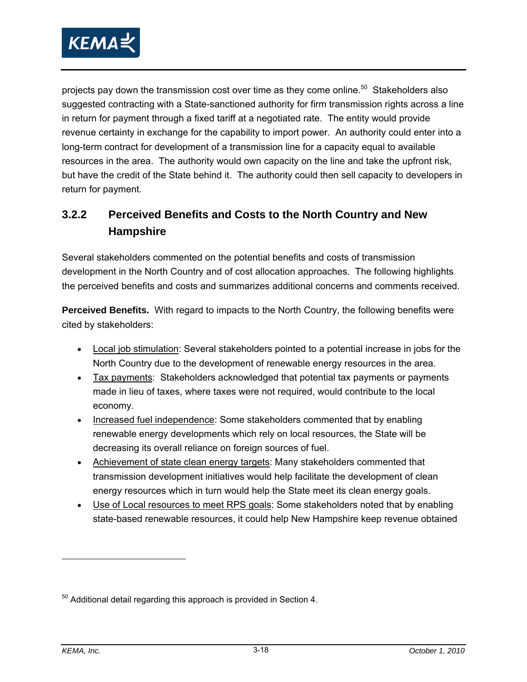

projects pay down the transmission cost over time as they come online.<sup>50</sup> Stakeholders also suggested contracting with a State-sanctioned authority for firm transmission rights across a line in return for payment through a fixed tariff at a negotiated rate. The entity would provide revenue certainty in exchange for the capability to import power. An authority could enter into a long-term contract for development of a transmission line for a capacity equal to available resources in the area. The authority would own capacity on the line and take the upfront risk, but have the credit of the State behind it. The authority could then sell capacity to developers in return for payment.

## **3.2.2 Perceived Benefits and Costs to the North Country and New Hampshire**

Several stakeholders commented on the potential benefits and costs of transmission development in the North Country and of cost allocation approaches. The following highlights the perceived benefits and costs and summarizes additional concerns and comments received.

**Perceived Benefits.** With regard to impacts to the North Country, the following benefits were cited by stakeholders:

- Local job stimulation: Several stakeholders pointed to a potential increase in jobs for the North Country due to the development of renewable energy resources in the area.
- Tax payments: Stakeholders acknowledged that potential tax payments or payments made in lieu of taxes, where taxes were not required, would contribute to the local economy.
- Increased fuel independence: Some stakeholders commented that by enabling renewable energy developments which rely on local resources, the State will be decreasing its overall reliance on foreign sources of fuel.
- Achievement of state clean energy targets: Many stakeholders commented that transmission development initiatives would help facilitate the development of clean energy resources which in turn would help the State meet its clean energy goals.
- Use of Local resources to meet RPS goals: Some stakeholders noted that by enabling state-based renewable resources, it could help New Hampshire keep revenue obtained

 $\overline{a}$ 

 $50$  Additional detail regarding this approach is provided in Section 4.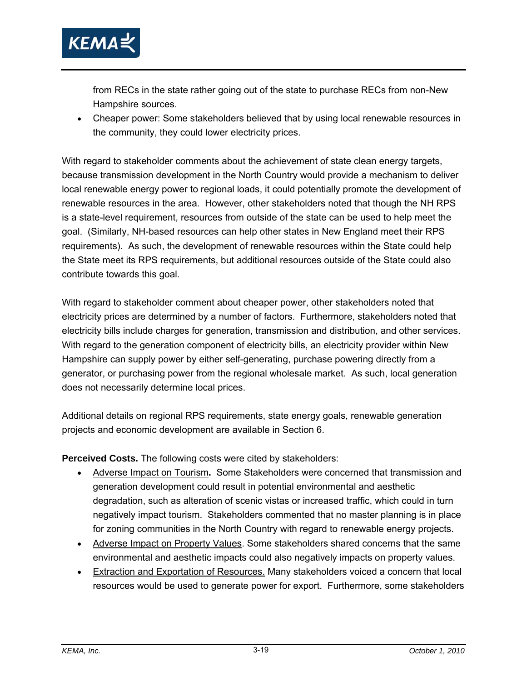

from RECs in the state rather going out of the state to purchase RECs from non-New Hampshire sources.

• Cheaper power: Some stakeholders believed that by using local renewable resources in the community, they could lower electricity prices.

With regard to stakeholder comments about the achievement of state clean energy targets, because transmission development in the North Country would provide a mechanism to deliver local renewable energy power to regional loads, it could potentially promote the development of renewable resources in the area. However, other stakeholders noted that though the NH RPS is a state-level requirement, resources from outside of the state can be used to help meet the goal. (Similarly, NH-based resources can help other states in New England meet their RPS requirements). As such, the development of renewable resources within the State could help the State meet its RPS requirements, but additional resources outside of the State could also contribute towards this goal.

With regard to stakeholder comment about cheaper power, other stakeholders noted that electricity prices are determined by a number of factors. Furthermore, stakeholders noted that electricity bills include charges for generation, transmission and distribution, and other services. With regard to the generation component of electricity bills, an electricity provider within New Hampshire can supply power by either self-generating, purchase powering directly from a generator, or purchasing power from the regional wholesale market. As such, local generation does not necessarily determine local prices.

Additional details on regional RPS requirements, state energy goals, renewable generation projects and economic development are available in Section 6.

**Perceived Costs.** The following costs were cited by stakeholders:

- Adverse Impact on Tourism**.** Some Stakeholders were concerned that transmission and generation development could result in potential environmental and aesthetic degradation, such as alteration of scenic vistas or increased traffic, which could in turn negatively impact tourism. Stakeholders commented that no master planning is in place for zoning communities in the North Country with regard to renewable energy projects.
- Adverse Impact on Property Values. Some stakeholders shared concerns that the same environmental and aesthetic impacts could also negatively impacts on property values.
- Extraction and Exportation of Resources. Many stakeholders voiced a concern that local resources would be used to generate power for export. Furthermore, some stakeholders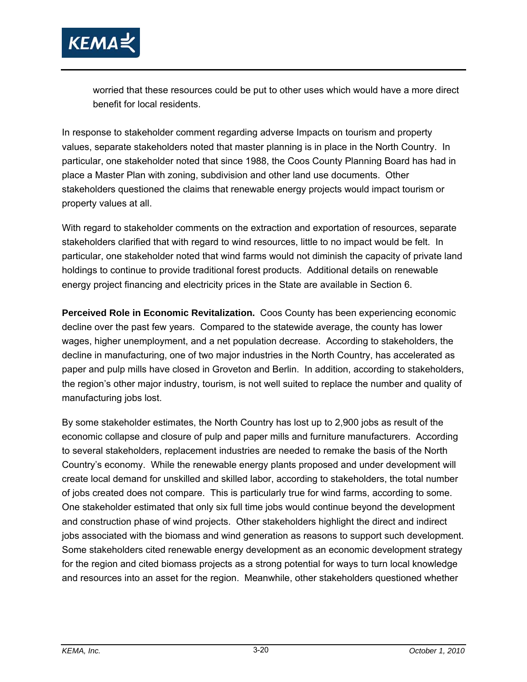

worried that these resources could be put to other uses which would have a more direct benefit for local residents.

In response to stakeholder comment regarding adverse Impacts on tourism and property values, separate stakeholders noted that master planning is in place in the North Country. In particular, one stakeholder noted that since 1988, the Coos County Planning Board has had in place a Master Plan with zoning, subdivision and other land use documents. Other stakeholders questioned the claims that renewable energy projects would impact tourism or property values at all.

With regard to stakeholder comments on the extraction and exportation of resources, separate stakeholders clarified that with regard to wind resources, little to no impact would be felt. In particular, one stakeholder noted that wind farms would not diminish the capacity of private land holdings to continue to provide traditional forest products. Additional details on renewable energy project financing and electricity prices in the State are available in Section 6.

**Perceived Role in Economic Revitalization.** Coos County has been experiencing economic decline over the past few years. Compared to the statewide average, the county has lower wages, higher unemployment, and a net population decrease. According to stakeholders, the decline in manufacturing, one of two major industries in the North Country, has accelerated as paper and pulp mills have closed in Groveton and Berlin. In addition, according to stakeholders, the region's other major industry, tourism, is not well suited to replace the number and quality of manufacturing jobs lost.

By some stakeholder estimates, the North Country has lost up to 2,900 jobs as result of the economic collapse and closure of pulp and paper mills and furniture manufacturers. According to several stakeholders, replacement industries are needed to remake the basis of the North Country's economy. While the renewable energy plants proposed and under development will create local demand for unskilled and skilled labor, according to stakeholders, the total number of jobs created does not compare. This is particularly true for wind farms, according to some. One stakeholder estimated that only six full time jobs would continue beyond the development and construction phase of wind projects. Other stakeholders highlight the direct and indirect jobs associated with the biomass and wind generation as reasons to support such development. Some stakeholders cited renewable energy development as an economic development strategy for the region and cited biomass projects as a strong potential for ways to turn local knowledge and resources into an asset for the region. Meanwhile, other stakeholders questioned whether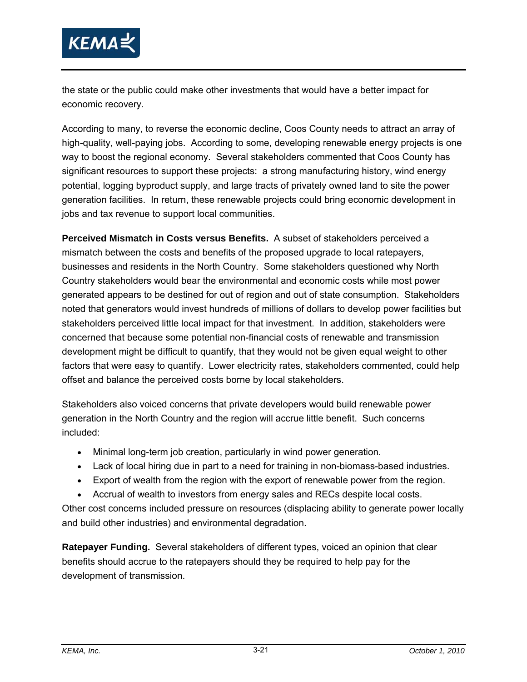

the state or the public could make other investments that would have a better impact for economic recovery.

According to many, to reverse the economic decline, Coos County needs to attract an array of high-quality, well-paying jobs. According to some, developing renewable energy projects is one way to boost the regional economy. Several stakeholders commented that Coos County has significant resources to support these projects: a strong manufacturing history, wind energy potential, logging byproduct supply, and large tracts of privately owned land to site the power generation facilities. In return, these renewable projects could bring economic development in jobs and tax revenue to support local communities.

**Perceived Mismatch in Costs versus Benefits.** A subset of stakeholders perceived a mismatch between the costs and benefits of the proposed upgrade to local ratepayers, businesses and residents in the North Country. Some stakeholders questioned why North Country stakeholders would bear the environmental and economic costs while most power generated appears to be destined for out of region and out of state consumption. Stakeholders noted that generators would invest hundreds of millions of dollars to develop power facilities but stakeholders perceived little local impact for that investment. In addition, stakeholders were concerned that because some potential non-financial costs of renewable and transmission development might be difficult to quantify, that they would not be given equal weight to other factors that were easy to quantify. Lower electricity rates, stakeholders commented, could help offset and balance the perceived costs borne by local stakeholders.

Stakeholders also voiced concerns that private developers would build renewable power generation in the North Country and the region will accrue little benefit. Such concerns included:

- Minimal long-term job creation, particularly in wind power generation.
- Lack of local hiring due in part to a need for training in non-biomass-based industries.
- Export of wealth from the region with the export of renewable power from the region.
- Accrual of wealth to investors from energy sales and RECs despite local costs.

Other cost concerns included pressure on resources (displacing ability to generate power locally and build other industries) and environmental degradation.

**Ratepayer Funding.** Several stakeholders of different types, voiced an opinion that clear benefits should accrue to the ratepayers should they be required to help pay for the development of transmission.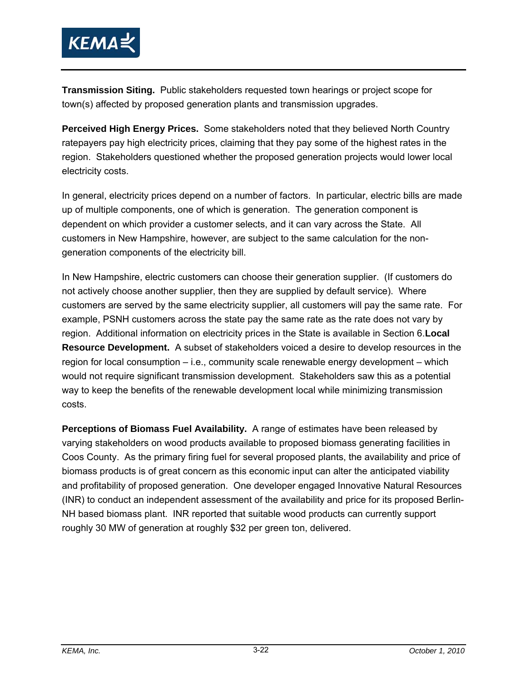

**Transmission Siting.** Public stakeholders requested town hearings or project scope for town(s) affected by proposed generation plants and transmission upgrades.

**Perceived High Energy Prices.** Some stakeholders noted that they believed North Country ratepayers pay high electricity prices, claiming that they pay some of the highest rates in the region. Stakeholders questioned whether the proposed generation projects would lower local electricity costs.

In general, electricity prices depend on a number of factors. In particular, electric bills are made up of multiple components, one of which is generation. The generation component is dependent on which provider a customer selects, and it can vary across the State. All customers in New Hampshire, however, are subject to the same calculation for the nongeneration components of the electricity bill.

In New Hampshire, electric customers can choose their generation supplier. (If customers do not actively choose another supplier, then they are supplied by default service). Where customers are served by the same electricity supplier, all customers will pay the same rate. For example, PSNH customers across the state pay the same rate as the rate does not vary by region. Additional information on electricity prices in the State is available in Section 6.**Local Resource Development.** A subset of stakeholders voiced a desire to develop resources in the region for local consumption – i.e., community scale renewable energy development – which would not require significant transmission development. Stakeholders saw this as a potential way to keep the benefits of the renewable development local while minimizing transmission costs.

**Perceptions of Biomass Fuel Availability.** A range of estimates have been released by varying stakeholders on wood products available to proposed biomass generating facilities in Coos County. As the primary firing fuel for several proposed plants, the availability and price of biomass products is of great concern as this economic input can alter the anticipated viability and profitability of proposed generation. One developer engaged Innovative Natural Resources (INR) to conduct an independent assessment of the availability and price for its proposed Berlin-NH based biomass plant. INR reported that suitable wood products can currently support roughly 30 MW of generation at roughly \$32 per green ton, delivered.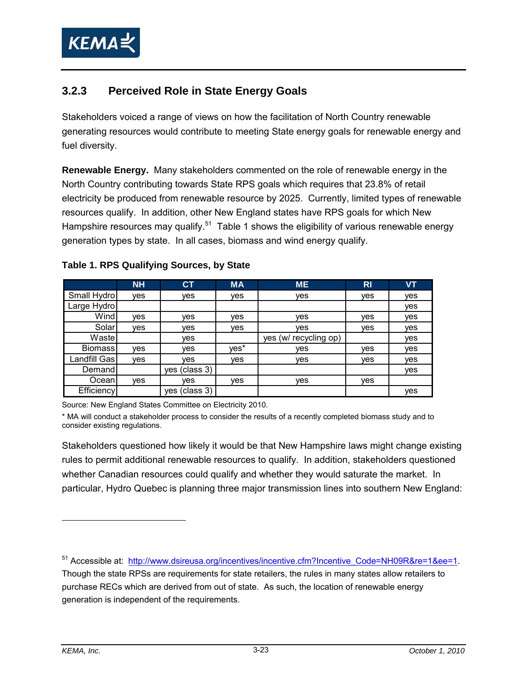

### **3.2.3 Perceived Role in State Energy Goals**

Stakeholders voiced a range of views on how the facilitation of North Country renewable generating resources would contribute to meeting State energy goals for renewable energy and fuel diversity.

**Renewable Energy.** Many stakeholders commented on the role of renewable energy in the North Country contributing towards State RPS goals which requires that 23.8% of retail electricity be produced from renewable resource by 2025. Currently, limited types of renewable resources qualify. In addition, other New England states have RPS goals for which New Hampshire resources may qualify.<sup>51</sup> Table 1 shows the eligibility of various renewable energy generation types by state. In all cases, biomass and wind energy qualify.

|                | NH  | СT            | <b>MA</b> | <b>ME</b>             | <b>RI</b> | VT  |
|----------------|-----|---------------|-----------|-----------------------|-----------|-----|
| Small Hydro    | ves | ves           | ves       | yes                   | ves       | yes |
| Large Hydro    |     |               |           |                       |           | yes |
| <b>Wind</b>    | ves | yes           | ves       | yes                   | ves       | yes |
| Solar          | yes | yes           | yes       | yes                   | yes       | yes |
| Wastel         |     | yes           |           | yes (w/ recycling op) |           | ves |
| <b>Biomass</b> | yes | yes           | yes*      | yes                   | ves       | yes |
| Landfill Gas   | yes | ves           | ves       | yes                   | ves       | yes |
| Demandl        |     | yes (class 3) |           |                       |           | ves |
| Ocean          | ves | ves           | ves       | yes                   | ves       |     |
| Efficiency     |     | yes (class 3) |           |                       |           | yes |

#### **Table 1. RPS Qualifying Sources, by State**

Source: New England States Committee on Electricity 2010.

\* MA will conduct a stakeholder process to consider the results of a recently completed biomass study and to consider existing regulations.

Stakeholders questioned how likely it would be that New Hampshire laws might change existing rules to permit additional renewable resources to qualify. In addition, stakeholders questioned whether Canadian resources could qualify and whether they would saturate the market. In particular, Hydro Quebec is planning three major transmission lines into southern New England:

<sup>&</sup>lt;sup>51</sup> Accessible at: http://www.dsireusa.org/incentives/incentive.cfm?Incentive\_Code=NH09R&re=1&ee=1. Though the state RPSs are requirements for state retailers, the rules in many states allow retailers to purchase RECs which are derived from out of state. As such, the location of renewable energy generation is independent of the requirements.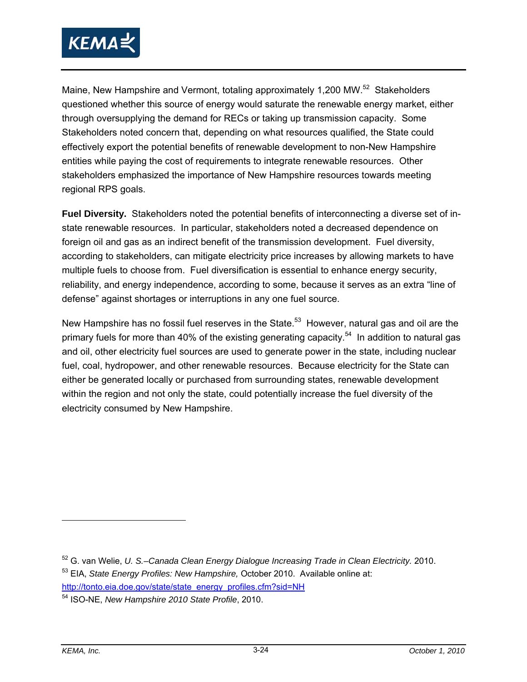

Maine, New Hampshire and Vermont, totaling approximately 1,200 MW.<sup>52</sup> Stakeholders questioned whether this source of energy would saturate the renewable energy market, either through oversupplying the demand for RECs or taking up transmission capacity. Some Stakeholders noted concern that, depending on what resources qualified, the State could effectively export the potential benefits of renewable development to non-New Hampshire entities while paying the cost of requirements to integrate renewable resources. Other stakeholders emphasized the importance of New Hampshire resources towards meeting regional RPS goals.

**Fuel Diversity.** Stakeholders noted the potential benefits of interconnecting a diverse set of instate renewable resources. In particular, stakeholders noted a decreased dependence on foreign oil and gas as an indirect benefit of the transmission development. Fuel diversity, according to stakeholders, can mitigate electricity price increases by allowing markets to have multiple fuels to choose from. Fuel diversification is essential to enhance energy security, reliability, and energy independence, according to some, because it serves as an extra "line of defense" against shortages or interruptions in any one fuel source.

New Hampshire has no fossil fuel reserves in the State.<sup>53</sup> However, natural gas and oil are the primary fuels for more than 40% of the existing generating capacity.<sup>54</sup> In addition to natural gas and oil, other electricity fuel sources are used to generate power in the state, including nuclear fuel, coal, hydropower, and other renewable resources. Because electricity for the State can either be generated locally or purchased from surrounding states, renewable development within the region and not only the state, could potentially increase the fuel diversity of the electricity consumed by New Hampshire.

<sup>52</sup> G. van Welie, *U. S.–Canada Clean Energy Dialogue Increasing Trade in Clean Electricity.* 2010. 53 EIA, *State Energy Profiles: New Hampshire,* October 2010. Available online at: http://tonto.eia.doe.gov/state/state\_energy\_profiles.cfm?sid=NH 54 ISO-NE, *New Hampshire 2010 State Profile*, 2010.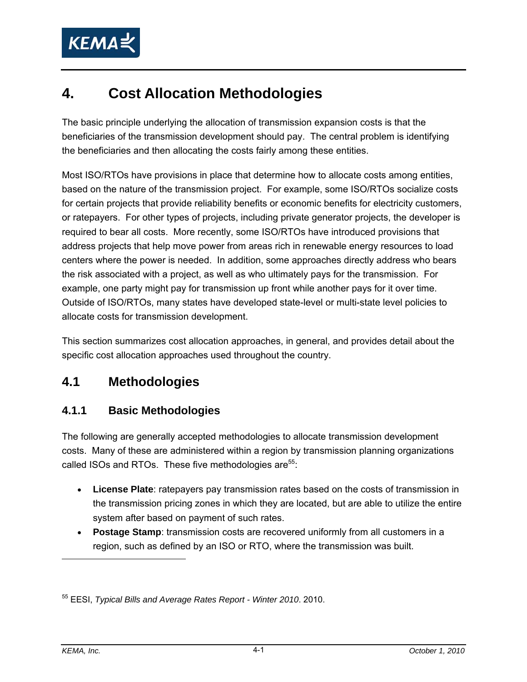

# **4. Cost Allocation Methodologies**

The basic principle underlying the allocation of transmission expansion costs is that the beneficiaries of the transmission development should pay. The central problem is identifying the beneficiaries and then allocating the costs fairly among these entities.

Most ISO/RTOs have provisions in place that determine how to allocate costs among entities, based on the nature of the transmission project. For example, some ISO/RTOs socialize costs for certain projects that provide reliability benefits or economic benefits for electricity customers, or ratepayers. For other types of projects, including private generator projects, the developer is required to bear all costs. More recently, some ISO/RTOs have introduced provisions that address projects that help move power from areas rich in renewable energy resources to load centers where the power is needed. In addition, some approaches directly address who bears the risk associated with a project, as well as who ultimately pays for the transmission. For example, one party might pay for transmission up front while another pays for it over time. Outside of ISO/RTOs, many states have developed state-level or multi-state level policies to allocate costs for transmission development.

This section summarizes cost allocation approaches, in general, and provides detail about the specific cost allocation approaches used throughout the country.

### **4.1 Methodologies**

### **4.1.1 Basic Methodologies**

The following are generally accepted methodologies to allocate transmission development costs. Many of these are administered within a region by transmission planning organizations called ISOs and RTOs. These five methodologies are<sup>55</sup>:

- **License Plate**: ratepayers pay transmission rates based on the costs of transmission in the transmission pricing zones in which they are located, but are able to utilize the entire system after based on payment of such rates.
- **Postage Stamp**: transmission costs are recovered uniformly from all customers in a region, such as defined by an ISO or RTO, where the transmission was built.

 $\overline{a}$ 

<sup>55</sup> EESI, *Typical Bills and Average Rates Report - Winter 2010*. 2010.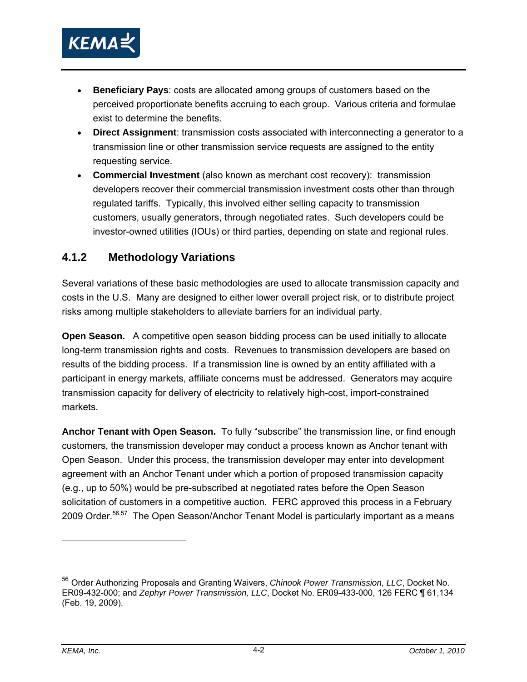

- **Beneficiary Pays**: costs are allocated among groups of customers based on the perceived proportionate benefits accruing to each group. Various criteria and formulae exist to determine the benefits.
- **Direct Assignment**: transmission costs associated with interconnecting a generator to a transmission line or other transmission service requests are assigned to the entity requesting service.
- **Commercial Investment** (also known as merchant cost recovery): transmission developers recover their commercial transmission investment costs other than through regulated tariffs. Typically, this involved either selling capacity to transmission customers, usually generators, through negotiated rates. Such developers could be investor-owned utilities (IOUs) or third parties, depending on state and regional rules.

### **4.1.2 Methodology Variations**

Several variations of these basic methodologies are used to allocate transmission capacity and costs in the U.S. Many are designed to either lower overall project risk, or to distribute project risks among multiple stakeholders to alleviate barriers for an individual party.

**Open Season.** A competitive open season bidding process can be used initially to allocate long-term transmission rights and costs. Revenues to transmission developers are based on results of the bidding process. If a transmission line is owned by an entity affiliated with a participant in energy markets, affiliate concerns must be addressed. Generators may acquire transmission capacity for delivery of electricity to relatively high-cost, import-constrained markets.

**Anchor Tenant with Open Season.** To fully "subscribe" the transmission line, or find enough customers, the transmission developer may conduct a process known as Anchor tenant with Open Season. Under this process, the transmission developer may enter into development agreement with an Anchor Tenant under which a portion of proposed transmission capacity (e.g., up to 50%) would be pre-subscribed at negotiated rates before the Open Season solicitation of customers in a competitive auction. FERC approved this process in a February 2009 Order.<sup>56,57</sup> The Open Season/Anchor Tenant Model is particularly important as a means

<sup>56</sup> Order Authorizing Proposals and Granting Waivers, *Chinook Power Transmission, LLC*, Docket No. ER09-432-000; and *Zephyr Power Transmission, LLC*, Docket No. ER09-433-000, 126 FERC ¶ 61,134 (Feb. 19, 2009).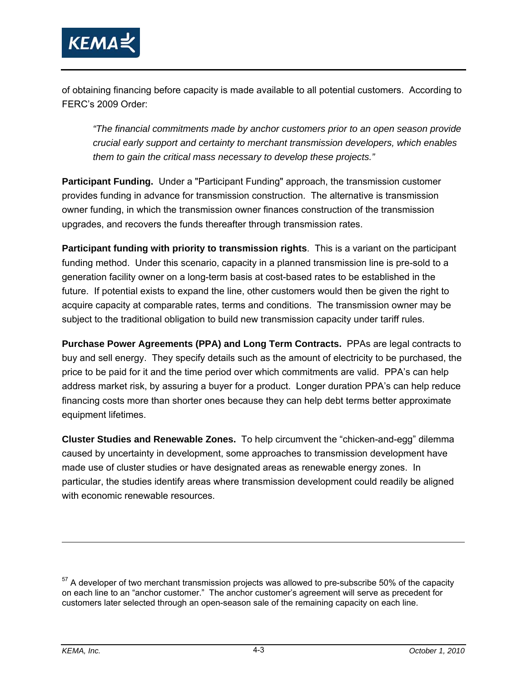

of obtaining financing before capacity is made available to all potential customers. According to FERC's 2009 Order:

*"The financial commitments made by anchor customers prior to an open season provide crucial early support and certainty to merchant transmission developers, which enables them to gain the critical mass necessary to develop these projects."* 

**Participant Funding.** Under a "Participant Funding" approach, the transmission customer provides funding in advance for transmission construction. The alternative is transmission owner funding, in which the transmission owner finances construction of the transmission upgrades, and recovers the funds thereafter through transmission rates.

**Participant funding with priority to transmission rights**. This is a variant on the participant funding method. Under this scenario, capacity in a planned transmission line is pre-sold to a generation facility owner on a long-term basis at cost-based rates to be established in the future. If potential exists to expand the line, other customers would then be given the right to acquire capacity at comparable rates, terms and conditions. The transmission owner may be subject to the traditional obligation to build new transmission capacity under tariff rules.

**Purchase Power Agreements (PPA) and Long Term Contracts.** PPAs are legal contracts to buy and sell energy. They specify details such as the amount of electricity to be purchased, the price to be paid for it and the time period over which commitments are valid. PPA's can help address market risk, by assuring a buyer for a product. Longer duration PPA's can help reduce financing costs more than shorter ones because they can help debt terms better approximate equipment lifetimes.

**Cluster Studies and Renewable Zones.** To help circumvent the "chicken-and-egg" dilemma caused by uncertainty in development, some approaches to transmission development have made use of cluster studies or have designated areas as renewable energy zones. In particular, the studies identify areas where transmission development could readily be aligned with economic renewable resources.

 $57$  A developer of two merchant transmission projects was allowed to pre-subscribe 50% of the capacity on each line to an "anchor customer." The anchor customer's agreement will serve as precedent for customers later selected through an open-season sale of the remaining capacity on each line.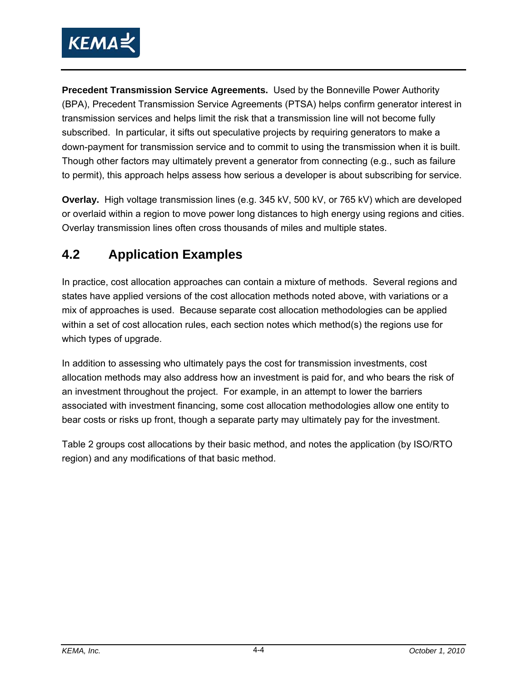

**Precedent Transmission Service Agreements.** Used by the Bonneville Power Authority (BPA), Precedent Transmission Service Agreements (PTSA) helps confirm generator interest in transmission services and helps limit the risk that a transmission line will not become fully subscribed. In particular, it sifts out speculative projects by requiring generators to make a down-payment for transmission service and to commit to using the transmission when it is built. Though other factors may ultimately prevent a generator from connecting (e.g., such as failure to permit), this approach helps assess how serious a developer is about subscribing for service.

**Overlay.** High voltage transmission lines (e.g. 345 kV, 500 kV, or 765 kV) which are developed or overlaid within a region to move power long distances to high energy using regions and cities. Overlay transmission lines often cross thousands of miles and multiple states.

## **4.2 Application Examples**

In practice, cost allocation approaches can contain a mixture of methods. Several regions and states have applied versions of the cost allocation methods noted above, with variations or a mix of approaches is used. Because separate cost allocation methodologies can be applied within a set of cost allocation rules, each section notes which method(s) the regions use for which types of upgrade.

In addition to assessing who ultimately pays the cost for transmission investments, cost allocation methods may also address how an investment is paid for, and who bears the risk of an investment throughout the project. For example, in an attempt to lower the barriers associated with investment financing, some cost allocation methodologies allow one entity to bear costs or risks up front, though a separate party may ultimately pay for the investment.

Table 2 groups cost allocations by their basic method, and notes the application (by ISO/RTO region) and any modifications of that basic method.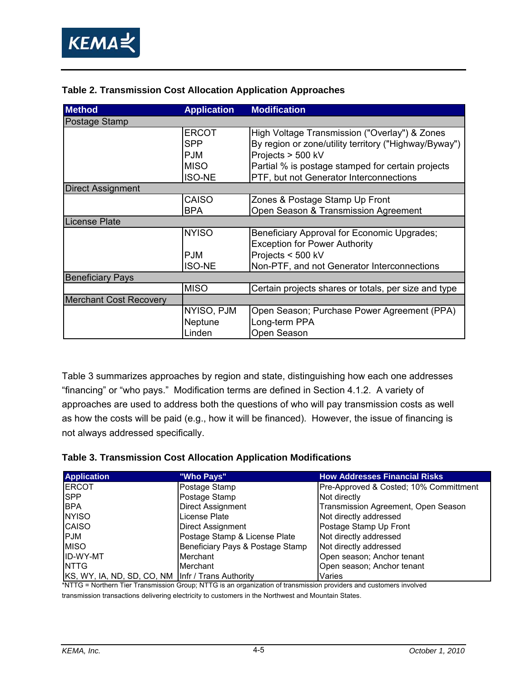

|  |  | Table 2. Transmission Cost Allocation Application Approaches |  |  |
|--|--|--------------------------------------------------------------|--|--|
|--|--|--------------------------------------------------------------|--|--|

| <b>Method</b>            | <b>Application</b>                                 | <b>Modification</b>                                   |
|--------------------------|----------------------------------------------------|-------------------------------------------------------|
| Postage Stamp            |                                                    |                                                       |
|                          | <b>ERCOT</b>                                       | High Voltage Transmission ("Overlay") & Zones         |
|                          | <b>SPP</b>                                         | By region or zone/utility territory ("Highway/Byway") |
|                          | <b>PJM</b>                                         | Projects > 500 kV                                     |
|                          | <b>IMISO</b>                                       | Partial % is postage stamped for certain projects     |
|                          | <b>ISO-NE</b>                                      | PTF, but not Generator Interconnections               |
| <b>Direct Assignment</b> |                                                    |                                                       |
|                          | CAISO                                              | Zones & Postage Stamp Up Front                        |
|                          | Open Season & Transmission Agreement<br><b>BPA</b> |                                                       |
| <b>License Plate</b>     |                                                    |                                                       |
|                          | <b>NYISO</b>                                       | Beneficiary Approval for Economic Upgrades;           |
|                          |                                                    | <b>Exception for Power Authority</b>                  |
|                          | <b>PJM</b>                                         | Projects < 500 kV                                     |
|                          | <b>ISO-NE</b>                                      | Non-PTF, and not Generator Interconnections           |
| <b>Beneficiary Pays</b>  |                                                    |                                                       |
|                          | <b>MISO</b>                                        | Certain projects shares or totals, per size and type  |
| Merchant Cost Recovery   |                                                    |                                                       |
|                          | NYISO, PJM                                         | Open Season; Purchase Power Agreement (PPA)           |
|                          | Neptune                                            | Long-term PPA                                         |
|                          | Linden                                             | Open Season                                           |

Table 3 summarizes approaches by region and state, distinguishing how each one addresses "financing" or "who pays." Modification terms are defined in Section 4.1.2. A variety of approaches are used to address both the questions of who will pay transmission costs as well as how the costs will be paid (e.g., how it will be financed). However, the issue of financing is not always addressed specifically.

| <b>Application</b>                                | "Who Pays"                       | <b>How Addresses Financial Risks</b>   |
|---------------------------------------------------|----------------------------------|----------------------------------------|
| <b>IERCOT</b>                                     | Postage Stamp                    | Pre-Approved & Costed; 10% Committment |
| <b>SPP</b>                                        | Postage Stamp                    | Not directly                           |
| <b>IBPA</b>                                       | Direct Assignment                | Transmission Agreement, Open Season    |
| <b>INYISO</b>                                     | License Plate                    | Not directly addressed                 |
| <b>CAISO</b>                                      | Direct Assignment                | Postage Stamp Up Front                 |
| <b>IPJM</b>                                       | Postage Stamp & License Plate    | Not directly addressed                 |
| <b>MISO</b>                                       | Beneficiary Pays & Postage Stamp | Not directly addressed                 |
| <b>IID-WY-MT</b>                                  | Merchant                         | Open season; Anchor tenant             |
| <b>NTTG</b>                                       | <b>I</b> Merchant                | Open season; Anchor tenant             |
| KS, WY, IA, ND, SD, CO, NM Infr / Trans Authority |                                  | Varies                                 |

\*NTTG = Northern Tier Transmission Group; NTTG is an organization of transmission providers and customers involved transmission transactions delivering electricity to customers in the Northwest and Mountain States.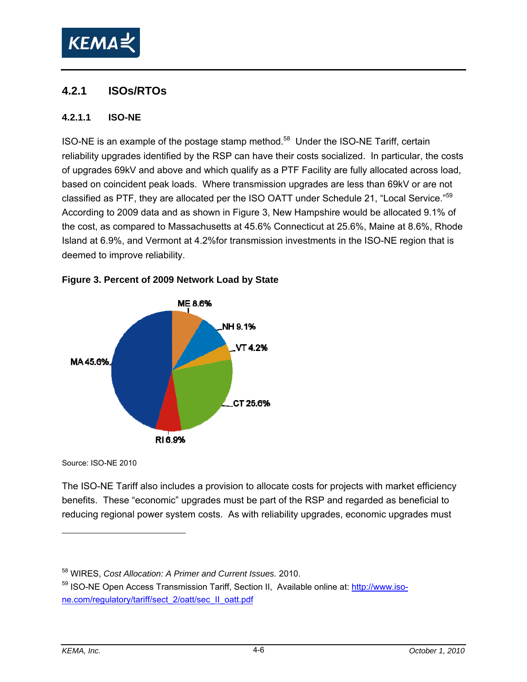

### **4.2.1 ISOs/RTOs**

### **4.2.1.1 ISO-NE**

ISO-NE is an example of the postage stamp method.58 Under the ISO-NE Tariff, certain reliability upgrades identified by the RSP can have their costs socialized. In particular, the costs of upgrades 69kV and above and which qualify as a PTF Facility are fully allocated across load, based on coincident peak loads. Where transmission upgrades are less than 69kV or are not classified as PTF, they are allocated per the ISO OATT under Schedule 21, "Local Service."59 According to 2009 data and as shown in Figure 3, New Hampshire would be allocated 9.1% of the cost, as compared to Massachusetts at 45.6% Connecticut at 25.6%, Maine at 8.6%, Rhode Island at 6.9%, and Vermont at 4.2%for transmission investments in the ISO-NE region that is deemed to improve reliability.



#### **Figure 3. Percent of 2009 Network Load by State**

Source: ISO-NE 2010

The ISO-NE Tariff also includes a provision to allocate costs for projects with market efficiency benefits. These "economic" upgrades must be part of the RSP and regarded as beneficial to reducing regional power system costs. As with reliability upgrades, economic upgrades must

<sup>58</sup> WIRES, *Cost Allocation: A Primer and Current Issues.* 2010.

<sup>&</sup>lt;sup>59</sup> ISO-NE Open Access Transmission Tariff, Section II, Available online at: http://www.isone.com/regulatory/tariff/sect\_2/oatt/sec\_II\_oatt.pdf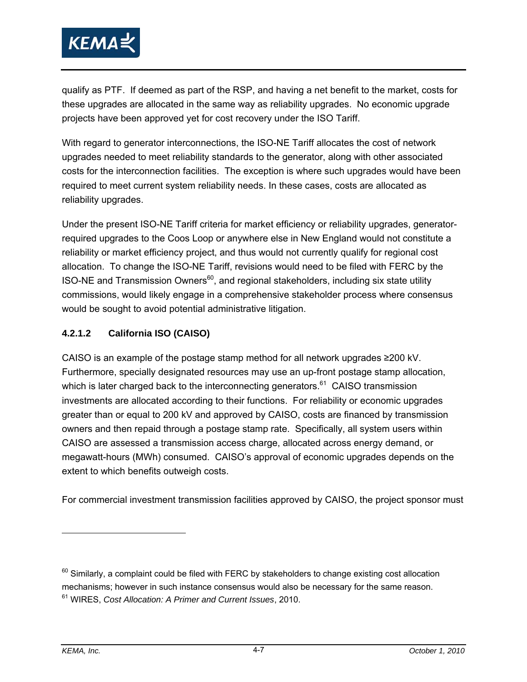

qualify as PTF. If deemed as part of the RSP, and having a net benefit to the market, costs for these upgrades are allocated in the same way as reliability upgrades. No economic upgrade projects have been approved yet for cost recovery under the ISO Tariff.

With regard to generator interconnections, the ISO-NE Tariff allocates the cost of network upgrades needed to meet reliability standards to the generator, along with other associated costs for the interconnection facilities. The exception is where such upgrades would have been required to meet current system reliability needs. In these cases, costs are allocated as reliability upgrades.

Under the present ISO-NE Tariff criteria for market efficiency or reliability upgrades, generatorrequired upgrades to the Coos Loop or anywhere else in New England would not constitute a reliability or market efficiency project, and thus would not currently qualify for regional cost allocation. To change the ISO-NE Tariff, revisions would need to be filed with FERC by the ISO-NE and Transmission Owners $^{60}$ , and regional stakeholders, including six state utility commissions, would likely engage in a comprehensive stakeholder process where consensus would be sought to avoid potential administrative litigation.

### **4.2.1.2 California ISO (CAISO)**

CAISO is an example of the postage stamp method for all network upgrades ≥200 kV. Furthermore, specially designated resources may use an up-front postage stamp allocation, which is later charged back to the interconnecting generators.<sup>61</sup> CAISO transmission investments are allocated according to their functions. For reliability or economic upgrades greater than or equal to 200 kV and approved by CAISO, costs are financed by transmission owners and then repaid through a postage stamp rate. Specifically, all system users within CAISO are assessed a transmission access charge, allocated across energy demand, or megawatt-hours (MWh) consumed. CAISO's approval of economic upgrades depends on the extent to which benefits outweigh costs.

For commercial investment transmission facilities approved by CAISO, the project sponsor must

 $60$  Similarly, a complaint could be filed with FERC by stakeholders to change existing cost allocation mechanisms; however in such instance consensus would also be necessary for the same reason. 61 WIRES, *Cost Allocation: A Primer and Current Issues*, 2010.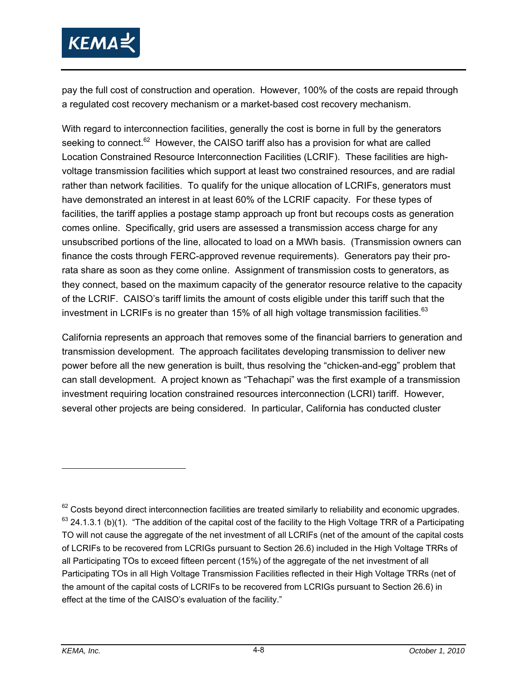

pay the full cost of construction and operation. However, 100% of the costs are repaid through a regulated cost recovery mechanism or a market-based cost recovery mechanism.

With regard to interconnection facilities, generally the cost is borne in full by the generators seeking to connect.<sup>62</sup> However, the CAISO tariff also has a provision for what are called Location Constrained Resource Interconnection Facilities (LCRIF). These facilities are highvoltage transmission facilities which support at least two constrained resources, and are radial rather than network facilities. To qualify for the unique allocation of LCRIFs, generators must have demonstrated an interest in at least 60% of the LCRIF capacity. For these types of facilities, the tariff applies a postage stamp approach up front but recoups costs as generation comes online. Specifically, grid users are assessed a transmission access charge for any unsubscribed portions of the line, allocated to load on a MWh basis. (Transmission owners can finance the costs through FERC-approved revenue requirements). Generators pay their prorata share as soon as they come online. Assignment of transmission costs to generators, as they connect, based on the maximum capacity of the generator resource relative to the capacity of the LCRIF. CAISO's tariff limits the amount of costs eligible under this tariff such that the investment in LCRIFs is no greater than 15% of all high voltage transmission facilities. $63$ 

California represents an approach that removes some of the financial barriers to generation and transmission development. The approach facilitates developing transmission to deliver new power before all the new generation is built, thus resolving the "chicken-and-egg" problem that can stall development. A project known as "Tehachapi" was the first example of a transmission investment requiring location constrained resources interconnection (LCRI) tariff. However, several other projects are being considered. In particular, California has conducted cluster

 $\overline{a}$ 

<sup>&</sup>lt;sup>62</sup> Costs beyond direct interconnection facilities are treated similarly to reliability and economic upgrades.  $63$  24.1.3.1 (b)(1). "The addition of the capital cost of the facility to the High Voltage TRR of a Participating TO will not cause the aggregate of the net investment of all LCRIFs (net of the amount of the capital costs of LCRIFs to be recovered from LCRIGs pursuant to Section 26.6) included in the High Voltage TRRs of all Participating TOs to exceed fifteen percent (15%) of the aggregate of the net investment of all Participating TOs in all High Voltage Transmission Facilities reflected in their High Voltage TRRs (net of the amount of the capital costs of LCRIFs to be recovered from LCRIGs pursuant to Section 26.6) in effect at the time of the CAISO's evaluation of the facility."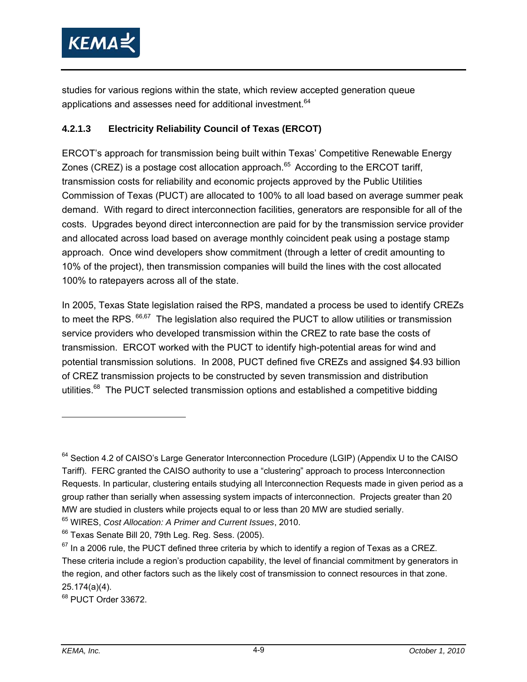

studies for various regions within the state, which review accepted generation queue applications and assesses need for additional investment.<sup>64</sup>

### **4.2.1.3 Electricity Reliability Council of Texas (ERCOT)**

ERCOT's approach for transmission being built within Texas' Competitive Renewable Energy Zones (CREZ) is a postage cost allocation approach. $65$  According to the ERCOT tariff, transmission costs for reliability and economic projects approved by the Public Utilities Commission of Texas (PUCT) are allocated to 100% to all load based on average summer peak demand. With regard to direct interconnection facilities, generators are responsible for all of the costs. Upgrades beyond direct interconnection are paid for by the transmission service provider and allocated across load based on average monthly coincident peak using a postage stamp approach. Once wind developers show commitment (through a letter of credit amounting to 10% of the project), then transmission companies will build the lines with the cost allocated 100% to ratepayers across all of the state.

In 2005, Texas State legislation raised the RPS, mandated a process be used to identify CREZs to meet the RPS.  $66,67$  The legislation also required the PUCT to allow utilities or transmission service providers who developed transmission within the CREZ to rate base the costs of transmission. ERCOT worked with the PUCT to identify high-potential areas for wind and potential transmission solutions. In 2008, PUCT defined five CREZs and assigned \$4.93 billion of CREZ transmission projects to be constructed by seven transmission and distribution utilities.<sup>68</sup> The PUCT selected transmission options and established a competitive bidding

<sup>66</sup> Texas Senate Bill 20, 79th Leg. Reg. Sess. (2005).

<sup>68</sup> PUCT Order 33672.

<sup>&</sup>lt;sup>64</sup> Section 4.2 of CAISO's Large Generator Interconnection Procedure (LGIP) (Appendix U to the CAISO Tariff). FERC granted the CAISO authority to use a "clustering" approach to process Interconnection Requests. In particular, clustering entails studying all Interconnection Requests made in given period as a group rather than serially when assessing system impacts of interconnection. Projects greater than 20 MW are studied in clusters while projects equal to or less than 20 MW are studied serially.

<sup>65</sup> WIRES, *Cost Allocation: A Primer and Current Issues*, 2010.

 $67$  In a 2006 rule, the PUCT defined three criteria by which to identify a region of Texas as a CREZ. These criteria include a region's production capability, the level of financial commitment by generators in the region, and other factors such as the likely cost of transmission to connect resources in that zone. 25.174(a)(4).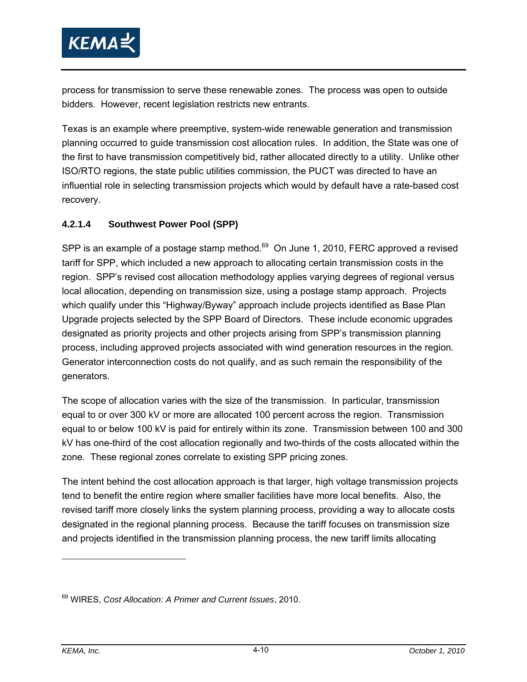

process for transmission to serve these renewable zones. The process was open to outside bidders. However, recent legislation restricts new entrants.

Texas is an example where preemptive, system-wide renewable generation and transmission planning occurred to guide transmission cost allocation rules. In addition, the State was one of the first to have transmission competitively bid, rather allocated directly to a utility. Unlike other ISO/RTO regions, the state public utilities commission, the PUCT was directed to have an influential role in selecting transmission projects which would by default have a rate-based cost recovery.

### **4.2.1.4 Southwest Power Pool (SPP)**

SPP is an example of a postage stamp method.<sup>69</sup> On June 1, 2010, FERC approved a revised tariff for SPP, which included a new approach to allocating certain transmission costs in the region. SPP's revised cost allocation methodology applies varying degrees of regional versus local allocation, depending on transmission size, using a postage stamp approach. Projects which qualify under this "Highway/Byway" approach include projects identified as Base Plan Upgrade projects selected by the SPP Board of Directors. These include economic upgrades designated as priority projects and other projects arising from SPP's transmission planning process, including approved projects associated with wind generation resources in the region. Generator interconnection costs do not qualify, and as such remain the responsibility of the generators.

The scope of allocation varies with the size of the transmission. In particular, transmission equal to or over 300 kV or more are allocated 100 percent across the region. Transmission equal to or below 100 kV is paid for entirely within its zone. Transmission between 100 and 300 kV has one-third of the cost allocation regionally and two-thirds of the costs allocated within the zone. These regional zones correlate to existing SPP pricing zones.

The intent behind the cost allocation approach is that larger, high voltage transmission projects tend to benefit the entire region where smaller facilities have more local benefits. Also, the revised tariff more closely links the system planning process, providing a way to allocate costs designated in the regional planning process. Because the tariff focuses on transmission size and projects identified in the transmission planning process, the new tariff limits allocating

<sup>69</sup> WIRES, *Cost Allocation: A Primer and Current Issues*, 2010.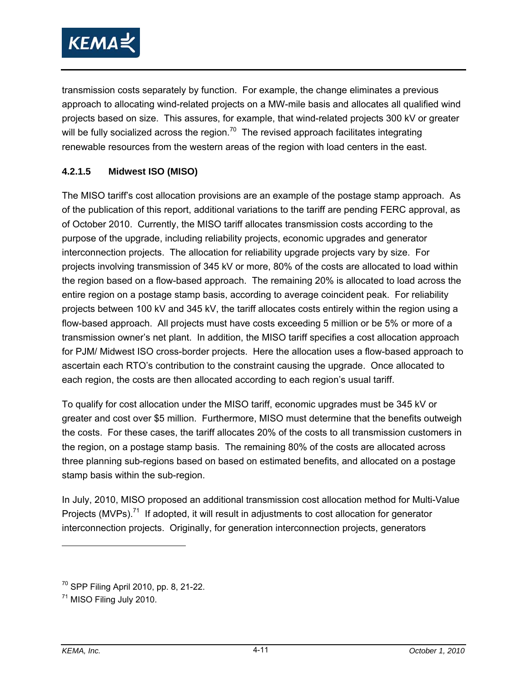

transmission costs separately by function. For example, the change eliminates a previous approach to allocating wind-related projects on a MW-mile basis and allocates all qualified wind projects based on size. This assures, for example, that wind-related projects 300 kV or greater will be fully socialized across the region.<sup>70</sup> The revised approach facilitates integrating renewable resources from the western areas of the region with load centers in the east.

### **4.2.1.5 Midwest ISO (MISO)**

The MISO tariff's cost allocation provisions are an example of the postage stamp approach. As of the publication of this report, additional variations to the tariff are pending FERC approval, as of October 2010. Currently, the MISO tariff allocates transmission costs according to the purpose of the upgrade, including reliability projects, economic upgrades and generator interconnection projects. The allocation for reliability upgrade projects vary by size. For projects involving transmission of 345 kV or more, 80% of the costs are allocated to load within the region based on a flow-based approach. The remaining 20% is allocated to load across the entire region on a postage stamp basis, according to average coincident peak. For reliability projects between 100 kV and 345 kV, the tariff allocates costs entirely within the region using a flow-based approach. All projects must have costs exceeding 5 million or be 5% or more of a transmission owner's net plant. In addition, the MISO tariff specifies a cost allocation approach for PJM/ Midwest ISO cross-border projects. Here the allocation uses a flow-based approach to ascertain each RTO's contribution to the constraint causing the upgrade. Once allocated to each region, the costs are then allocated according to each region's usual tariff.

To qualify for cost allocation under the MISO tariff, economic upgrades must be 345 kV or greater and cost over \$5 million. Furthermore, MISO must determine that the benefits outweigh the costs. For these cases, the tariff allocates 20% of the costs to all transmission customers in the region, on a postage stamp basis. The remaining 80% of the costs are allocated across three planning sub-regions based on based on estimated benefits, and allocated on a postage stamp basis within the sub-region.

In July, 2010, MISO proposed an additional transmission cost allocation method for Multi-Value Projects (MVPs).<sup>71</sup> If adopted, it will result in adjustments to cost allocation for generator interconnection projects. Originally, for generation interconnection projects, generators

 $\overline{a}$ 

 $70$  SPP Filing April 2010, pp. 8, 21-22.

<sup>&</sup>lt;sup>71</sup> MISO Filing July 2010.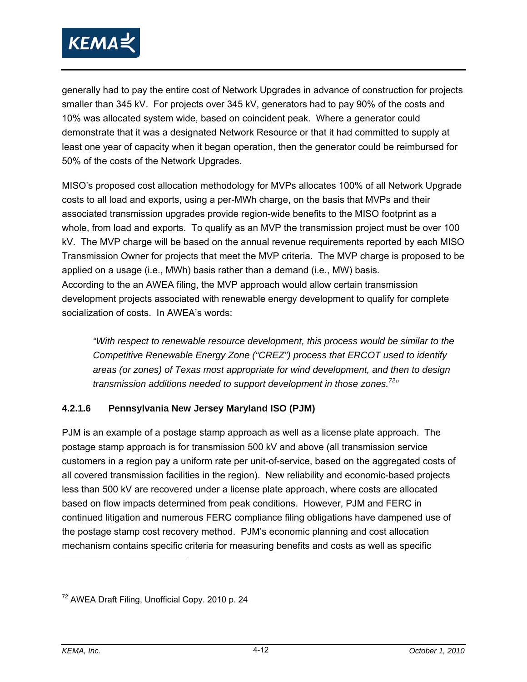

generally had to pay the entire cost of Network Upgrades in advance of construction for projects smaller than 345 kV. For projects over 345 kV, generators had to pay 90% of the costs and 10% was allocated system wide, based on coincident peak. Where a generator could demonstrate that it was a designated Network Resource or that it had committed to supply at least one year of capacity when it began operation, then the generator could be reimbursed for 50% of the costs of the Network Upgrades.

MISO's proposed cost allocation methodology for MVPs allocates 100% of all Network Upgrade costs to all load and exports, using a per-MWh charge, on the basis that MVPs and their associated transmission upgrades provide region-wide benefits to the MISO footprint as a whole, from load and exports. To qualify as an MVP the transmission project must be over 100 kV. The MVP charge will be based on the annual revenue requirements reported by each MISO Transmission Owner for projects that meet the MVP criteria. The MVP charge is proposed to be applied on a usage (i.e., MWh) basis rather than a demand (i.e., MW) basis. According to the an AWEA filing, the MVP approach would allow certain transmission development projects associated with renewable energy development to qualify for complete socialization of costs. In AWEA's words:

*"With respect to renewable resource development, this process would be similar to the Competitive Renewable Energy Zone ("CREZ") process that ERCOT used to identify areas (or zones) of Texas most appropriate for wind development, and then to design transmission additions needed to support development in those zones.72"* 

### **4.2.1.6 Pennsylvania New Jersey Maryland ISO (PJM)**

PJM is an example of a postage stamp approach as well as a license plate approach. The postage stamp approach is for transmission 500 kV and above (all transmission service customers in a region pay a uniform rate per unit-of-service, based on the aggregated costs of all covered transmission facilities in the region). New reliability and economic-based projects less than 500 kV are recovered under a license plate approach, where costs are allocated based on flow impacts determined from peak conditions. However, PJM and FERC in continued litigation and numerous FERC compliance filing obligations have dampened use of the postage stamp cost recovery method. PJM's economic planning and cost allocation mechanism contains specific criteria for measuring benefits and costs as well as specific

<sup>72</sup> AWEA Draft Filing, Unofficial Copy. 2010 p. 24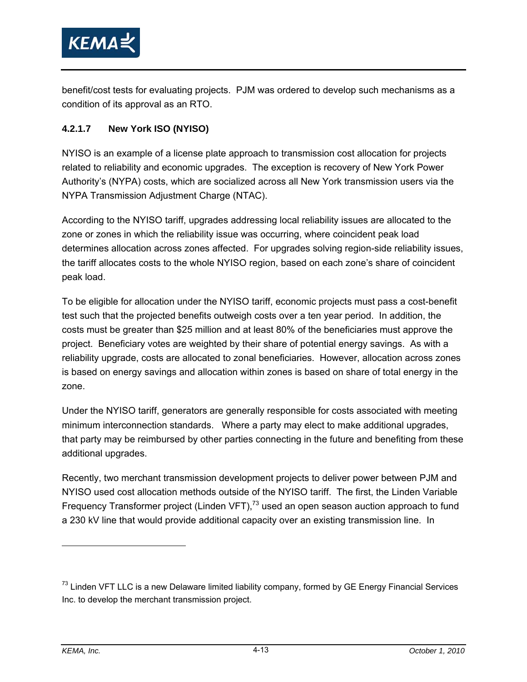

benefit/cost tests for evaluating projects. PJM was ordered to develop such mechanisms as a condition of its approval as an RTO.

### **4.2.1.7 New York ISO (NYISO)**

NYISO is an example of a license plate approach to transmission cost allocation for projects related to reliability and economic upgrades. The exception is recovery of New York Power Authority's (NYPA) costs, which are socialized across all New York transmission users via the NYPA Transmission Adjustment Charge (NTAC).

According to the NYISO tariff, upgrades addressing local reliability issues are allocated to the zone or zones in which the reliability issue was occurring, where coincident peak load determines allocation across zones affected. For upgrades solving region-side reliability issues, the tariff allocates costs to the whole NYISO region, based on each zone's share of coincident peak load.

To be eligible for allocation under the NYISO tariff, economic projects must pass a cost-benefit test such that the projected benefits outweigh costs over a ten year period. In addition, the costs must be greater than \$25 million and at least 80% of the beneficiaries must approve the project. Beneficiary votes are weighted by their share of potential energy savings. As with a reliability upgrade, costs are allocated to zonal beneficiaries. However, allocation across zones is based on energy savings and allocation within zones is based on share of total energy in the zone.

Under the NYISO tariff, generators are generally responsible for costs associated with meeting minimum interconnection standards. Where a party may elect to make additional upgrades, that party may be reimbursed by other parties connecting in the future and benefiting from these additional upgrades.

Recently, two merchant transmission development projects to deliver power between PJM and NYISO used cost allocation methods outside of the NYISO tariff. The first, the Linden Variable Frequency Transformer project (Linden VFT), $^{73}$  used an open season auction approach to fund a 230 kV line that would provide additional capacity over an existing transmission line. In

 $73$  Linden VFT LLC is a new Delaware limited liability company, formed by GE Energy Financial Services Inc. to develop the merchant transmission project.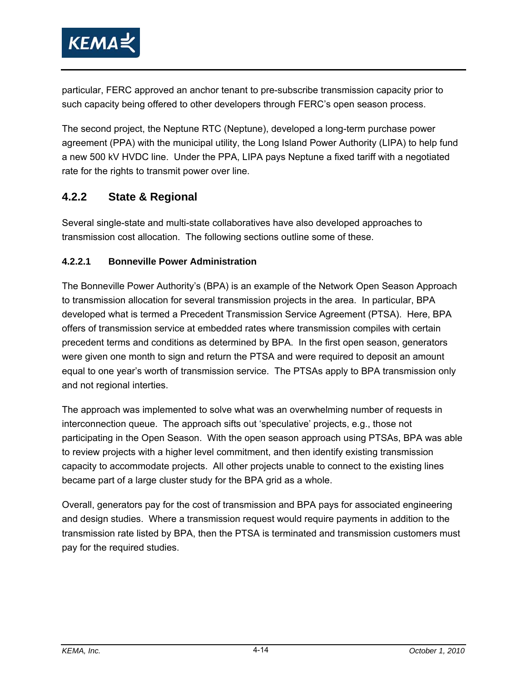

particular, FERC approved an anchor tenant to pre-subscribe transmission capacity prior to such capacity being offered to other developers through FERC's open season process.

The second project, the Neptune RTC (Neptune), developed a long-term purchase power agreement (PPA) with the municipal utility, the Long Island Power Authority (LIPA) to help fund a new 500 kV HVDC line. Under the PPA, LIPA pays Neptune a fixed tariff with a negotiated rate for the rights to transmit power over line.

### **4.2.2 State & Regional**

Several single-state and multi-state collaboratives have also developed approaches to transmission cost allocation. The following sections outline some of these.

### **4.2.2.1 Bonneville Power Administration**

The Bonneville Power Authority's (BPA) is an example of the Network Open Season Approach to transmission allocation for several transmission projects in the area. In particular, BPA developed what is termed a Precedent Transmission Service Agreement (PTSA). Here, BPA offers of transmission service at embedded rates where transmission compiles with certain precedent terms and conditions as determined by BPA. In the first open season, generators were given one month to sign and return the PTSA and were required to deposit an amount equal to one year's worth of transmission service. The PTSAs apply to BPA transmission only and not regional interties.

The approach was implemented to solve what was an overwhelming number of requests in interconnection queue. The approach sifts out 'speculative' projects, e.g., those not participating in the Open Season. With the open season approach using PTSAs, BPA was able to review projects with a higher level commitment, and then identify existing transmission capacity to accommodate projects. All other projects unable to connect to the existing lines became part of a large cluster study for the BPA grid as a whole.

Overall, generators pay for the cost of transmission and BPA pays for associated engineering and design studies. Where a transmission request would require payments in addition to the transmission rate listed by BPA, then the PTSA is terminated and transmission customers must pay for the required studies.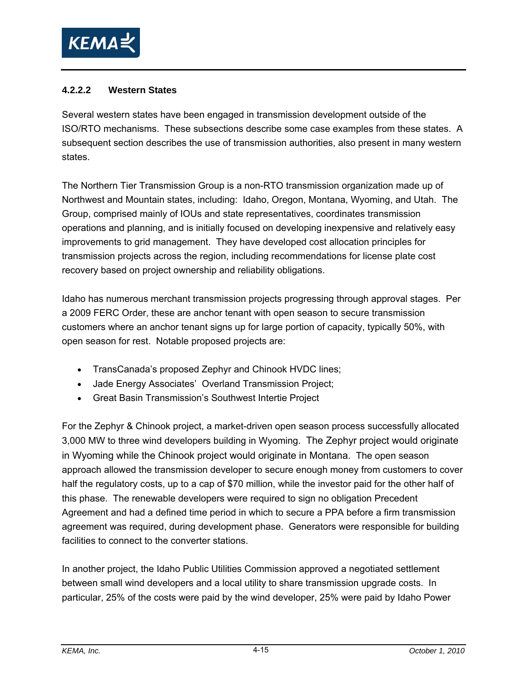

### **4.2.2.2 Western States**

Several western states have been engaged in transmission development outside of the ISO/RTO mechanisms. These subsections describe some case examples from these states. A subsequent section describes the use of transmission authorities, also present in many western states.

The Northern Tier Transmission Group is a non-RTO transmission organization made up of Northwest and Mountain states, including: Idaho, Oregon, Montana, Wyoming, and Utah. The Group, comprised mainly of IOUs and state representatives, coordinates transmission operations and planning, and is initially focused on developing inexpensive and relatively easy improvements to grid management. They have developed cost allocation principles for transmission projects across the region, including recommendations for license plate cost recovery based on project ownership and reliability obligations.

Idaho has numerous merchant transmission projects progressing through approval stages. Per a 2009 FERC Order, these are anchor tenant with open season to secure transmission customers where an anchor tenant signs up for large portion of capacity, typically 50%, with open season for rest. Notable proposed projects are:

- TransCanada's proposed Zephyr and Chinook HVDC lines;
- Jade Energy Associates' Overland Transmission Project;
- Great Basin Transmission's Southwest Intertie Project

For the Zephyr & Chinook project, a market-driven open season process successfully allocated 3,000 MW to three wind developers building in Wyoming. The Zephyr project would originate in Wyoming while the Chinook project would originate in Montana. The open season approach allowed the transmission developer to secure enough money from customers to cover half the regulatory costs, up to a cap of \$70 million, while the investor paid for the other half of this phase. The renewable developers were required to sign no obligation Precedent Agreement and had a defined time period in which to secure a PPA before a firm transmission agreement was required, during development phase. Generators were responsible for building facilities to connect to the converter stations.

In another project, the Idaho Public Utilities Commission approved a negotiated settlement between small wind developers and a local utility to share transmission upgrade costs. In particular, 25% of the costs were paid by the wind developer, 25% were paid by Idaho Power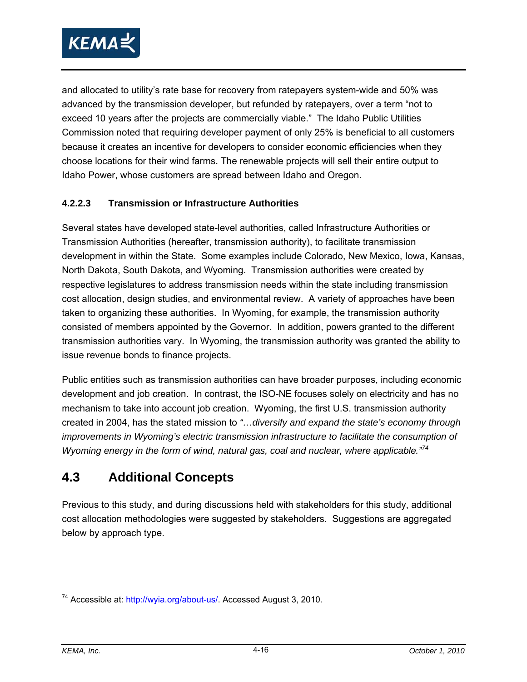

and allocated to utility's rate base for recovery from ratepayers system-wide and 50% was advanced by the transmission developer, but refunded by ratepayers, over a term "not to exceed 10 years after the projects are commercially viable." The Idaho Public Utilities Commission noted that requiring developer payment of only 25% is beneficial to all customers because it creates an incentive for developers to consider economic efficiencies when they choose locations for their wind farms. The renewable projects will sell their entire output to Idaho Power, whose customers are spread between Idaho and Oregon.

### **4.2.2.3 Transmission or Infrastructure Authorities**

Several states have developed state-level authorities, called Infrastructure Authorities or Transmission Authorities (hereafter, transmission authority), to facilitate transmission development in within the State. Some examples include Colorado, New Mexico, Iowa, Kansas, North Dakota, South Dakota, and Wyoming. Transmission authorities were created by respective legislatures to address transmission needs within the state including transmission cost allocation, design studies, and environmental review. A variety of approaches have been taken to organizing these authorities. In Wyoming, for example, the transmission authority consisted of members appointed by the Governor. In addition, powers granted to the different transmission authorities vary. In Wyoming, the transmission authority was granted the ability to issue revenue bonds to finance projects.

Public entities such as transmission authorities can have broader purposes, including economic development and job creation. In contrast, the ISO-NE focuses solely on electricity and has no mechanism to take into account job creation. Wyoming, the first U.S. transmission authority created in 2004, has the stated mission to *"…diversify and expand the state's economy through improvements in Wyoming's electric transmission infrastructure to facilitate the consumption of Wyoming energy in the form of wind, natural gas, coal and nuclear, where applicable."74*

## **4.3 Additional Concepts**

Previous to this study, and during discussions held with stakeholders for this study, additional cost allocation methodologies were suggested by stakeholders. Suggestions are aggregated below by approach type.

<sup>&</sup>lt;sup>74</sup> Accessible at: http://wyia.org/about-us/. Accessed August 3, 2010.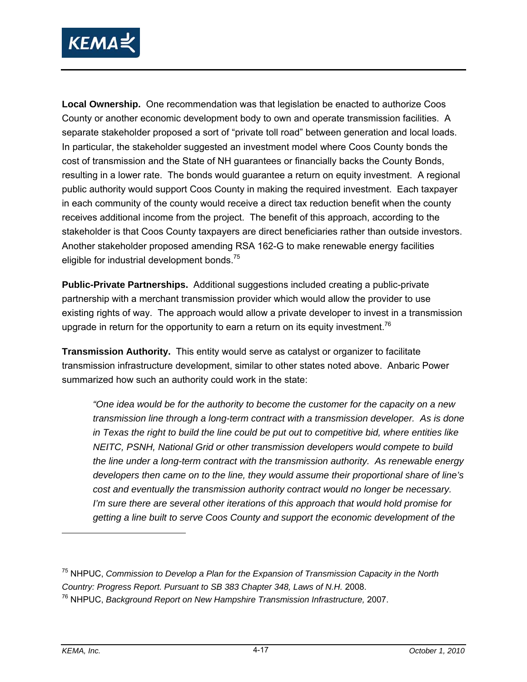

**Local Ownership.** One recommendation was that legislation be enacted to authorize Coos County or another economic development body to own and operate transmission facilities. A separate stakeholder proposed a sort of "private toll road" between generation and local loads. In particular, the stakeholder suggested an investment model where Coos County bonds the cost of transmission and the State of NH guarantees or financially backs the County Bonds, resulting in a lower rate. The bonds would guarantee a return on equity investment. A regional public authority would support Coos County in making the required investment. Each taxpayer in each community of the county would receive a direct tax reduction benefit when the county receives additional income from the project. The benefit of this approach, according to the stakeholder is that Coos County taxpayers are direct beneficiaries rather than outside investors. Another stakeholder proposed amending RSA 162-G to make renewable energy facilities eligible for industrial development bonds.<sup>75</sup>

**Public-Private Partnerships.** Additional suggestions included creating a public-private partnership with a merchant transmission provider which would allow the provider to use existing rights of way. The approach would allow a private developer to invest in a transmission upgrade in return for the opportunity to earn a return on its equity investment.<sup>76</sup>

**Transmission Authority.** This entity would serve as catalyst or organizer to facilitate transmission infrastructure development, similar to other states noted above. Anbaric Power summarized how such an authority could work in the state:

*"One idea would be for the authority to become the customer for the capacity on a new transmission line through a long-term contract with a transmission developer. As is done in Texas the right to build the line could be put out to competitive bid, where entities like NEITC, PSNH, National Grid or other transmission developers would compete to build the line under a long-term contract with the transmission authority. As renewable energy developers then came on to the line, they would assume their proportional share of line's cost and eventually the transmission authority contract would no longer be necessary. I'm sure there are several other iterations of this approach that would hold promise for getting a line built to serve Coos County and support the economic development of the* 

<sup>75</sup> NHPUC, *Commission to Develop a Plan for the Expansion of Transmission Capacity in the North Country: Progress Report. Pursuant to SB 383 Chapter 348, Laws of N.H.* 2008.

<sup>76</sup> NHPUC, *Background Report on New Hampshire Transmission Infrastructure,* 2007.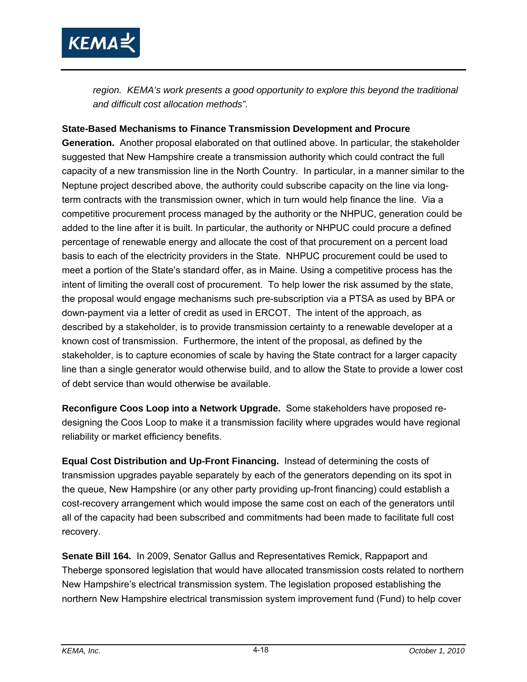

*region. KEMA's work presents a good opportunity to explore this beyond the traditional and difficult cost allocation methods".* 

### **State-Based Mechanisms to Finance Transmission Development and Procure**

**Generation.** Another proposal elaborated on that outlined above. In particular, the stakeholder suggested that New Hampshire create a transmission authority which could contract the full capacity of a new transmission line in the North Country. In particular, in a manner similar to the Neptune project described above, the authority could subscribe capacity on the line via longterm contracts with the transmission owner, which in turn would help finance the line. Via a competitive procurement process managed by the authority or the NHPUC, generation could be added to the line after it is built. In particular, the authority or NHPUC could procure a defined percentage of renewable energy and allocate the cost of that procurement on a percent load basis to each of the electricity providers in the State. NHPUC procurement could be used to meet a portion of the State's standard offer, as in Maine. Using a competitive process has the intent of limiting the overall cost of procurement. To help lower the risk assumed by the state, the proposal would engage mechanisms such pre-subscription via a PTSA as used by BPA or down-payment via a letter of credit as used in ERCOT. The intent of the approach, as described by a stakeholder, is to provide transmission certainty to a renewable developer at a known cost of transmission. Furthermore, the intent of the proposal, as defined by the stakeholder, is to capture economies of scale by having the State contract for a larger capacity line than a single generator would otherwise build, and to allow the State to provide a lower cost of debt service than would otherwise be available.

**Reconfigure Coos Loop into a Network Upgrade.** Some stakeholders have proposed redesigning the Coos Loop to make it a transmission facility where upgrades would have regional reliability or market efficiency benefits.

**Equal Cost Distribution and Up-Front Financing.** Instead of determining the costs of transmission upgrades payable separately by each of the generators depending on its spot in the queue, New Hampshire (or any other party providing up-front financing) could establish a cost-recovery arrangement which would impose the same cost on each of the generators until all of the capacity had been subscribed and commitments had been made to facilitate full cost recovery.

**Senate Bill 164.** In 2009, Senator Gallus and Representatives Remick, Rappaport and Theberge sponsored legislation that would have allocated transmission costs related to northern New Hampshire's electrical transmission system. The legislation proposed establishing the northern New Hampshire electrical transmission system improvement fund (Fund) to help cover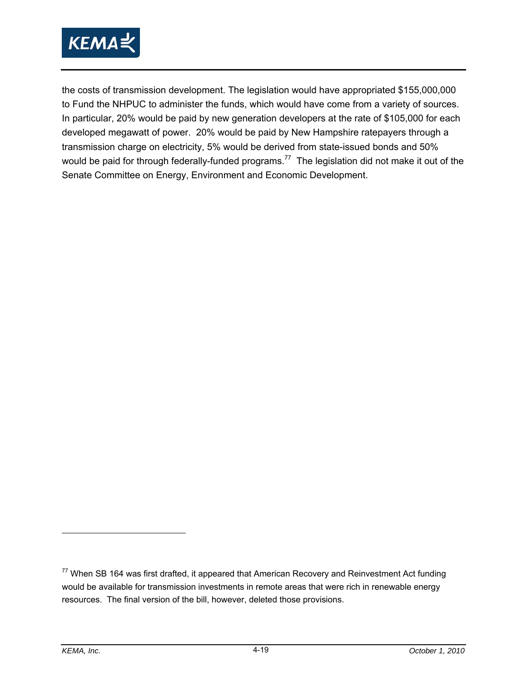

the costs of transmission development. The legislation would have appropriated \$155,000,000 to Fund the NHPUC to administer the funds, which would have come from a variety of sources. In particular, 20% would be paid by new generation developers at the rate of \$105,000 for each developed megawatt of power. 20% would be paid by New Hampshire ratepayers through a transmission charge on electricity, 5% would be derived from state-issued bonds and 50% would be paid for through federally-funded programs.<sup>77</sup> The legislation did not make it out of the Senate Committee on Energy, Environment and Economic Development.

 $77$  When SB 164 was first drafted, it appeared that American Recovery and Reinvestment Act funding would be available for transmission investments in remote areas that were rich in renewable energy resources. The final version of the bill, however, deleted those provisions.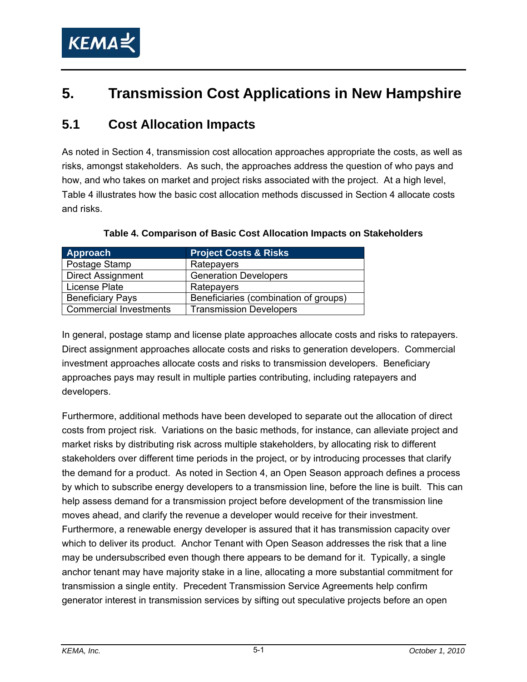

# **5. Transmission Cost Applications in New Hampshire**

## **5.1 Cost Allocation Impacts**

As noted in Section 4, transmission cost allocation approaches appropriate the costs, as well as risks, amongst stakeholders. As such, the approaches address the question of who pays and how, and who takes on market and project risks associated with the project. At a high level, Table 4 illustrates how the basic cost allocation methods discussed in Section 4 allocate costs and risks.

| Approach                      | <u> Proje</u> ct Costs & Risks <sub>l</sub> |
|-------------------------------|---------------------------------------------|
| Postage Stamp                 | Ratepayers                                  |
| <b>Direct Assignment</b>      | <b>Generation Developers</b>                |
| License Plate                 | Ratepayers                                  |
| <b>Beneficiary Pays</b>       | Beneficiaries (combination of groups)       |
| <b>Commercial Investments</b> | <b>Transmission Developers</b>              |

### **Table 4. Comparison of Basic Cost Allocation Impacts on Stakeholders**

In general, postage stamp and license plate approaches allocate costs and risks to ratepayers. Direct assignment approaches allocate costs and risks to generation developers. Commercial investment approaches allocate costs and risks to transmission developers. Beneficiary approaches pays may result in multiple parties contributing, including ratepayers and developers.

Furthermore, additional methods have been developed to separate out the allocation of direct costs from project risk. Variations on the basic methods, for instance, can alleviate project and market risks by distributing risk across multiple stakeholders, by allocating risk to different stakeholders over different time periods in the project, or by introducing processes that clarify the demand for a product. As noted in Section 4, an Open Season approach defines a process by which to subscribe energy developers to a transmission line, before the line is built. This can help assess demand for a transmission project before development of the transmission line moves ahead, and clarify the revenue a developer would receive for their investment. Furthermore, a renewable energy developer is assured that it has transmission capacity over which to deliver its product. Anchor Tenant with Open Season addresses the risk that a line may be undersubscribed even though there appears to be demand for it. Typically, a single anchor tenant may have majority stake in a line, allocating a more substantial commitment for transmission a single entity. Precedent Transmission Service Agreements help confirm generator interest in transmission services by sifting out speculative projects before an open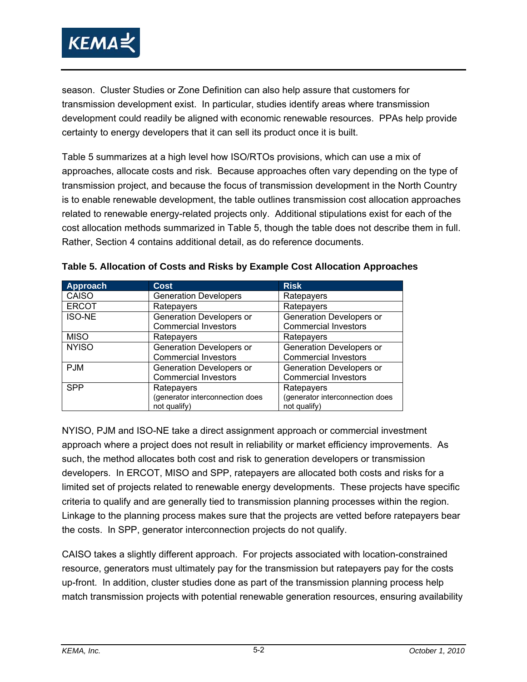

season. Cluster Studies or Zone Definition can also help assure that customers for transmission development exist. In particular, studies identify areas where transmission development could readily be aligned with economic renewable resources. PPAs help provide certainty to energy developers that it can sell its product once it is built.

Table 5 summarizes at a high level how ISO/RTOs provisions, which can use a mix of approaches, allocate costs and risk. Because approaches often vary depending on the type of transmission project, and because the focus of transmission development in the North Country is to enable renewable development, the table outlines transmission cost allocation approaches related to renewable energy-related projects only. Additional stipulations exist for each of the cost allocation methods summarized in Table 5, though the table does not describe them in full. Rather, Section 4 contains additional detail, as do reference documents.

| Approach     | <b>Cost</b>                     | <b>Risk</b>                     |  |
|--------------|---------------------------------|---------------------------------|--|
| CAISO        | <b>Generation Developers</b>    | Ratepayers                      |  |
| <b>ERCOT</b> | Ratepayers                      | Ratepayers                      |  |
| ISO-NE       | Generation Developers or        | Generation Developers or        |  |
|              | <b>Commercial Investors</b>     | <b>Commercial Investors</b>     |  |
| <b>MISO</b>  | Ratepayers                      | Ratepayers                      |  |
| <b>NYISO</b> | <b>Generation Developers or</b> | Generation Developers or        |  |
|              | <b>Commercial Investors</b>     | <b>Commercial Investors</b>     |  |
| <b>PJM</b>   | Generation Developers or        | Generation Developers or        |  |
|              | <b>Commercial Investors</b>     | <b>Commercial Investors</b>     |  |
| <b>SPP</b>   | Ratepayers                      | Ratepayers                      |  |
|              | (generator interconnection does | (generator interconnection does |  |
|              | not qualify)                    | not qualify)                    |  |

**Table 5. Allocation of Costs and Risks by Example Cost Allocation Approaches** 

NYISO, PJM and ISO-NE take a direct assignment approach or commercial investment approach where a project does not result in reliability or market efficiency improvements. As such, the method allocates both cost and risk to generation developers or transmission developers. In ERCOT, MISO and SPP, ratepayers are allocated both costs and risks for a limited set of projects related to renewable energy developments. These projects have specific criteria to qualify and are generally tied to transmission planning processes within the region. Linkage to the planning process makes sure that the projects are vetted before ratepayers bear the costs. In SPP, generator interconnection projects do not qualify.

CAISO takes a slightly different approach. For projects associated with location-constrained resource, generators must ultimately pay for the transmission but ratepayers pay for the costs up-front. In addition, cluster studies done as part of the transmission planning process help match transmission projects with potential renewable generation resources, ensuring availability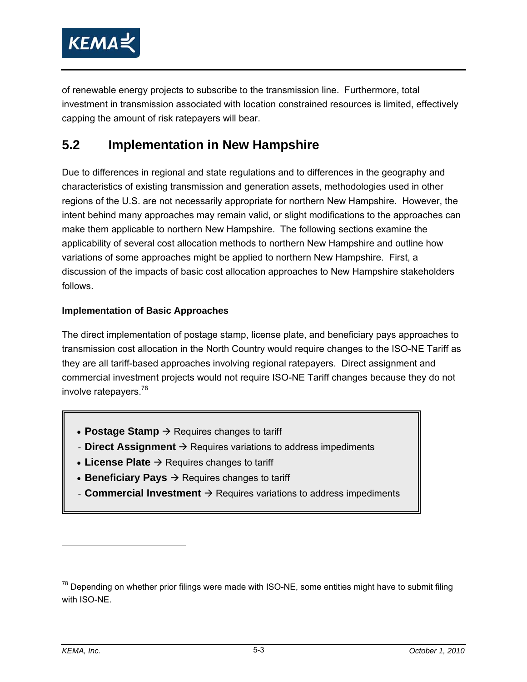

of renewable energy projects to subscribe to the transmission line. Furthermore, total investment in transmission associated with location constrained resources is limited, effectively capping the amount of risk ratepayers will bear.

## **5.2 Implementation in New Hampshire**

Due to differences in regional and state regulations and to differences in the geography and characteristics of existing transmission and generation assets, methodologies used in other regions of the U.S. are not necessarily appropriate for northern New Hampshire. However, the intent behind many approaches may remain valid, or slight modifications to the approaches can make them applicable to northern New Hampshire. The following sections examine the applicability of several cost allocation methods to northern New Hampshire and outline how variations of some approaches might be applied to northern New Hampshire. First, a discussion of the impacts of basic cost allocation approaches to New Hampshire stakeholders follows.

#### **Implementation of Basic Approaches**

The direct implementation of postage stamp, license plate, and beneficiary pays approaches to transmission cost allocation in the North Country would require changes to the ISO-NE Tariff as they are all tariff-based approaches involving regional ratepayers. Direct assignment and commercial investment projects would not require ISO-NE Tariff changes because they do not involve ratepayers.78

- **Postage Stamp**  $\rightarrow$  Requires changes to tariff
- **Direct Assignment**  $\rightarrow$  Requires variations to address impediments
- License Plate  $\rightarrow$  Requires changes to tariff
- **Beneficiary Pays**  $\rightarrow$  Requires changes to tariff
- **Commercial Investment**  $\rightarrow$  Requires variations to address impediments

 $\overline{a}$ 

 $78$  Depending on whether prior filings were made with ISO-NE, some entities might have to submit filing with ISO-NE.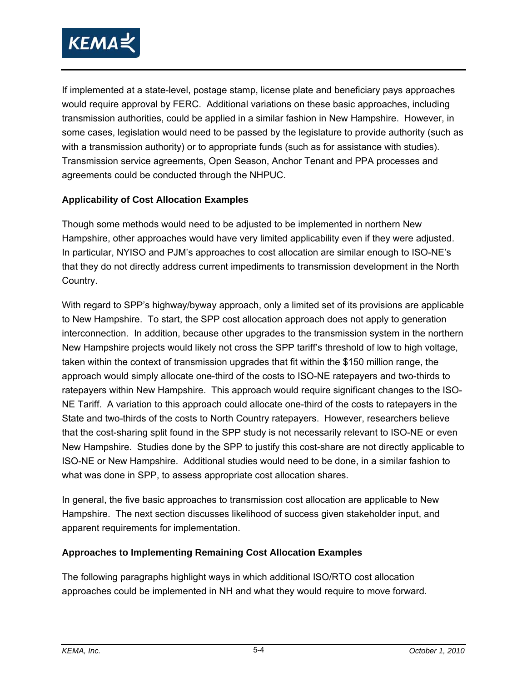

If implemented at a state-level, postage stamp, license plate and beneficiary pays approaches would require approval by FERC. Additional variations on these basic approaches, including transmission authorities, could be applied in a similar fashion in New Hampshire. However, in some cases, legislation would need to be passed by the legislature to provide authority (such as with a transmission authority) or to appropriate funds (such as for assistance with studies). Transmission service agreements, Open Season, Anchor Tenant and PPA processes and agreements could be conducted through the NHPUC.

### **Applicability of Cost Allocation Examples**

Though some methods would need to be adjusted to be implemented in northern New Hampshire, other approaches would have very limited applicability even if they were adjusted. In particular, NYISO and PJM's approaches to cost allocation are similar enough to ISO-NE's that they do not directly address current impediments to transmission development in the North Country.

With regard to SPP's highway/byway approach, only a limited set of its provisions are applicable to New Hampshire. To start, the SPP cost allocation approach does not apply to generation interconnection. In addition, because other upgrades to the transmission system in the northern New Hampshire projects would likely not cross the SPP tariff's threshold of low to high voltage, taken within the context of transmission upgrades that fit within the \$150 million range, the approach would simply allocate one-third of the costs to ISO-NE ratepayers and two-thirds to ratepayers within New Hampshire. This approach would require significant changes to the ISO-NE Tariff. A variation to this approach could allocate one-third of the costs to ratepayers in the State and two-thirds of the costs to North Country ratepayers. However, researchers believe that the cost-sharing split found in the SPP study is not necessarily relevant to ISO-NE or even New Hampshire. Studies done by the SPP to justify this cost-share are not directly applicable to ISO-NE or New Hampshire. Additional studies would need to be done, in a similar fashion to what was done in SPP, to assess appropriate cost allocation shares.

In general, the five basic approaches to transmission cost allocation are applicable to New Hampshire. The next section discusses likelihood of success given stakeholder input, and apparent requirements for implementation.

### **Approaches to Implementing Remaining Cost Allocation Examples**

The following paragraphs highlight ways in which additional ISO/RTO cost allocation approaches could be implemented in NH and what they would require to move forward.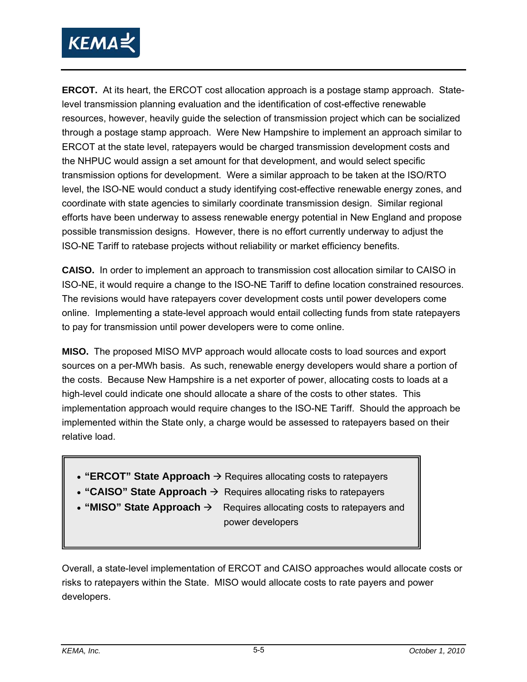

**ERCOT.** At its heart, the ERCOT cost allocation approach is a postage stamp approach. Statelevel transmission planning evaluation and the identification of cost-effective renewable resources, however, heavily guide the selection of transmission project which can be socialized through a postage stamp approach. Were New Hampshire to implement an approach similar to ERCOT at the state level, ratepayers would be charged transmission development costs and the NHPUC would assign a set amount for that development, and would select specific transmission options for development. Were a similar approach to be taken at the ISO/RTO level, the ISO-NE would conduct a study identifying cost-effective renewable energy zones, and coordinate with state agencies to similarly coordinate transmission design. Similar regional efforts have been underway to assess renewable energy potential in New England and propose possible transmission designs. However, there is no effort currently underway to adjust the ISO-NE Tariff to ratebase projects without reliability or market efficiency benefits.

**CAISO.** In order to implement an approach to transmission cost allocation similar to CAISO in ISO-NE, it would require a change to the ISO-NE Tariff to define location constrained resources. The revisions would have ratepayers cover development costs until power developers come online. Implementing a state-level approach would entail collecting funds from state ratepayers to pay for transmission until power developers were to come online.

**MISO.** The proposed MISO MVP approach would allocate costs to load sources and export sources on a per-MWh basis. As such, renewable energy developers would share a portion of the costs. Because New Hampshire is a net exporter of power, allocating costs to loads at a high-level could indicate one should allocate a share of the costs to other states. This implementation approach would require changes to the ISO-NE Tariff. Should the approach be implemented within the State only, a charge would be assessed to ratepayers based on their relative load.

- "ERCOT" State Approach  $\rightarrow$  Requires allocating costs to ratepayers
- "CAISO" State Approach  $\rightarrow$  Requires allocating risks to ratepayers
- "MISO" State Approach  $\rightarrow$  Requires allocating costs to ratepayers and power developers

Overall, a state-level implementation of ERCOT and CAISO approaches would allocate costs or risks to ratepayers within the State. MISO would allocate costs to rate payers and power developers.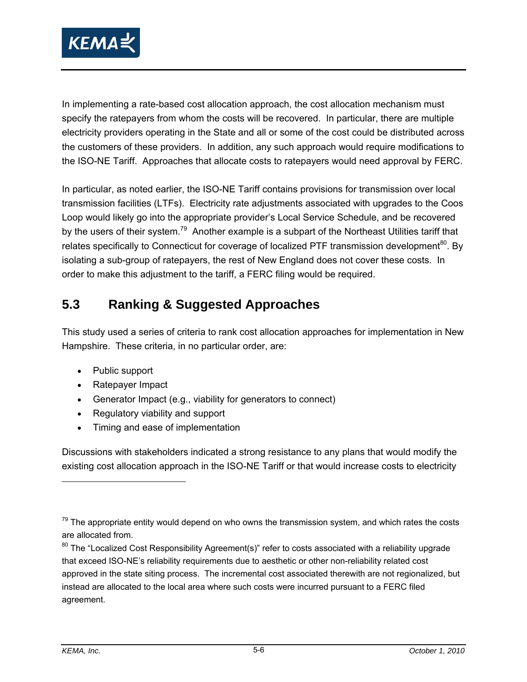

In implementing a rate-based cost allocation approach, the cost allocation mechanism must specify the ratepayers from whom the costs will be recovered. In particular, there are multiple electricity providers operating in the State and all or some of the cost could be distributed across the customers of these providers. In addition, any such approach would require modifications to the ISO-NE Tariff. Approaches that allocate costs to ratepayers would need approval by FERC.

In particular, as noted earlier, the ISO-NE Tariff contains provisions for transmission over local transmission facilities (LTFs). Electricity rate adjustments associated with upgrades to the Coos Loop would likely go into the appropriate provider's Local Service Schedule, and be recovered by the users of their system.<sup>79</sup> Another example is a subpart of the Northeast Utilities tariff that relates specifically to Connecticut for coverage of localized PTF transmission development<sup>80</sup>. By isolating a sub-group of ratepayers, the rest of New England does not cover these costs. In order to make this adjustment to the tariff, a FERC filing would be required.

## **5.3 Ranking & Suggested Approaches**

This study used a series of criteria to rank cost allocation approaches for implementation in New Hampshire. These criteria, in no particular order, are:

- Public support
- Ratepayer Impact
- Generator Impact (e.g., viability for generators to connect)
- Regulatory viability and support
- Timing and ease of implementation

Discussions with stakeholders indicated a strong resistance to any plans that would modify the existing cost allocation approach in the ISO-NE Tariff or that would increase costs to electricity

 $79$  The appropriate entity would depend on who owns the transmission system, and which rates the costs are allocated from.

 $80$  The "Localized Cost Responsibility Agreement(s)" refer to costs associated with a reliability upgrade that exceed ISO-NE's reliability requirements due to aesthetic or other non-reliability related cost approved in the state siting process. The incremental cost associated therewith are not regionalized, but instead are allocated to the local area where such costs were incurred pursuant to a FERC filed agreement.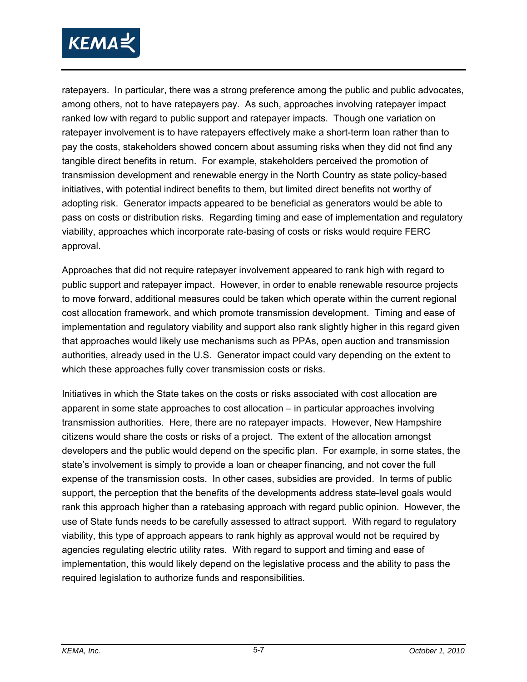

ratepayers. In particular, there was a strong preference among the public and public advocates, among others, not to have ratepayers pay. As such, approaches involving ratepayer impact ranked low with regard to public support and ratepayer impacts. Though one variation on ratepayer involvement is to have ratepayers effectively make a short-term loan rather than to pay the costs, stakeholders showed concern about assuming risks when they did not find any tangible direct benefits in return. For example, stakeholders perceived the promotion of transmission development and renewable energy in the North Country as state policy-based initiatives, with potential indirect benefits to them, but limited direct benefits not worthy of adopting risk. Generator impacts appeared to be beneficial as generators would be able to pass on costs or distribution risks. Regarding timing and ease of implementation and regulatory viability, approaches which incorporate rate-basing of costs or risks would require FERC approval.

Approaches that did not require ratepayer involvement appeared to rank high with regard to public support and ratepayer impact. However, in order to enable renewable resource projects to move forward, additional measures could be taken which operate within the current regional cost allocation framework, and which promote transmission development. Timing and ease of implementation and regulatory viability and support also rank slightly higher in this regard given that approaches would likely use mechanisms such as PPAs, open auction and transmission authorities, already used in the U.S. Generator impact could vary depending on the extent to which these approaches fully cover transmission costs or risks.

Initiatives in which the State takes on the costs or risks associated with cost allocation are apparent in some state approaches to cost allocation – in particular approaches involving transmission authorities. Here, there are no ratepayer impacts. However, New Hampshire citizens would share the costs or risks of a project. The extent of the allocation amongst developers and the public would depend on the specific plan. For example, in some states, the state's involvement is simply to provide a loan or cheaper financing, and not cover the full expense of the transmission costs. In other cases, subsidies are provided. In terms of public support, the perception that the benefits of the developments address state-level goals would rank this approach higher than a ratebasing approach with regard public opinion. However, the use of State funds needs to be carefully assessed to attract support. With regard to regulatory viability, this type of approach appears to rank highly as approval would not be required by agencies regulating electric utility rates. With regard to support and timing and ease of implementation, this would likely depend on the legislative process and the ability to pass the required legislation to authorize funds and responsibilities.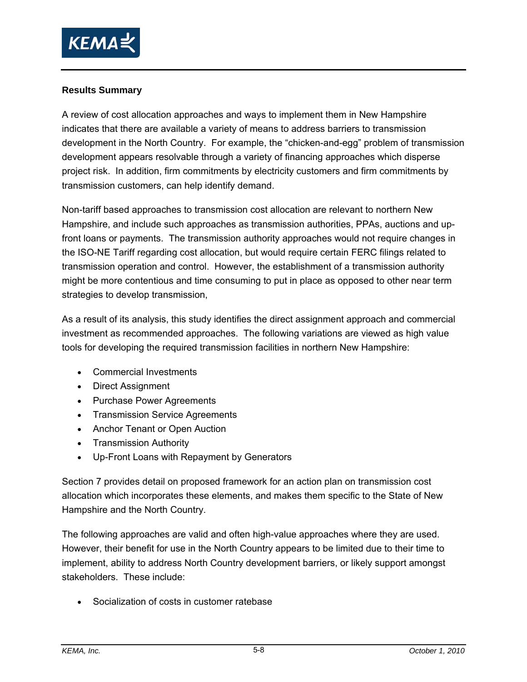

#### **Results Summary**

A review of cost allocation approaches and ways to implement them in New Hampshire indicates that there are available a variety of means to address barriers to transmission development in the North Country. For example, the "chicken-and-egg" problem of transmission development appears resolvable through a variety of financing approaches which disperse project risk. In addition, firm commitments by electricity customers and firm commitments by transmission customers, can help identify demand.

Non-tariff based approaches to transmission cost allocation are relevant to northern New Hampshire, and include such approaches as transmission authorities, PPAs, auctions and upfront loans or payments. The transmission authority approaches would not require changes in the ISO-NE Tariff regarding cost allocation, but would require certain FERC filings related to transmission operation and control. However, the establishment of a transmission authority might be more contentious and time consuming to put in place as opposed to other near term strategies to develop transmission,

As a result of its analysis, this study identifies the direct assignment approach and commercial investment as recommended approaches. The following variations are viewed as high value tools for developing the required transmission facilities in northern New Hampshire:

- Commercial Investments
- Direct Assignment
- Purchase Power Agreements
- Transmission Service Agreements
- Anchor Tenant or Open Auction
- Transmission Authority
- Up-Front Loans with Repayment by Generators

Section 7 provides detail on proposed framework for an action plan on transmission cost allocation which incorporates these elements, and makes them specific to the State of New Hampshire and the North Country.

The following approaches are valid and often high-value approaches where they are used. However, their benefit for use in the North Country appears to be limited due to their time to implement, ability to address North Country development barriers, or likely support amongst stakeholders. These include:

• Socialization of costs in customer ratebase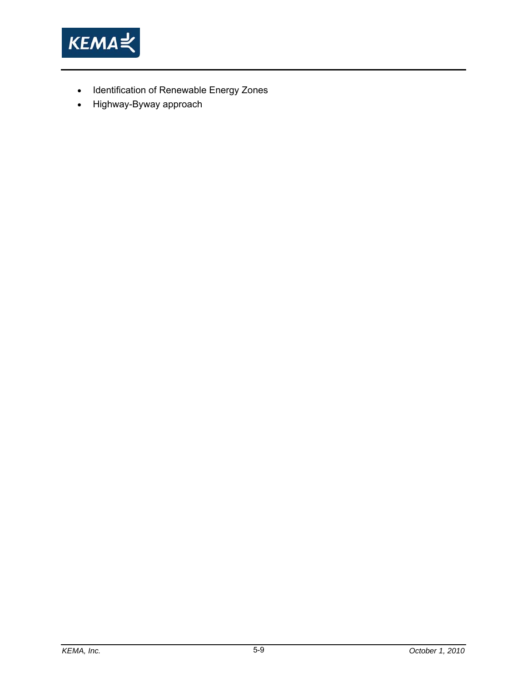

- Identification of Renewable Energy Zones
- Highway-Byway approach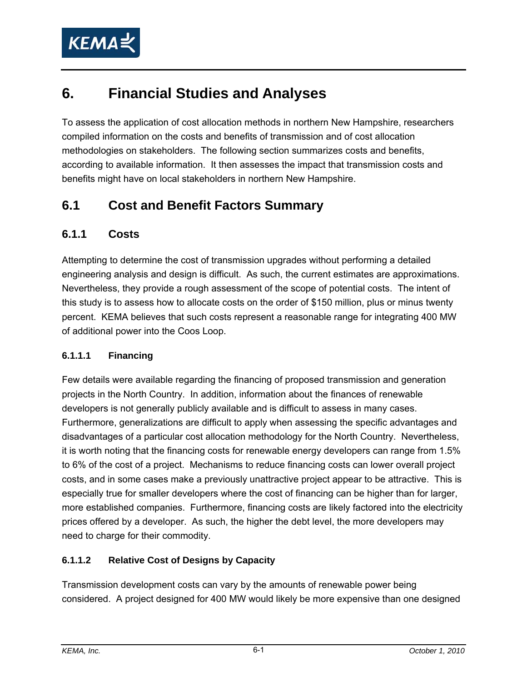

# **6. Financial Studies and Analyses**

To assess the application of cost allocation methods in northern New Hampshire, researchers compiled information on the costs and benefits of transmission and of cost allocation methodologies on stakeholders. The following section summarizes costs and benefits, according to available information. It then assesses the impact that transmission costs and benefits might have on local stakeholders in northern New Hampshire.

## **6.1 Cost and Benefit Factors Summary**

### **6.1.1 Costs**

Attempting to determine the cost of transmission upgrades without performing a detailed engineering analysis and design is difficult. As such, the current estimates are approximations. Nevertheless, they provide a rough assessment of the scope of potential costs. The intent of this study is to assess how to allocate costs on the order of \$150 million, plus or minus twenty percent. KEMA believes that such costs represent a reasonable range for integrating 400 MW of additional power into the Coos Loop.

### **6.1.1.1 Financing**

Few details were available regarding the financing of proposed transmission and generation projects in the North Country. In addition, information about the finances of renewable developers is not generally publicly available and is difficult to assess in many cases. Furthermore, generalizations are difficult to apply when assessing the specific advantages and disadvantages of a particular cost allocation methodology for the North Country. Nevertheless, it is worth noting that the financing costs for renewable energy developers can range from 1.5% to 6% of the cost of a project. Mechanisms to reduce financing costs can lower overall project costs, and in some cases make a previously unattractive project appear to be attractive. This is especially true for smaller developers where the cost of financing can be higher than for larger, more established companies. Furthermore, financing costs are likely factored into the electricity prices offered by a developer. As such, the higher the debt level, the more developers may need to charge for their commodity.

### **6.1.1.2 Relative Cost of Designs by Capacity**

Transmission development costs can vary by the amounts of renewable power being considered. A project designed for 400 MW would likely be more expensive than one designed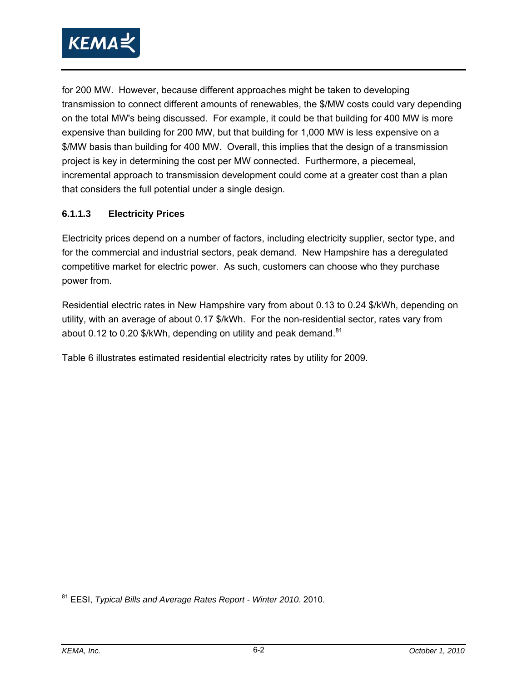

for 200 MW. However, because different approaches might be taken to developing transmission to connect different amounts of renewables, the \$/MW costs could vary depending on the total MW's being discussed. For example, it could be that building for 400 MW is more expensive than building for 200 MW, but that building for 1,000 MW is less expensive on a \$/MW basis than building for 400 MW. Overall, this implies that the design of a transmission project is key in determining the cost per MW connected. Furthermore, a piecemeal, incremental approach to transmission development could come at a greater cost than a plan that considers the full potential under a single design.

### **6.1.1.3 Electricity Prices**

Electricity prices depend on a number of factors, including electricity supplier, sector type, and for the commercial and industrial sectors, peak demand. New Hampshire has a deregulated competitive market for electric power. As such, customers can choose who they purchase power from.

Residential electric rates in New Hampshire vary from about 0.13 to 0.24 \$/kWh, depending on utility, with an average of about 0.17 \$/kWh. For the non-residential sector, rates vary from about 0.12 to 0.20 \$/kWh, depending on utility and peak demand. $81$ 

Table 6 illustrates estimated residential electricity rates by utility for 2009.

 $\overline{a}$ 

<sup>81</sup> EESI, *Typical Bills and Average Rates Report - Winter 2010*. 2010.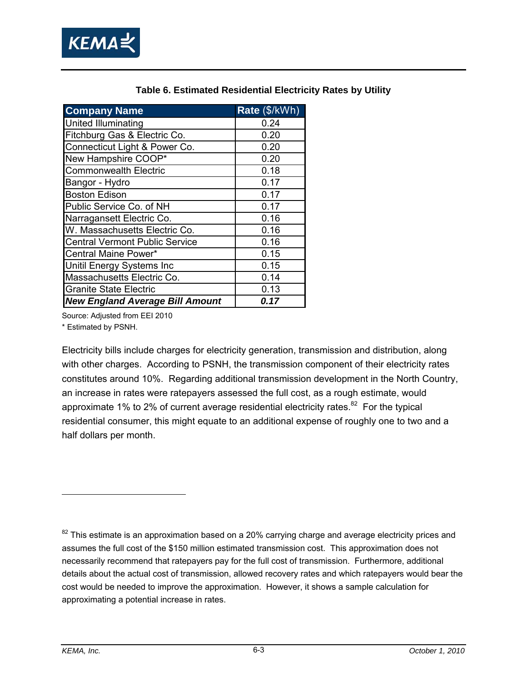

| <b>Company Name</b>                    | Rate (\$/kWh) |
|----------------------------------------|---------------|
| United Illuminating                    | 0.24          |
| Fitchburg Gas & Electric Co.           | 0.20          |
| Connecticut Light & Power Co.          | 0.20          |
| New Hampshire COOP*                    | 0.20          |
| <b>Commonwealth Electric</b>           | 0.18          |
| Bangor - Hydro                         | 0.17          |
| <b>Boston Edison</b>                   | 0.17          |
| Public Service Co. of NH               | 0.17          |
| Narragansett Electric Co.              | 0.16          |
| W. Massachusetts Electric Co.          | 0.16          |
| <b>Central Vermont Public Service</b>  | 0.16          |
| Central Maine Power*                   | 0.15          |
| Unitil Energy Systems Inc              | 0.15          |
| Massachusetts Electric Co.             | 0.14          |
| <b>Granite State Electric</b>          | 0.13          |
| <b>New England Average Bill Amount</b> | 0.17          |

### **Table 6. Estimated Residential Electricity Rates by Utility**

Source: Adjusted from EEI 2010

\* Estimated by PSNH.

Electricity bills include charges for electricity generation, transmission and distribution, along with other charges. According to PSNH, the transmission component of their electricity rates constitutes around 10%. Regarding additional transmission development in the North Country, an increase in rates were ratepayers assessed the full cost, as a rough estimate, would approximate 1% to 2% of current average residential electricity rates. $82$  For the typical residential consumer, this might equate to an additional expense of roughly one to two and a half dollars per month.

<sup>82</sup> This estimate is an approximation based on a 20% carrying charge and average electricity prices and assumes the full cost of the \$150 million estimated transmission cost. This approximation does not necessarily recommend that ratepayers pay for the full cost of transmission. Furthermore, additional details about the actual cost of transmission, allowed recovery rates and which ratepayers would bear the cost would be needed to improve the approximation. However, it shows a sample calculation for approximating a potential increase in rates.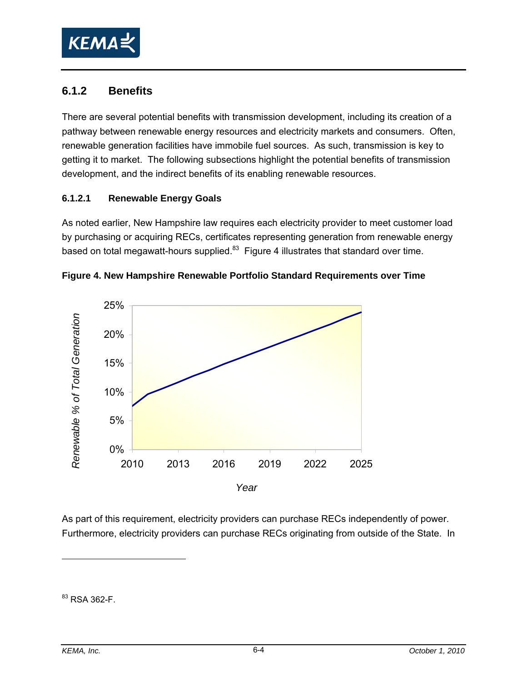

## **6.1.2 Benefits**

There are several potential benefits with transmission development, including its creation of a pathway between renewable energy resources and electricity markets and consumers. Often, renewable generation facilities have immobile fuel sources. As such, transmission is key to getting it to market. The following subsections highlight the potential benefits of transmission development, and the indirect benefits of its enabling renewable resources.

## **6.1.2.1 Renewable Energy Goals**

As noted earlier, New Hampshire law requires each electricity provider to meet customer load by purchasing or acquiring RECs, certificates representing generation from renewable energy based on total megawatt-hours supplied.<sup>83</sup> Figure 4 illustrates that standard over time.



**Figure 4. New Hampshire Renewable Portfolio Standard Requirements over Time** 

As part of this requirement, electricity providers can purchase RECs independently of power. Furthermore, electricity providers can purchase RECs originating from outside of the State. In

 $83$  RSA 362-F.

 $\overline{a}$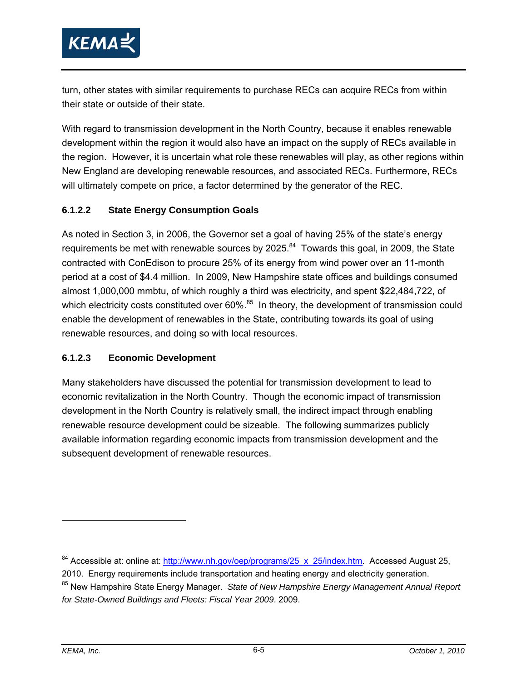

turn, other states with similar requirements to purchase RECs can acquire RECs from within their state or outside of their state.

With regard to transmission development in the North Country, because it enables renewable development within the region it would also have an impact on the supply of RECs available in the region. However, it is uncertain what role these renewables will play, as other regions within New England are developing renewable resources, and associated RECs. Furthermore, RECs will ultimately compete on price, a factor determined by the generator of the REC.

## **6.1.2.2 State Energy Consumption Goals**

As noted in Section 3, in 2006, the Governor set a goal of having 25% of the state's energy requirements be met with renewable sources by  $2025$ .<sup>84</sup> Towards this goal, in 2009, the State contracted with ConEdison to procure 25% of its energy from wind power over an 11-month period at a cost of \$4.4 million. In 2009, New Hampshire state offices and buildings consumed almost 1,000,000 mmbtu, of which roughly a third was electricity, and spent \$22,484,722, of which electricity costs constituted over 60%.<sup>85</sup> In theory, the development of transmission could enable the development of renewables in the State, contributing towards its goal of using renewable resources, and doing so with local resources.

## **6.1.2.3 Economic Development**

Many stakeholders have discussed the potential for transmission development to lead to economic revitalization in the North Country. Though the economic impact of transmission development in the North Country is relatively small, the indirect impact through enabling renewable resource development could be sizeable. The following summarizes publicly available information regarding economic impacts from transmission development and the subsequent development of renewable resources.

 $84$  Accessible at: online at: http://www.nh.gov/oep/programs/25\_x\_25/index.htm. Accessed August 25, 2010. Energy requirements include transportation and heating energy and electricity generation. 85 New Hampshire State Energy Manager. *State of New Hampshire Energy Management Annual Report for State-Owned Buildings and Fleets: Fiscal Year 2009*. 2009.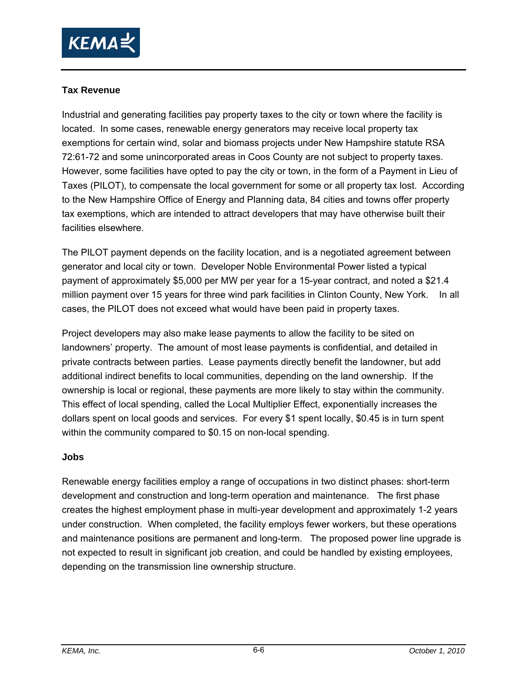

### **Tax Revenue**

Industrial and generating facilities pay property taxes to the city or town where the facility is located. In some cases, renewable energy generators may receive local property tax exemptions for certain wind, solar and biomass projects under New Hampshire statute RSA 72:61-72 and some unincorporated areas in Coos County are not subject to property taxes. However, some facilities have opted to pay the city or town, in the form of a Payment in Lieu of Taxes (PILOT), to compensate the local government for some or all property tax lost. According to the New Hampshire Office of Energy and Planning data, 84 cities and towns offer property tax exemptions, which are intended to attract developers that may have otherwise built their facilities elsewhere.

The PILOT payment depends on the facility location, and is a negotiated agreement between generator and local city or town. Developer Noble Environmental Power listed a typical payment of approximately \$5,000 per MW per year for a 15-year contract, and noted a \$21.4 million payment over 15 years for three wind park facilities in Clinton County, New York. In all cases, the PILOT does not exceed what would have been paid in property taxes.

Project developers may also make lease payments to allow the facility to be sited on landowners' property. The amount of most lease payments is confidential, and detailed in private contracts between parties. Lease payments directly benefit the landowner, but add additional indirect benefits to local communities, depending on the land ownership. If the ownership is local or regional, these payments are more likely to stay within the community. This effect of local spending, called the Local Multiplier Effect, exponentially increases the dollars spent on local goods and services. For every \$1 spent locally, \$0.45 is in turn spent within the community compared to \$0.15 on non-local spending.

#### **Jobs**

Renewable energy facilities employ a range of occupations in two distinct phases: short-term development and construction and long-term operation and maintenance. The first phase creates the highest employment phase in multi-year development and approximately 1-2 years under construction. When completed, the facility employs fewer workers, but these operations and maintenance positions are permanent and long-term. The proposed power line upgrade is not expected to result in significant job creation, and could be handled by existing employees, depending on the transmission line ownership structure.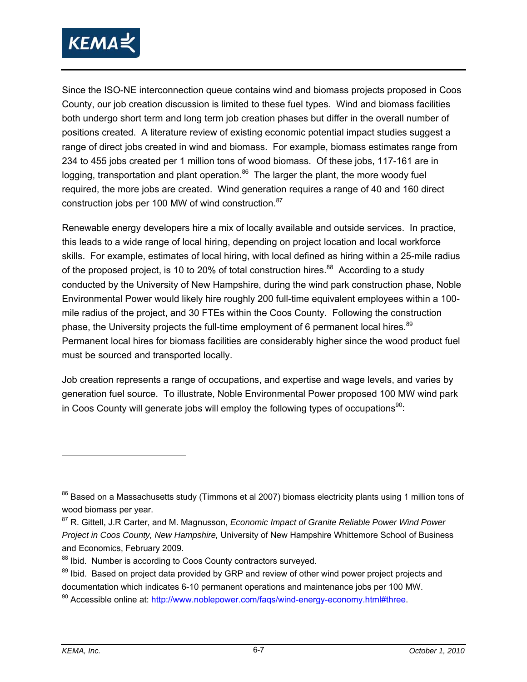

Since the ISO-NE interconnection queue contains wind and biomass projects proposed in Coos County, our job creation discussion is limited to these fuel types. Wind and biomass facilities both undergo short term and long term job creation phases but differ in the overall number of positions created. A literature review of existing economic potential impact studies suggest a range of direct jobs created in wind and biomass. For example, biomass estimates range from 234 to 455 jobs created per 1 million tons of wood biomass. Of these jobs, 117-161 are in logging, transportation and plant operation.<sup>86</sup> The larger the plant, the more woody fuel required, the more jobs are created. Wind generation requires a range of 40 and 160 direct construction jobs per 100 MW of wind construction.<sup>87</sup>

Renewable energy developers hire a mix of locally available and outside services. In practice, this leads to a wide range of local hiring, depending on project location and local workforce skills. For example, estimates of local hiring, with local defined as hiring within a 25-mile radius of the proposed project, is 10 to 20% of total construction hires.<sup>88</sup> According to a study conducted by the University of New Hampshire, during the wind park construction phase, Noble Environmental Power would likely hire roughly 200 full-time equivalent employees within a 100 mile radius of the project, and 30 FTEs within the Coos County. Following the construction phase, the University projects the full-time employment of 6 permanent local hires.<sup>89</sup> Permanent local hires for biomass facilities are considerably higher since the wood product fuel must be sourced and transported locally.

Job creation represents a range of occupations, and expertise and wage levels, and varies by generation fuel source. To illustrate, Noble Environmental Power proposed 100 MW wind park in Coos County will generate jobs will employ the following types of occupations $90$ :

-

<sup>&</sup>lt;sup>86</sup> Based on a Massachusetts study (Timmons et al 2007) biomass electricity plants using 1 million tons of wood biomass per year.

<sup>87</sup> R. Gittell, J.R Carter, and M. Magnusson, *Economic Impact of Granite Reliable Power Wind Power Project in Coos County, New Hampshire,* University of New Hampshire Whittemore School of Business and Economics, February 2009.

<sup>&</sup>lt;sup>88</sup> Ibid. Number is according to Coos County contractors surveyed.

<sup>&</sup>lt;sup>89</sup> Ibid. Based on project data provided by GRP and review of other wind power project projects and documentation which indicates 6-10 permanent operations and maintenance jobs per 100 MW.

 $90$  Accessible online at: http://www.noblepower.com/faqs/wind-energy-economy.html#three.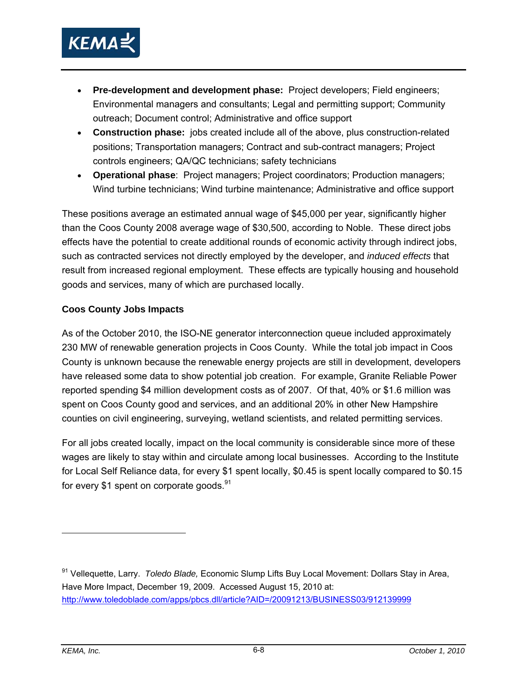

- **Pre-development and development phase:** Project developers; Field engineers; Environmental managers and consultants; Legal and permitting support; Community outreach; Document control; Administrative and office support
- **Construction phase:** jobs created include all of the above, plus construction-related positions; Transportation managers; Contract and sub-contract managers; Project controls engineers; QA/QC technicians; safety technicians
- **Operational phase**: Project managers; Project coordinators; Production managers; Wind turbine technicians; Wind turbine maintenance; Administrative and office support

These positions average an estimated annual wage of \$45,000 per year, significantly higher than the Coos County 2008 average wage of \$30,500, according to Noble. These direct jobs effects have the potential to create additional rounds of economic activity through indirect jobs, such as contracted services not directly employed by the developer, and *induced effects* that result from increased regional employment. These effects are typically housing and household goods and services, many of which are purchased locally.

### **Coos County Jobs Impacts**

As of the October 2010, the ISO-NE generator interconnection queue included approximately 230 MW of renewable generation projects in Coos County. While the total job impact in Coos County is unknown because the renewable energy projects are still in development, developers have released some data to show potential job creation. For example, Granite Reliable Power reported spending \$4 million development costs as of 2007. Of that, 40% or \$1.6 million was spent on Coos County good and services, and an additional 20% in other New Hampshire counties on civil engineering, surveying, wetland scientists, and related permitting services.

For all jobs created locally, impact on the local community is considerable since more of these wages are likely to stay within and circulate among local businesses. According to the Institute for Local Self Reliance data, for every \$1 spent locally, \$0.45 is spent locally compared to \$0.15 for every \$1 spent on corporate goods. $91$ 

-

<sup>91</sup> Vellequette, Larry. *Toledo Blade,* Economic Slump Lifts Buy Local Movement: Dollars Stay in Area, Have More Impact, December 19, 2009. Accessed August 15, 2010 at: http://www.toledoblade.com/apps/pbcs.dll/article?AID=/20091213/BUSINESS03/912139999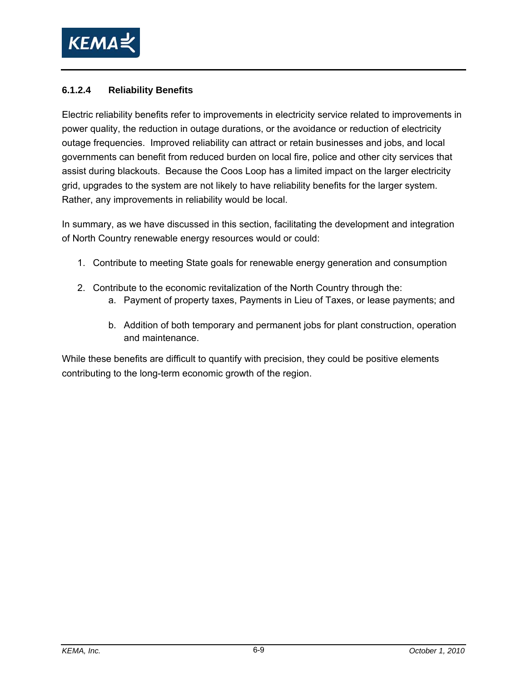

## **6.1.2.4 Reliability Benefits**

Electric reliability benefits refer to improvements in electricity service related to improvements in power quality, the reduction in outage durations, or the avoidance or reduction of electricity outage frequencies. Improved reliability can attract or retain businesses and jobs, and local governments can benefit from reduced burden on local fire, police and other city services that assist during blackouts. Because the Coos Loop has a limited impact on the larger electricity grid, upgrades to the system are not likely to have reliability benefits for the larger system. Rather, any improvements in reliability would be local.

In summary, as we have discussed in this section, facilitating the development and integration of North Country renewable energy resources would or could:

- 1. Contribute to meeting State goals for renewable energy generation and consumption
- 2. Contribute to the economic revitalization of the North Country through the:
	- a. Payment of property taxes, Payments in Lieu of Taxes, or lease payments; and
	- b. Addition of both temporary and permanent jobs for plant construction, operation and maintenance.

While these benefits are difficult to quantify with precision, they could be positive elements contributing to the long-term economic growth of the region.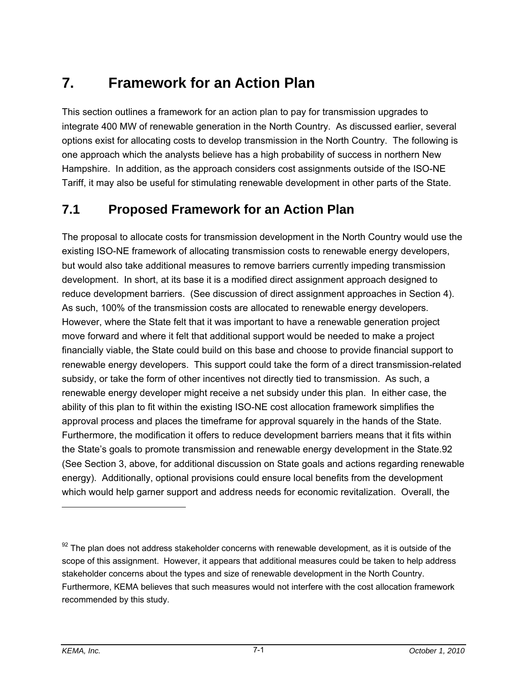# **7. Framework for an Action Plan**

This section outlines a framework for an action plan to pay for transmission upgrades to integrate 400 MW of renewable generation in the North Country. As discussed earlier, several options exist for allocating costs to develop transmission in the North Country. The following is one approach which the analysts believe has a high probability of success in northern New Hampshire. In addition, as the approach considers cost assignments outside of the ISO-NE Tariff, it may also be useful for stimulating renewable development in other parts of the State.

# **7.1 Proposed Framework for an Action Plan**

The proposal to allocate costs for transmission development in the North Country would use the existing ISO-NE framework of allocating transmission costs to renewable energy developers, but would also take additional measures to remove barriers currently impeding transmission development. In short, at its base it is a modified direct assignment approach designed to reduce development barriers. (See discussion of direct assignment approaches in Section 4). As such, 100% of the transmission costs are allocated to renewable energy developers. However, where the State felt that it was important to have a renewable generation project move forward and where it felt that additional support would be needed to make a project financially viable, the State could build on this base and choose to provide financial support to renewable energy developers. This support could take the form of a direct transmission-related subsidy, or take the form of other incentives not directly tied to transmission. As such, a renewable energy developer might receive a net subsidy under this plan. In either case, the ability of this plan to fit within the existing ISO-NE cost allocation framework simplifies the approval process and places the timeframe for approval squarely in the hands of the State. Furthermore, the modification it offers to reduce development barriers means that it fits within the State's goals to promote transmission and renewable energy development in the State.92 (See Section 3, above, for additional discussion on State goals and actions regarding renewable energy). Additionally, optional provisions could ensure local benefits from the development which would help garner support and address needs for economic revitalization. Overall, the

 $92$  The plan does not address stakeholder concerns with renewable development, as it is outside of the scope of this assignment. However, it appears that additional measures could be taken to help address stakeholder concerns about the types and size of renewable development in the North Country. Furthermore, KEMA believes that such measures would not interfere with the cost allocation framework recommended by this study.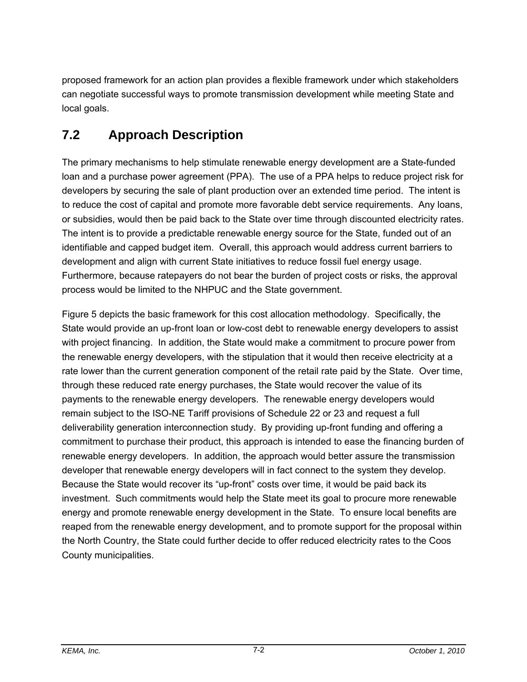proposed framework for an action plan provides a flexible framework under which stakeholders can negotiate successful ways to promote transmission development while meeting State and local goals.

# **7.2 Approach Description**

The primary mechanisms to help stimulate renewable energy development are a State-funded loan and a purchase power agreement (PPA). The use of a PPA helps to reduce project risk for developers by securing the sale of plant production over an extended time period. The intent is to reduce the cost of capital and promote more favorable debt service requirements. Any loans, or subsidies, would then be paid back to the State over time through discounted electricity rates. The intent is to provide a predictable renewable energy source for the State, funded out of an identifiable and capped budget item. Overall, this approach would address current barriers to development and align with current State initiatives to reduce fossil fuel energy usage. Furthermore, because ratepayers do not bear the burden of project costs or risks, the approval process would be limited to the NHPUC and the State government.

Figure 5 depicts the basic framework for this cost allocation methodology. Specifically, the State would provide an up-front loan or low-cost debt to renewable energy developers to assist with project financing. In addition, the State would make a commitment to procure power from the renewable energy developers, with the stipulation that it would then receive electricity at a rate lower than the current generation component of the retail rate paid by the State. Over time, through these reduced rate energy purchases, the State would recover the value of its payments to the renewable energy developers. The renewable energy developers would remain subject to the ISO-NE Tariff provisions of Schedule 22 or 23 and request a full deliverability generation interconnection study. By providing up-front funding and offering a commitment to purchase their product, this approach is intended to ease the financing burden of renewable energy developers. In addition, the approach would better assure the transmission developer that renewable energy developers will in fact connect to the system they develop. Because the State would recover its "up-front" costs over time, it would be paid back its investment. Such commitments would help the State meet its goal to procure more renewable energy and promote renewable energy development in the State. To ensure local benefits are reaped from the renewable energy development, and to promote support for the proposal within the North Country, the State could further decide to offer reduced electricity rates to the Coos County municipalities.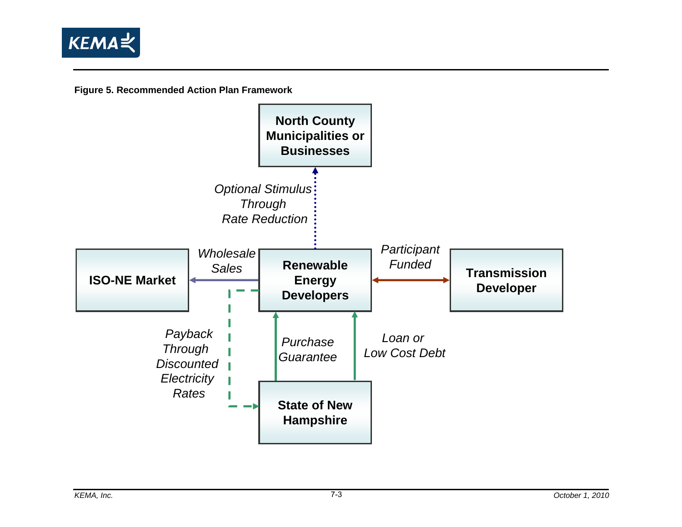

**Figure 5. Recommended Action Plan Framework** 

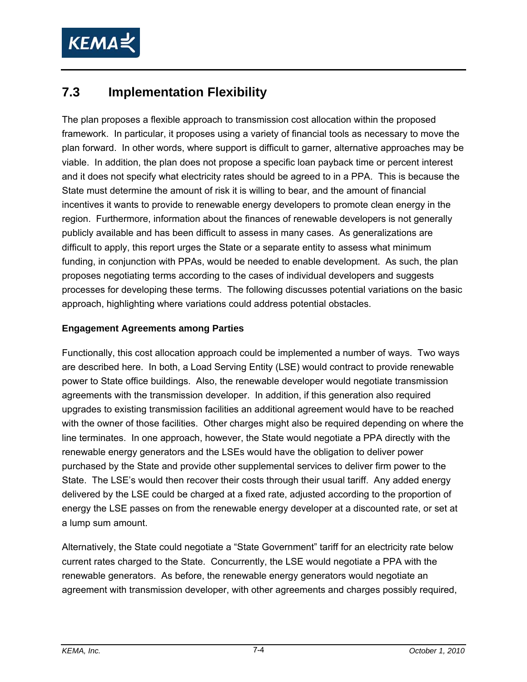

# **7.3 Implementation Flexibility**

The plan proposes a flexible approach to transmission cost allocation within the proposed framework. In particular, it proposes using a variety of financial tools as necessary to move the plan forward. In other words, where support is difficult to garner, alternative approaches may be viable. In addition, the plan does not propose a specific loan payback time or percent interest and it does not specify what electricity rates should be agreed to in a PPA. This is because the State must determine the amount of risk it is willing to bear, and the amount of financial incentives it wants to provide to renewable energy developers to promote clean energy in the region. Furthermore, information about the finances of renewable developers is not generally publicly available and has been difficult to assess in many cases. As generalizations are difficult to apply, this report urges the State or a separate entity to assess what minimum funding, in conjunction with PPAs, would be needed to enable development. As such, the plan proposes negotiating terms according to the cases of individual developers and suggests processes for developing these terms. The following discusses potential variations on the basic approach, highlighting where variations could address potential obstacles.

## **Engagement Agreements among Parties**

Functionally, this cost allocation approach could be implemented a number of ways. Two ways are described here. In both, a Load Serving Entity (LSE) would contract to provide renewable power to State office buildings. Also, the renewable developer would negotiate transmission agreements with the transmission developer. In addition, if this generation also required upgrades to existing transmission facilities an additional agreement would have to be reached with the owner of those facilities. Other charges might also be required depending on where the line terminates. In one approach, however, the State would negotiate a PPA directly with the renewable energy generators and the LSEs would have the obligation to deliver power purchased by the State and provide other supplemental services to deliver firm power to the State. The LSE's would then recover their costs through their usual tariff. Any added energy delivered by the LSE could be charged at a fixed rate, adjusted according to the proportion of energy the LSE passes on from the renewable energy developer at a discounted rate, or set at a lump sum amount.

Alternatively, the State could negotiate a "State Government" tariff for an electricity rate below current rates charged to the State. Concurrently, the LSE would negotiate a PPA with the renewable generators. As before, the renewable energy generators would negotiate an agreement with transmission developer, with other agreements and charges possibly required,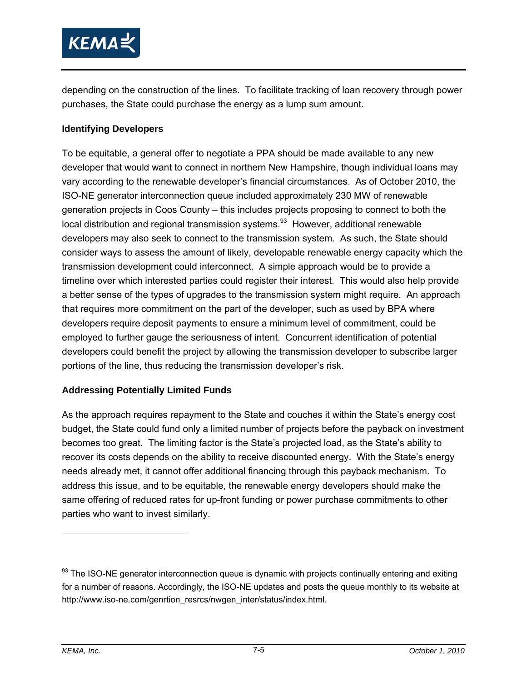

depending on the construction of the lines. To facilitate tracking of loan recovery through power purchases, the State could purchase the energy as a lump sum amount.

### **Identifying Developers**

To be equitable, a general offer to negotiate a PPA should be made available to any new developer that would want to connect in northern New Hampshire, though individual loans may vary according to the renewable developer's financial circumstances. As of October 2010, the ISO-NE generator interconnection queue included approximately 230 MW of renewable generation projects in Coos County – this includes projects proposing to connect to both the local distribution and regional transmission systems.<sup>93</sup> However, additional renewable developers may also seek to connect to the transmission system. As such, the State should consider ways to assess the amount of likely, developable renewable energy capacity which the transmission development could interconnect. A simple approach would be to provide a timeline over which interested parties could register their interest. This would also help provide a better sense of the types of upgrades to the transmission system might require. An approach that requires more commitment on the part of the developer, such as used by BPA where developers require deposit payments to ensure a minimum level of commitment, could be employed to further gauge the seriousness of intent. Concurrent identification of potential developers could benefit the project by allowing the transmission developer to subscribe larger portions of the line, thus reducing the transmission developer's risk.

## **Addressing Potentially Limited Funds**

As the approach requires repayment to the State and couches it within the State's energy cost budget, the State could fund only a limited number of projects before the payback on investment becomes too great. The limiting factor is the State's projected load, as the State's ability to recover its costs depends on the ability to receive discounted energy. With the State's energy needs already met, it cannot offer additional financing through this payback mechanism. To address this issue, and to be equitable, the renewable energy developers should make the same offering of reduced rates for up-front funding or power purchase commitments to other parties who want to invest similarly.

-

<sup>&</sup>lt;sup>93</sup> The ISO-NE generator interconnection queue is dynamic with projects continually entering and exiting for a number of reasons. Accordingly, the ISO-NE updates and posts the queue monthly to its website at http://www.iso-ne.com/genrtion\_resrcs/nwgen\_inter/status/index.html.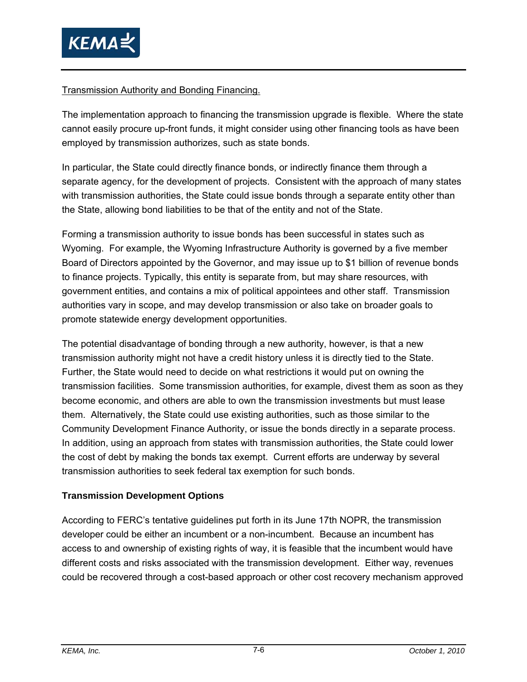

### Transmission Authority and Bonding Financing.

The implementation approach to financing the transmission upgrade is flexible. Where the state cannot easily procure up-front funds, it might consider using other financing tools as have been employed by transmission authorizes, such as state bonds.

In particular, the State could directly finance bonds, or indirectly finance them through a separate agency, for the development of projects. Consistent with the approach of many states with transmission authorities, the State could issue bonds through a separate entity other than the State, allowing bond liabilities to be that of the entity and not of the State.

Forming a transmission authority to issue bonds has been successful in states such as Wyoming. For example, the Wyoming Infrastructure Authority is governed by a five member Board of Directors appointed by the Governor, and may issue up to \$1 billion of revenue bonds to finance projects. Typically, this entity is separate from, but may share resources, with government entities, and contains a mix of political appointees and other staff. Transmission authorities vary in scope, and may develop transmission or also take on broader goals to promote statewide energy development opportunities.

The potential disadvantage of bonding through a new authority, however, is that a new transmission authority might not have a credit history unless it is directly tied to the State. Further, the State would need to decide on what restrictions it would put on owning the transmission facilities. Some transmission authorities, for example, divest them as soon as they become economic, and others are able to own the transmission investments but must lease them. Alternatively, the State could use existing authorities, such as those similar to the Community Development Finance Authority, or issue the bonds directly in a separate process. In addition, using an approach from states with transmission authorities, the State could lower the cost of debt by making the bonds tax exempt. Current efforts are underway by several transmission authorities to seek federal tax exemption for such bonds.

## **Transmission Development Options**

According to FERC's tentative guidelines put forth in its June 17th NOPR, the transmission developer could be either an incumbent or a non-incumbent. Because an incumbent has access to and ownership of existing rights of way, it is feasible that the incumbent would have different costs and risks associated with the transmission development. Either way, revenues could be recovered through a cost-based approach or other cost recovery mechanism approved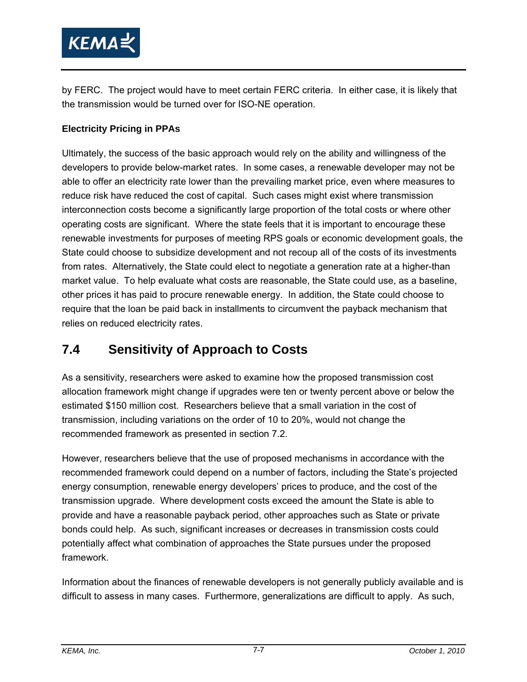

by FERC. The project would have to meet certain FERC criteria. In either case, it is likely that the transmission would be turned over for ISO-NE operation.

## **Electricity Pricing in PPAs**

Ultimately, the success of the basic approach would rely on the ability and willingness of the developers to provide below-market rates. In some cases, a renewable developer may not be able to offer an electricity rate lower than the prevailing market price, even where measures to reduce risk have reduced the cost of capital. Such cases might exist where transmission interconnection costs become a significantly large proportion of the total costs or where other operating costs are significant. Where the state feels that it is important to encourage these renewable investments for purposes of meeting RPS goals or economic development goals, the State could choose to subsidize development and not recoup all of the costs of its investments from rates. Alternatively, the State could elect to negotiate a generation rate at a higher-than market value. To help evaluate what costs are reasonable, the State could use, as a baseline, other prices it has paid to procure renewable energy. In addition, the State could choose to require that the loan be paid back in installments to circumvent the payback mechanism that relies on reduced electricity rates.

# **7.4 Sensitivity of Approach to Costs**

As a sensitivity, researchers were asked to examine how the proposed transmission cost allocation framework might change if upgrades were ten or twenty percent above or below the estimated \$150 million cost. Researchers believe that a small variation in the cost of transmission, including variations on the order of 10 to 20%, would not change the recommended framework as presented in section 7.2.

However, researchers believe that the use of proposed mechanisms in accordance with the recommended framework could depend on a number of factors, including the State's projected energy consumption, renewable energy developers' prices to produce, and the cost of the transmission upgrade. Where development costs exceed the amount the State is able to provide and have a reasonable payback period, other approaches such as State or private bonds could help. As such, significant increases or decreases in transmission costs could potentially affect what combination of approaches the State pursues under the proposed framework.

Information about the finances of renewable developers is not generally publicly available and is difficult to assess in many cases. Furthermore, generalizations are difficult to apply. As such,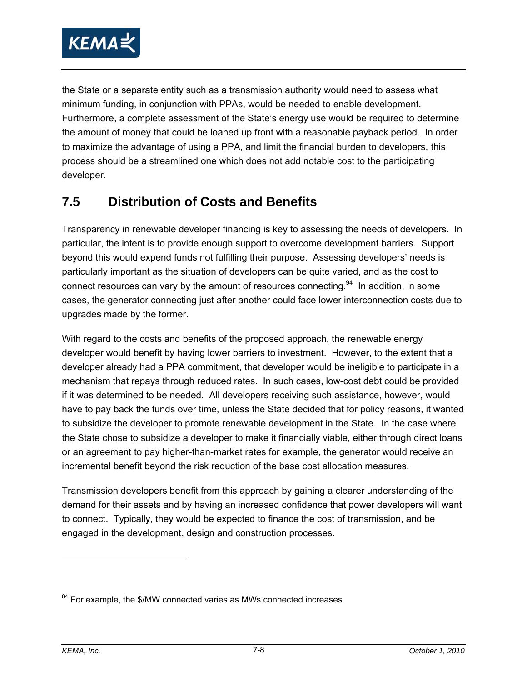

the State or a separate entity such as a transmission authority would need to assess what minimum funding, in conjunction with PPAs, would be needed to enable development. Furthermore, a complete assessment of the State's energy use would be required to determine the amount of money that could be loaned up front with a reasonable payback period. In order to maximize the advantage of using a PPA, and limit the financial burden to developers, this process should be a streamlined one which does not add notable cost to the participating developer.

# **7.5 Distribution of Costs and Benefits**

Transparency in renewable developer financing is key to assessing the needs of developers. In particular, the intent is to provide enough support to overcome development barriers. Support beyond this would expend funds not fulfilling their purpose. Assessing developers' needs is particularly important as the situation of developers can be quite varied, and as the cost to connect resources can vary by the amount of resources connecting.<sup>94</sup> In addition, in some cases, the generator connecting just after another could face lower interconnection costs due to upgrades made by the former.

With regard to the costs and benefits of the proposed approach, the renewable energy developer would benefit by having lower barriers to investment. However, to the extent that a developer already had a PPA commitment, that developer would be ineligible to participate in a mechanism that repays through reduced rates. In such cases, low-cost debt could be provided if it was determined to be needed. All developers receiving such assistance, however, would have to pay back the funds over time, unless the State decided that for policy reasons, it wanted to subsidize the developer to promote renewable development in the State. In the case where the State chose to subsidize a developer to make it financially viable, either through direct loans or an agreement to pay higher-than-market rates for example, the generator would receive an incremental benefit beyond the risk reduction of the base cost allocation measures.

Transmission developers benefit from this approach by gaining a clearer understanding of the demand for their assets and by having an increased confidence that power developers will want to connect. Typically, they would be expected to finance the cost of transmission, and be engaged in the development, design and construction processes.

 $94$  For example, the \$/MW connected varies as MWs connected increases.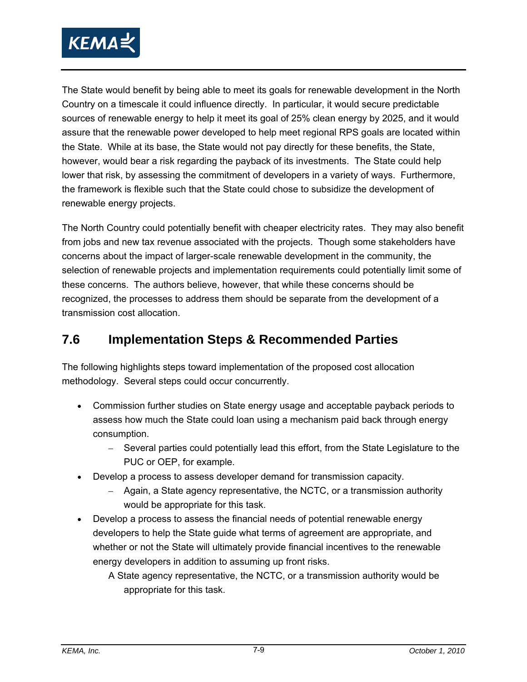

The State would benefit by being able to meet its goals for renewable development in the North Country on a timescale it could influence directly. In particular, it would secure predictable sources of renewable energy to help it meet its goal of 25% clean energy by 2025, and it would assure that the renewable power developed to help meet regional RPS goals are located within the State. While at its base, the State would not pay directly for these benefits, the State, however, would bear a risk regarding the payback of its investments. The State could help lower that risk, by assessing the commitment of developers in a variety of ways. Furthermore, the framework is flexible such that the State could chose to subsidize the development of renewable energy projects.

The North Country could potentially benefit with cheaper electricity rates. They may also benefit from jobs and new tax revenue associated with the projects. Though some stakeholders have concerns about the impact of larger-scale renewable development in the community, the selection of renewable projects and implementation requirements could potentially limit some of these concerns. The authors believe, however, that while these concerns should be recognized, the processes to address them should be separate from the development of a transmission cost allocation.

## **7.6 Implementation Steps & Recommended Parties**

The following highlights steps toward implementation of the proposed cost allocation methodology. Several steps could occur concurrently.

- Commission further studies on State energy usage and acceptable payback periods to assess how much the State could loan using a mechanism paid back through energy consumption.
	- Several parties could potentially lead this effort, from the State Legislature to the PUC or OEP, for example.
- Develop a process to assess developer demand for transmission capacity.
	- Again, a State agency representative, the NCTC, or a transmission authority would be appropriate for this task.
- Develop a process to assess the financial needs of potential renewable energy developers to help the State guide what terms of agreement are appropriate, and whether or not the State will ultimately provide financial incentives to the renewable energy developers in addition to assuming up front risks.
	- A State agency representative, the NCTC, or a transmission authority would be appropriate for this task.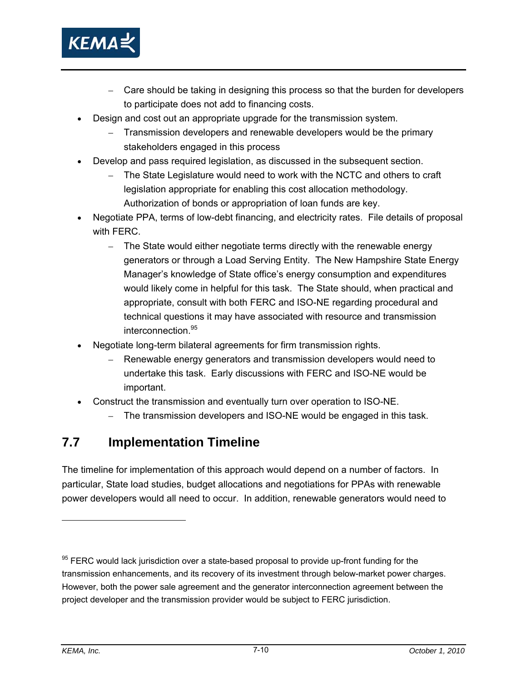

- Care should be taking in designing this process so that the burden for developers to participate does not add to financing costs.
- Design and cost out an appropriate upgrade for the transmission system.
	- Transmission developers and renewable developers would be the primary stakeholders engaged in this process
- Develop and pass required legislation, as discussed in the subsequent section.
	- The State Legislature would need to work with the NCTC and others to craft legislation appropriate for enabling this cost allocation methodology. Authorization of bonds or appropriation of loan funds are key.
- Negotiate PPA, terms of low-debt financing, and electricity rates. File details of proposal with FERC.
	- The State would either negotiate terms directly with the renewable energy generators or through a Load Serving Entity. The New Hampshire State Energy Manager's knowledge of State office's energy consumption and expenditures would likely come in helpful for this task. The State should, when practical and appropriate, consult with both FERC and ISO-NE regarding procedural and technical questions it may have associated with resource and transmission interconnection.95
- Negotiate long-term bilateral agreements for firm transmission rights.
	- Renewable energy generators and transmission developers would need to undertake this task. Early discussions with FERC and ISO-NE would be important.
- Construct the transmission and eventually turn over operation to ISO-NE.
	- The transmission developers and ISO-NE would be engaged in this task.

# **7.7 Implementation Timeline**

The timeline for implementation of this approach would depend on a number of factors. In particular, State load studies, budget allocations and negotiations for PPAs with renewable power developers would all need to occur. In addition, renewable generators would need to

 $95$  FERC would lack jurisdiction over a state-based proposal to provide up-front funding for the transmission enhancements, and its recovery of its investment through below-market power charges. However, both the power sale agreement and the generator interconnection agreement between the project developer and the transmission provider would be subject to FERC jurisdiction.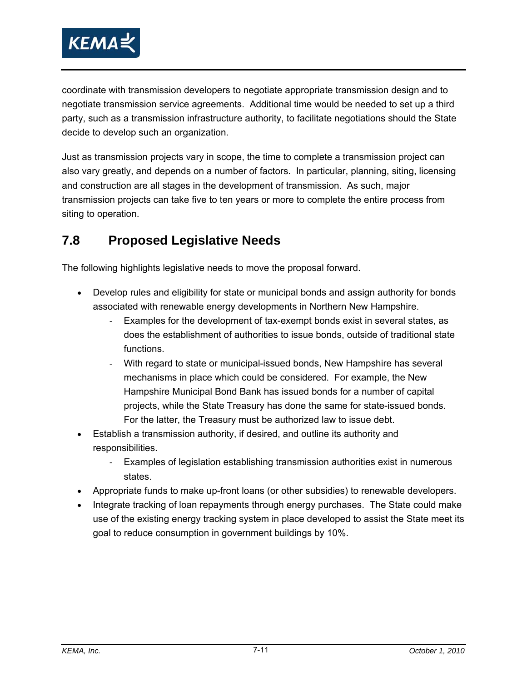

coordinate with transmission developers to negotiate appropriate transmission design and to negotiate transmission service agreements. Additional time would be needed to set up a third party, such as a transmission infrastructure authority, to facilitate negotiations should the State decide to develop such an organization.

Just as transmission projects vary in scope, the time to complete a transmission project can also vary greatly, and depends on a number of factors. In particular, planning, siting, licensing and construction are all stages in the development of transmission. As such, major transmission projects can take five to ten years or more to complete the entire process from siting to operation.

# **7.8 Proposed Legislative Needs**

The following highlights legislative needs to move the proposal forward.

- Develop rules and eligibility for state or municipal bonds and assign authority for bonds associated with renewable energy developments in Northern New Hampshire.
	- Examples for the development of tax-exempt bonds exist in several states, as does the establishment of authorities to issue bonds, outside of traditional state functions.
	- With regard to state or municipal-issued bonds, New Hampshire has several mechanisms in place which could be considered. For example, the New Hampshire Municipal Bond Bank has issued bonds for a number of capital projects, while the State Treasury has done the same for state-issued bonds. For the latter, the Treasury must be authorized law to issue debt.
- Establish a transmission authority, if desired, and outline its authority and responsibilities.
	- Examples of legislation establishing transmission authorities exist in numerous states.
- Appropriate funds to make up-front loans (or other subsidies) to renewable developers.
- Integrate tracking of loan repayments through energy purchases. The State could make use of the existing energy tracking system in place developed to assist the State meet its goal to reduce consumption in government buildings by 10%.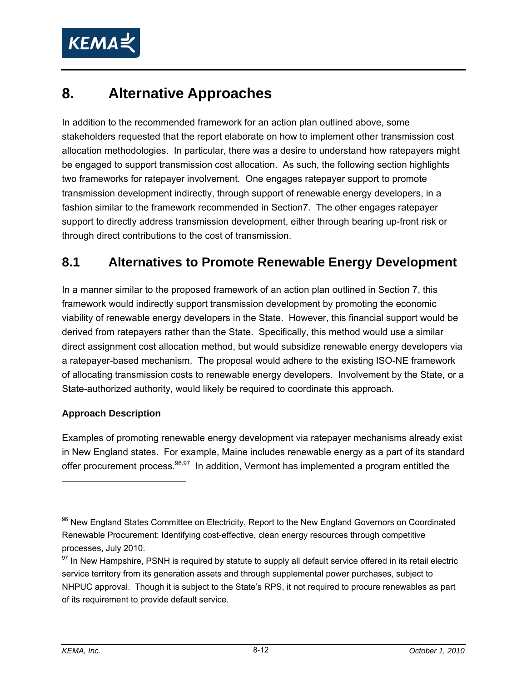

# **8. Alternative Approaches**

In addition to the recommended framework for an action plan outlined above, some stakeholders requested that the report elaborate on how to implement other transmission cost allocation methodologies. In particular, there was a desire to understand how ratepayers might be engaged to support transmission cost allocation. As such, the following section highlights two frameworks for ratepayer involvement. One engages ratepayer support to promote transmission development indirectly, through support of renewable energy developers, in a fashion similar to the framework recommended in Section7. The other engages ratepayer support to directly address transmission development, either through bearing up-front risk or through direct contributions to the cost of transmission.

# **8.1 Alternatives to Promote Renewable Energy Development**

In a manner similar to the proposed framework of an action plan outlined in Section 7, this framework would indirectly support transmission development by promoting the economic viability of renewable energy developers in the State. However, this financial support would be derived from ratepayers rather than the State. Specifically, this method would use a similar direct assignment cost allocation method, but would subsidize renewable energy developers via a ratepayer-based mechanism. The proposal would adhere to the existing ISO-NE framework of allocating transmission costs to renewable energy developers. Involvement by the State, or a State-authorized authority, would likely be required to coordinate this approach.

## **Approach Description**

Examples of promoting renewable energy development via ratepayer mechanisms already exist in New England states. For example, Maine includes renewable energy as a part of its standard offer procurement process.<sup>96,97</sup> In addition, Vermont has implemented a program entitled the

<sup>&</sup>lt;sup>96</sup> New England States Committee on Electricity, Report to the New England Governors on Coordinated Renewable Procurement: Identifying cost-effective, clean energy resources through competitive processes, July 2010.

<sup>&</sup>lt;sup>97</sup> In New Hampshire, PSNH is required by statute to supply all default service offered in its retail electric service territory from its generation assets and through supplemental power purchases, subject to NHPUC approval. Though it is subject to the State's RPS, it not required to procure renewables as part of its requirement to provide default service.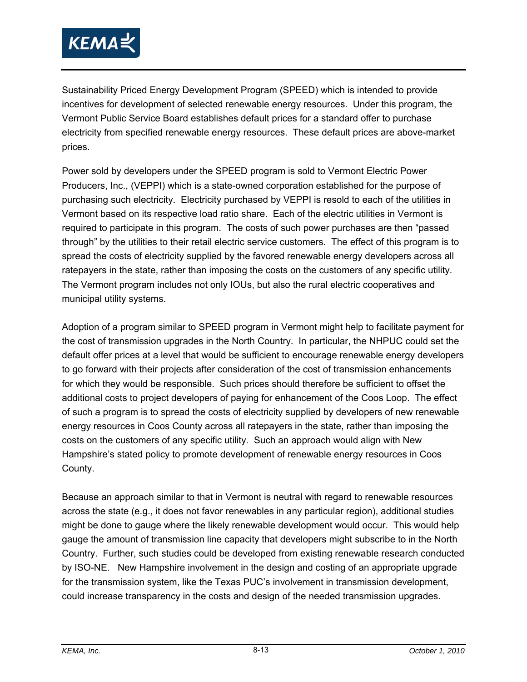

Sustainability Priced Energy Development Program (SPEED) which is intended to provide incentives for development of selected renewable energy resources. Under this program, the Vermont Public Service Board establishes default prices for a standard offer to purchase electricity from specified renewable energy resources. These default prices are above-market prices.

Power sold by developers under the SPEED program is sold to Vermont Electric Power Producers, Inc., (VEPPI) which is a state-owned corporation established for the purpose of purchasing such electricity. Electricity purchased by VEPPI is resold to each of the utilities in Vermont based on its respective load ratio share. Each of the electric utilities in Vermont is required to participate in this program. The costs of such power purchases are then "passed through" by the utilities to their retail electric service customers. The effect of this program is to spread the costs of electricity supplied by the favored renewable energy developers across all ratepayers in the state, rather than imposing the costs on the customers of any specific utility. The Vermont program includes not only IOUs, but also the rural electric cooperatives and municipal utility systems.

Adoption of a program similar to SPEED program in Vermont might help to facilitate payment for the cost of transmission upgrades in the North Country. In particular, the NHPUC could set the default offer prices at a level that would be sufficient to encourage renewable energy developers to go forward with their projects after consideration of the cost of transmission enhancements for which they would be responsible. Such prices should therefore be sufficient to offset the additional costs to project developers of paying for enhancement of the Coos Loop. The effect of such a program is to spread the costs of electricity supplied by developers of new renewable energy resources in Coos County across all ratepayers in the state, rather than imposing the costs on the customers of any specific utility. Such an approach would align with New Hampshire's stated policy to promote development of renewable energy resources in Coos County.

Because an approach similar to that in Vermont is neutral with regard to renewable resources across the state (e.g., it does not favor renewables in any particular region), additional studies might be done to gauge where the likely renewable development would occur. This would help gauge the amount of transmission line capacity that developers might subscribe to in the North Country. Further, such studies could be developed from existing renewable research conducted by ISO-NE. New Hampshire involvement in the design and costing of an appropriate upgrade for the transmission system, like the Texas PUC's involvement in transmission development, could increase transparency in the costs and design of the needed transmission upgrades.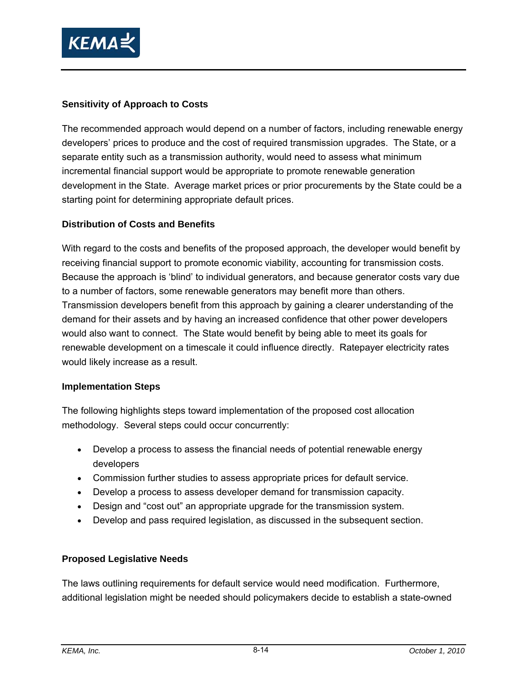

### **Sensitivity of Approach to Costs**

The recommended approach would depend on a number of factors, including renewable energy developers' prices to produce and the cost of required transmission upgrades. The State, or a separate entity such as a transmission authority, would need to assess what minimum incremental financial support would be appropriate to promote renewable generation development in the State. Average market prices or prior procurements by the State could be a starting point for determining appropriate default prices.

### **Distribution of Costs and Benefits**

With regard to the costs and benefits of the proposed approach, the developer would benefit by receiving financial support to promote economic viability, accounting for transmission costs. Because the approach is 'blind' to individual generators, and because generator costs vary due to a number of factors, some renewable generators may benefit more than others. Transmission developers benefit from this approach by gaining a clearer understanding of the demand for their assets and by having an increased confidence that other power developers would also want to connect. The State would benefit by being able to meet its goals for renewable development on a timescale it could influence directly. Ratepayer electricity rates would likely increase as a result.

#### **Implementation Steps**

The following highlights steps toward implementation of the proposed cost allocation methodology. Several steps could occur concurrently:

- Develop a process to assess the financial needs of potential renewable energy developers
- Commission further studies to assess appropriate prices for default service.
- Develop a process to assess developer demand for transmission capacity.
- Design and "cost out" an appropriate upgrade for the transmission system.
- Develop and pass required legislation, as discussed in the subsequent section.

#### **Proposed Legislative Needs**

The laws outlining requirements for default service would need modification. Furthermore, additional legislation might be needed should policymakers decide to establish a state-owned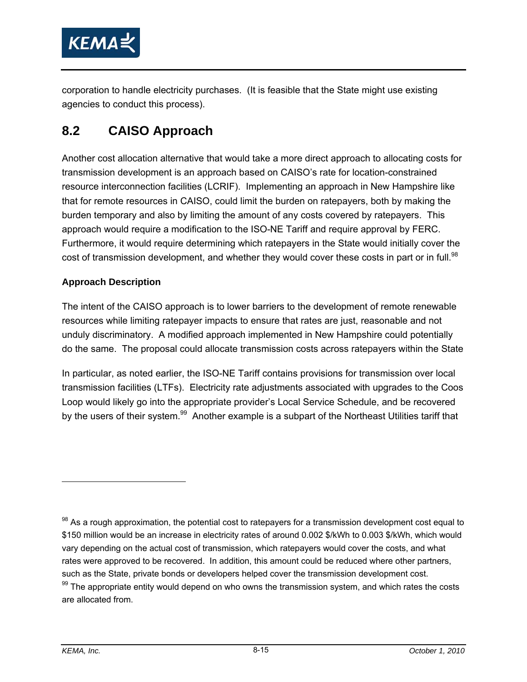

corporation to handle electricity purchases. (It is feasible that the State might use existing agencies to conduct this process).

# **8.2 CAISO Approach**

Another cost allocation alternative that would take a more direct approach to allocating costs for transmission development is an approach based on CAISO's rate for location-constrained resource interconnection facilities (LCRIF). Implementing an approach in New Hampshire like that for remote resources in CAISO, could limit the burden on ratepayers, both by making the burden temporary and also by limiting the amount of any costs covered by ratepayers. This approach would require a modification to the ISO-NE Tariff and require approval by FERC. Furthermore, it would require determining which ratepayers in the State would initially cover the cost of transmission development, and whether they would cover these costs in part or in full.<sup>98</sup>

## **Approach Description**

The intent of the CAISO approach is to lower barriers to the development of remote renewable resources while limiting ratepayer impacts to ensure that rates are just, reasonable and not unduly discriminatory. A modified approach implemented in New Hampshire could potentially do the same. The proposal could allocate transmission costs across ratepayers within the State

In particular, as noted earlier, the ISO-NE Tariff contains provisions for transmission over local transmission facilities (LTFs). Electricity rate adjustments associated with upgrades to the Coos Loop would likely go into the appropriate provider's Local Service Schedule, and be recovered by the users of their system.<sup>99</sup> Another example is a subpart of the Northeast Utilities tariff that

<sup>&</sup>lt;sup>98</sup> As a rough approximation, the potential cost to ratepayers for a transmission development cost equal to \$150 million would be an increase in electricity rates of around 0.002 \$/kWh to 0.003 \$/kWh, which would vary depending on the actual cost of transmission, which ratepayers would cover the costs, and what rates were approved to be recovered. In addition, this amount could be reduced where other partners, such as the State, private bonds or developers helped cover the transmission development cost.  $99$  The appropriate entity would depend on who owns the transmission system, and which rates the costs are allocated from.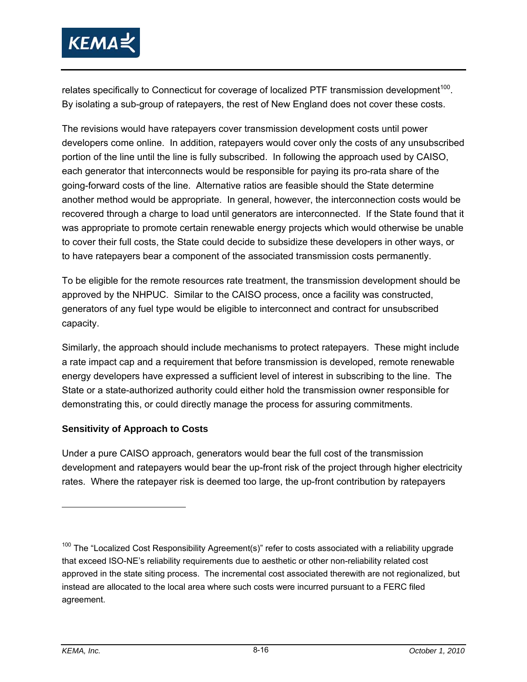

relates specifically to Connecticut for coverage of localized PTF transmission development<sup>100</sup>. By isolating a sub-group of ratepayers, the rest of New England does not cover these costs.

The revisions would have ratepayers cover transmission development costs until power developers come online. In addition, ratepayers would cover only the costs of any unsubscribed portion of the line until the line is fully subscribed. In following the approach used by CAISO, each generator that interconnects would be responsible for paying its pro-rata share of the going-forward costs of the line. Alternative ratios are feasible should the State determine another method would be appropriate. In general, however, the interconnection costs would be recovered through a charge to load until generators are interconnected. If the State found that it was appropriate to promote certain renewable energy projects which would otherwise be unable to cover their full costs, the State could decide to subsidize these developers in other ways, or to have ratepayers bear a component of the associated transmission costs permanently.

To be eligible for the remote resources rate treatment, the transmission development should be approved by the NHPUC. Similar to the CAISO process, once a facility was constructed, generators of any fuel type would be eligible to interconnect and contract for unsubscribed capacity.

Similarly, the approach should include mechanisms to protect ratepayers. These might include a rate impact cap and a requirement that before transmission is developed, remote renewable energy developers have expressed a sufficient level of interest in subscribing to the line. The State or a state-authorized authority could either hold the transmission owner responsible for demonstrating this, or could directly manage the process for assuring commitments.

## **Sensitivity of Approach to Costs**

Under a pure CAISO approach, generators would bear the full cost of the transmission development and ratepayers would bear the up-front risk of the project through higher electricity rates. Where the ratepayer risk is deemed too large, the up-front contribution by ratepayers

-

 $100$  The "Localized Cost Responsibility Agreement(s)" refer to costs associated with a reliability upgrade that exceed ISO-NE's reliability requirements due to aesthetic or other non-reliability related cost approved in the state siting process. The incremental cost associated therewith are not regionalized, but instead are allocated to the local area where such costs were incurred pursuant to a FERC filed agreement.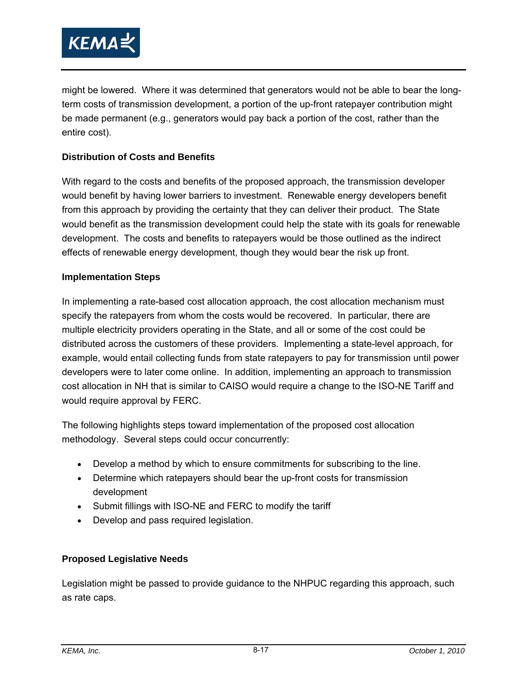

might be lowered. Where it was determined that generators would not be able to bear the longterm costs of transmission development, a portion of the up-front ratepayer contribution might be made permanent (e.g., generators would pay back a portion of the cost, rather than the entire cost).

#### **Distribution of Costs and Benefits**

With regard to the costs and benefits of the proposed approach, the transmission developer would benefit by having lower barriers to investment. Renewable energy developers benefit from this approach by providing the certainty that they can deliver their product. The State would benefit as the transmission development could help the state with its goals for renewable development. The costs and benefits to ratepayers would be those outlined as the indirect effects of renewable energy development, though they would bear the risk up front.

#### **Implementation Steps**

In implementing a rate-based cost allocation approach, the cost allocation mechanism must specify the ratepayers from whom the costs would be recovered. In particular, there are multiple electricity providers operating in the State, and all or some of the cost could be distributed across the customers of these providers. Implementing a state-level approach, for example, would entail collecting funds from state ratepayers to pay for transmission until power developers were to later come online. In addition, implementing an approach to transmission cost allocation in NH that is similar to CAISO would require a change to the ISO-NE Tariff and would require approval by FERC.

The following highlights steps toward implementation of the proposed cost allocation methodology. Several steps could occur concurrently:

- Develop a method by which to ensure commitments for subscribing to the line.
- Determine which ratepayers should bear the up-front costs for transmission development
- Submit fillings with ISO-NE and FERC to modify the tariff
- Develop and pass required legislation.

#### **Proposed Legislative Needs**

Legislation might be passed to provide guidance to the NHPUC regarding this approach, such as rate caps.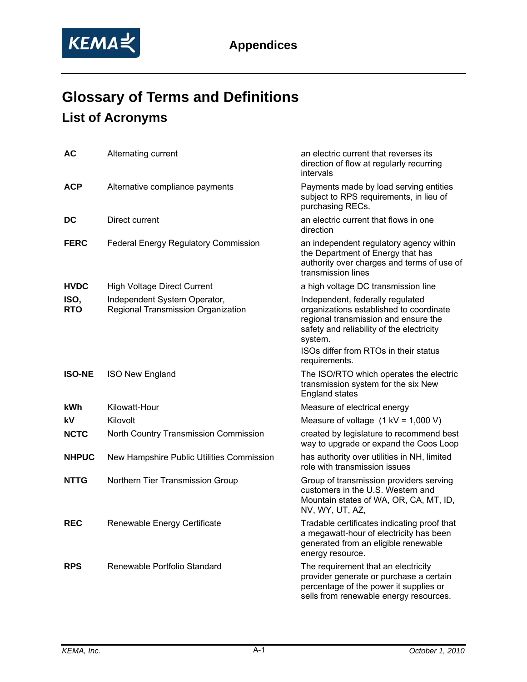

# **Glossary of Terms and Definitions List of Acronyms**

| <b>AC</b>          | Alternating current                                                | an electric current that reverses its<br>direction of flow at regularly recurring<br>intervals                                                                              |
|--------------------|--------------------------------------------------------------------|-----------------------------------------------------------------------------------------------------------------------------------------------------------------------------|
| <b>ACP</b>         | Alternative compliance payments                                    | Payments made by load serving entities<br>subject to RPS requirements, in lieu of<br>purchasing RECs.                                                                       |
| <b>DC</b>          | Direct current                                                     | an electric current that flows in one<br>direction                                                                                                                          |
| <b>FERC</b>        | <b>Federal Energy Regulatory Commission</b>                        | an independent regulatory agency within<br>the Department of Energy that has<br>authority over charges and terms of use of<br>transmission lines                            |
| <b>HVDC</b>        | <b>High Voltage Direct Current</b>                                 | a high voltage DC transmission line                                                                                                                                         |
| ISO,<br><b>RTO</b> | Independent System Operator,<br>Regional Transmission Organization | Independent, federally regulated<br>organizations established to coordinate<br>regional transmission and ensure the<br>safety and reliability of the electricity<br>system. |
|                    |                                                                    | ISOs differ from RTOs in their status<br>requirements.                                                                                                                      |
| <b>ISO-NE</b>      | <b>ISO New England</b>                                             | The ISO/RTO which operates the electric<br>transmission system for the six New<br><b>England states</b>                                                                     |
| kWh                | Kilowatt-Hour                                                      | Measure of electrical energy                                                                                                                                                |
| kV                 | Kilovolt                                                           | Measure of voltage $(1 \text{ kV} = 1,000 \text{ V})$                                                                                                                       |
| <b>NCTC</b>        | North Country Transmission Commission                              | created by legislature to recommend best<br>way to upgrade or expand the Coos Loop                                                                                          |
| <b>NHPUC</b>       | New Hampshire Public Utilities Commission                          | has authority over utilities in NH, limited<br>role with transmission issues                                                                                                |
| <b>NTTG</b>        | Northern Tier Transmission Group                                   | Group of transmission providers serving<br>customers in the U.S. Western and<br>Mountain states of WA, OR, CA, MT, ID,<br>NV, WY, UT, AZ,                                   |
| <b>REC</b>         | Renewable Energy Certificate                                       | Tradable certificates indicating proof that<br>a megawatt-hour of electricity has been<br>generated from an eligible renewable<br>energy resource.                          |
| <b>RPS</b>         | Renewable Portfolio Standard                                       | The requirement that an electricity<br>provider generate or purchase a certain<br>percentage of the power it supplies or<br>sells from renewable energy resources.          |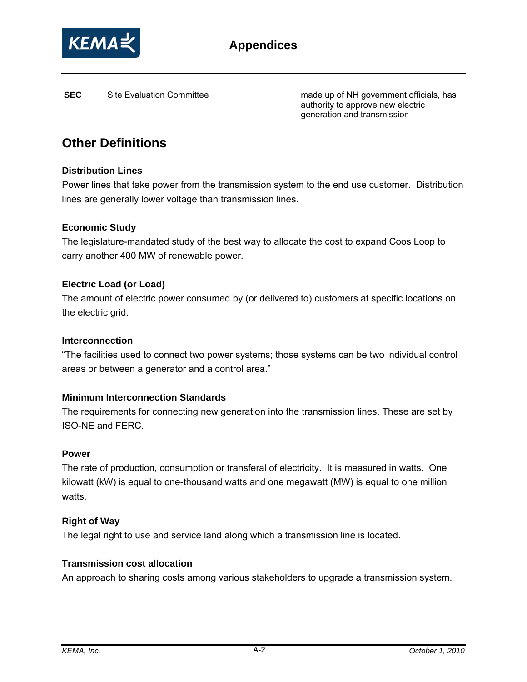

**SEC** Site Evaluation Committee made up of NH government officials, has authority to approve new electric generation and transmission

## **Other Definitions**

#### **Distribution Lines**

Power lines that take power from the transmission system to the end use customer. Distribution lines are generally lower voltage than transmission lines.

#### **Economic Study**

The legislature-mandated study of the best way to allocate the cost to expand Coos Loop to carry another 400 MW of renewable power.

#### **Electric Load (or Load)**

The amount of electric power consumed by (or delivered to) customers at specific locations on the electric grid.

#### **Interconnection**

"The facilities used to connect two power systems; those systems can be two individual control areas or between a generator and a control area."

#### **Minimum Interconnection Standards**

The requirements for connecting new generation into the transmission lines. These are set by ISO-NE and FERC.

#### **Power**

The rate of production, consumption or transferal of electricity. It is measured in watts. One kilowatt (kW) is equal to one-thousand watts and one megawatt (MW) is equal to one million watts.

#### **Right of Way**

The legal right to use and service land along which a transmission line is located.

#### **Transmission cost allocation**

An approach to sharing costs among various stakeholders to upgrade a transmission system.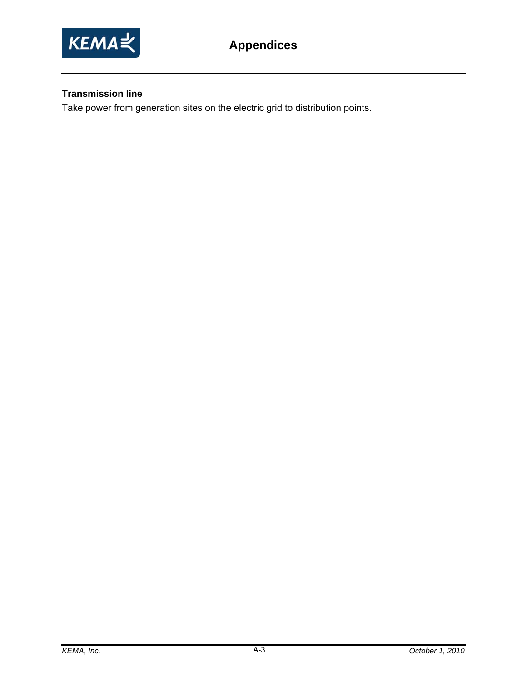

#### **Transmission line**

Take power from generation sites on the electric grid to distribution points.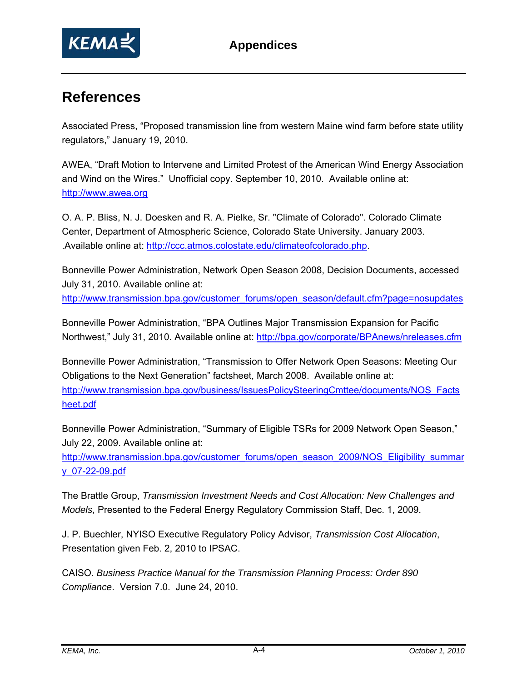

# **References**

Associated Press, "Proposed transmission line from western Maine wind farm before state utility regulators," January 19, 2010.

AWEA, "Draft Motion to Intervene and Limited Protest of the American Wind Energy Association and Wind on the Wires." Unofficial copy. September 10, 2010. Available online at: http://www.awea.org

O. A. P. Bliss, N. J. Doesken and R. A. Pielke, Sr. "Climate of Colorado". Colorado Climate Center, Department of Atmospheric Science, Colorado State University. January 2003. .Available online at: http://ccc.atmos.colostate.edu/climateofcolorado.php.

Bonneville Power Administration, Network Open Season 2008, Decision Documents, accessed July 31, 2010. Available online at: http://www.transmission.bpa.gov/customer\_forums/open\_season/default.cfm?page=nosupdates

Bonneville Power Administration, "BPA Outlines Major Transmission Expansion for Pacific Northwest," July 31, 2010. Available online at: http://bpa.gov/corporate/BPAnews/nreleases.cfm

Bonneville Power Administration, "Transmission to Offer Network Open Seasons: Meeting Our Obligations to the Next Generation" factsheet, March 2008. Available online at: http://www.transmission.bpa.gov/business/IssuesPolicySteeringCmttee/documents/NOS\_Facts heet.pdf

Bonneville Power Administration, "Summary of Eligible TSRs for 2009 Network Open Season," July 22, 2009. Available online at:

http://www.transmission.bpa.gov/customer\_forums/open\_season\_2009/NOS\_Eligibility\_summar y\_07-22-09.pdf

The Brattle Group, *Transmission Investment Needs and Cost Allocation: New Challenges and Models,* Presented to the Federal Energy Regulatory Commission Staff, Dec. 1, 2009.

J. P. Buechler, NYISO Executive Regulatory Policy Advisor, *Transmission Cost Allocation*, Presentation given Feb. 2, 2010 to IPSAC.

CAISO. *Business Practice Manual for the Transmission Planning Process: Order 890 Compliance*. Version 7.0. June 24, 2010.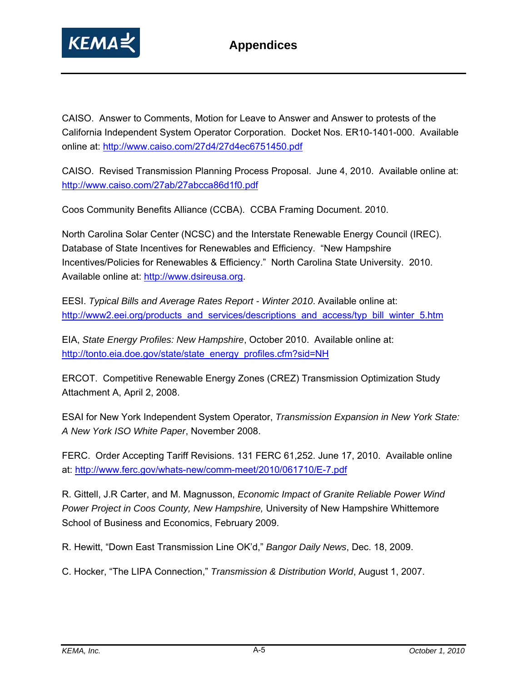

CAISO. Answer to Comments, Motion for Leave to Answer and Answer to protests of the California Independent System Operator Corporation. Docket Nos. ER10-1401-000. Available online at: http://www.caiso.com/27d4/27d4ec6751450.pdf

CAISO. Revised Transmission Planning Process Proposal. June 4, 2010. Available online at: http://www.caiso.com/27ab/27abcca86d1f0.pdf

Coos Community Benefits Alliance (CCBA). CCBA Framing Document. 2010.

North Carolina Solar Center (NCSC) and the Interstate Renewable Energy Council (IREC). Database of State Incentives for Renewables and Efficiency. "New Hampshire Incentives/Policies for Renewables & Efficiency." North Carolina State University. 2010. Available online at: http://www.dsireusa.org.

EESI. *Typical Bills and Average Rates Report - Winter 2010*. Available online at: http://www2.eei.org/products\_and\_services/descriptions\_and\_access/typ\_bill\_winter\_5.htm

EIA, *State Energy Profiles: New Hampshire*, October 2010. Available online at: http://tonto.eia.doe.gov/state/state\_energy\_profiles.cfm?sid=NH

ERCOT. Competitive Renewable Energy Zones (CREZ) Transmission Optimization Study Attachment A, April 2, 2008.

ESAI for New York Independent System Operator, *Transmission Expansion in New York State: A New York ISO White Paper*, November 2008.

FERC. Order Accepting Tariff Revisions. 131 FERC 61,252. June 17, 2010. Available online at: http://www.ferc.gov/whats-new/comm-meet/2010/061710/E-7.pdf

R. Gittell, J.R Carter, and M. Magnusson, *Economic Impact of Granite Reliable Power Wind Power Project in Coos County, New Hampshire,* University of New Hampshire Whittemore School of Business and Economics, February 2009.

R. Hewitt, "Down East Transmission Line OK'd," *Bangor Daily News*, Dec. 18, 2009.

C. Hocker, "The LIPA Connection," *Transmission & Distribution World*, August 1, 2007.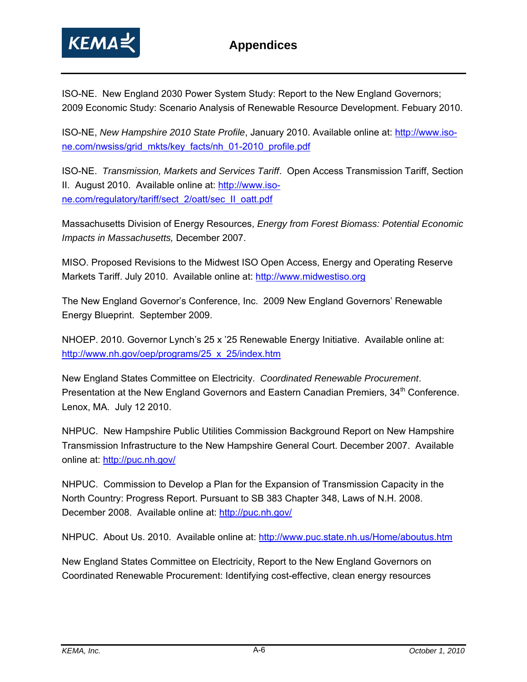

ISO-NE. New England 2030 Power System Study: Report to the New England Governors; 2009 Economic Study: Scenario Analysis of Renewable Resource Development. Febuary 2010.

ISO-NE, *New Hampshire 2010 State Profile*, January 2010. Available online at: http://www.isone.com/nwsiss/grid\_mkts/key\_facts/nh\_01-2010\_profile.pdf

ISO-NE. *Transmission, Markets and Services Tariff*. Open Access Transmission Tariff, Section II. August 2010. Available online at: http://www.isone.com/regulatory/tariff/sect\_2/oatt/sec\_II\_oatt.pdf

Massachusetts Division of Energy Resources, *Energy from Forest Biomass: Potential Economic Impacts in Massachusetts,* December 2007.

MISO. Proposed Revisions to the Midwest ISO Open Access, Energy and Operating Reserve Markets Tariff. July 2010. Available online at: http://www.midwestiso.org

The New England Governor's Conference, Inc. 2009 New England Governors' Renewable Energy Blueprint. September 2009.

NHOEP. 2010. Governor Lynch's 25 x '25 Renewable Energy Initiative. Available online at: http://www.nh.gov/oep/programs/25\_x\_25/index.htm

New England States Committee on Electricity. *Coordinated Renewable Procurement*. Presentation at the New England Governors and Eastern Canadian Premiers, 34<sup>th</sup> Conference. Lenox, MA. July 12 2010.

NHPUC. New Hampshire Public Utilities Commission Background Report on New Hampshire Transmission Infrastructure to the New Hampshire General Court. December 2007. Available online at: http://puc.nh.gov/

NHPUC. Commission to Develop a Plan for the Expansion of Transmission Capacity in the North Country: Progress Report. Pursuant to SB 383 Chapter 348, Laws of N.H. 2008. December 2008. Available online at: http://puc.nh.gov/

NHPUC. About Us. 2010. Available online at: http://www.puc.state.nh.us/Home/aboutus.htm

New England States Committee on Electricity, Report to the New England Governors on Coordinated Renewable Procurement: Identifying cost-effective, clean energy resources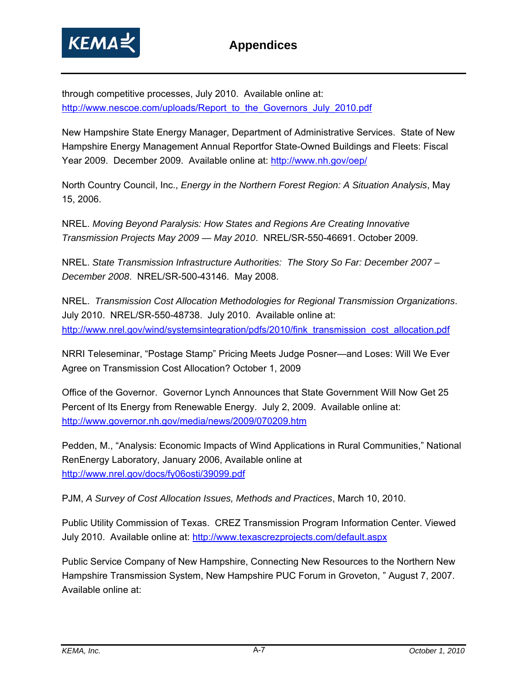

through competitive processes, July 2010. Available online at: http://www.nescoe.com/uploads/Report\_to\_the\_Governors\_July\_2010.pdf

New Hampshire State Energy Manager, Department of Administrative Services. State of New Hampshire Energy Management Annual Reportfor State-Owned Buildings and Fleets: Fiscal Year 2009. December 2009. Available online at: http://www.nh.gov/oep/

North Country Council, Inc., *Energy in the Northern Forest Region: A Situation Analysis*, May 15, 2006.

NREL. *Moving Beyond Paralysis: How States and Regions Are Creating Innovative Transmission Projects May 2009 — May 2010*. NREL/SR-550-46691. October 2009.

NREL. *State Transmission Infrastructure Authorities: The Story So Far: December 2007 – December 2008*. NREL/SR-500-43146. May 2008.

NREL. *Transmission Cost Allocation Methodologies for Regional Transmission Organizations*. July 2010. NREL/SR-550-48738. July 2010. Available online at: http://www.nrel.gov/wind/systemsintegration/pdfs/2010/fink\_transmission\_cost\_allocation.pdf

NRRI Teleseminar, "Postage Stamp" Pricing Meets Judge Posner—and Loses: Will We Ever Agree on Transmission Cost Allocation? October 1, 2009

Office of the Governor. Governor Lynch Announces that State Government Will Now Get 25 Percent of Its Energy from Renewable Energy. July 2, 2009. Available online at: http://www.governor.nh.gov/media/news/2009/070209.htm

Pedden, M., "Analysis: Economic Impacts of Wind Applications in Rural Communities," National RenEnergy Laboratory, January 2006, Available online at http://www.nrel.gov/docs/fy06osti/39099.pdf

PJM, *A Survey of Cost Allocation Issues, Methods and Practices*, March 10, 2010.

Public Utility Commission of Texas. CREZ Transmission Program Information Center. Viewed July 2010. Available online at: http://www.texascrezprojects.com/default.aspx

Public Service Company of New Hampshire, Connecting New Resources to the Northern New Hampshire Transmission System, New Hampshire PUC Forum in Groveton, " August 7, 2007. Available online at: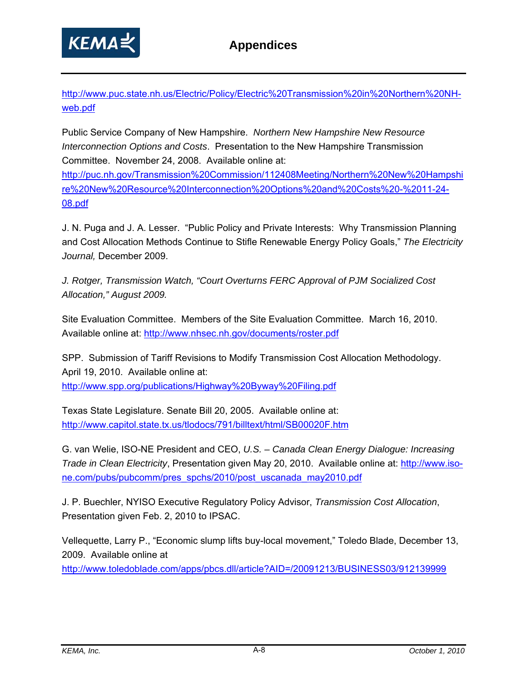http://www.puc.state.nh.us/Electric/Policy/Electric%20Transmission%20in%20Northern%20NHweb.pdf

Public Service Company of New Hampshire. *Northern New Hampshire New Resource Interconnection Options and Costs*. Presentation to the New Hampshire Transmission Committee. November 24, 2008. Available online at:

http://puc.nh.gov/Transmission%20Commission/112408Meeting/Northern%20New%20Hampshi re%20New%20Resource%20Interconnection%20Options%20and%20Costs%20-%2011-24- 08.pdf

J. N. Puga and J. A. Lesser. "Public Policy and Private Interests: Why Transmission Planning and Cost Allocation Methods Continue to Stifle Renewable Energy Policy Goals," *The Electricity Journal,* December 2009.

*J. Rotger, Transmission Watch, "Court Overturns FERC Approval of PJM Socialized Cost Allocation," August 2009.* 

Site Evaluation Committee. Members of the Site Evaluation Committee. March 16, 2010. Available online at: http://www.nhsec.nh.gov/documents/roster.pdf

SPP. Submission of Tariff Revisions to Modify Transmission Cost Allocation Methodology. April 19, 2010. Available online at: http://www.spp.org/publications/Highway%20Byway%20Filing.pdf

Texas State Legislature. Senate Bill 20, 2005. Available online at: http://www.capitol.state.tx.us/tlodocs/791/billtext/html/SB00020F.htm

G. van Welie, ISO-NE President and CEO, *U.S. – Canada Clean Energy Dialogue: Increasing Trade in Clean Electricity*, Presentation given May 20, 2010. Available online at: http://www.isone.com/pubs/pubcomm/pres\_spchs/2010/post\_uscanada\_may2010.pdf

J. P. Buechler, NYISO Executive Regulatory Policy Advisor, *Transmission Cost Allocation*, Presentation given Feb. 2, 2010 to IPSAC.

Vellequette, Larry P., "Economic slump lifts buy-local movement," Toledo Blade, December 13, 2009. Available online at http://www.toledoblade.com/apps/pbcs.dll/article?AID=/20091213/BUSINESS03/912139999